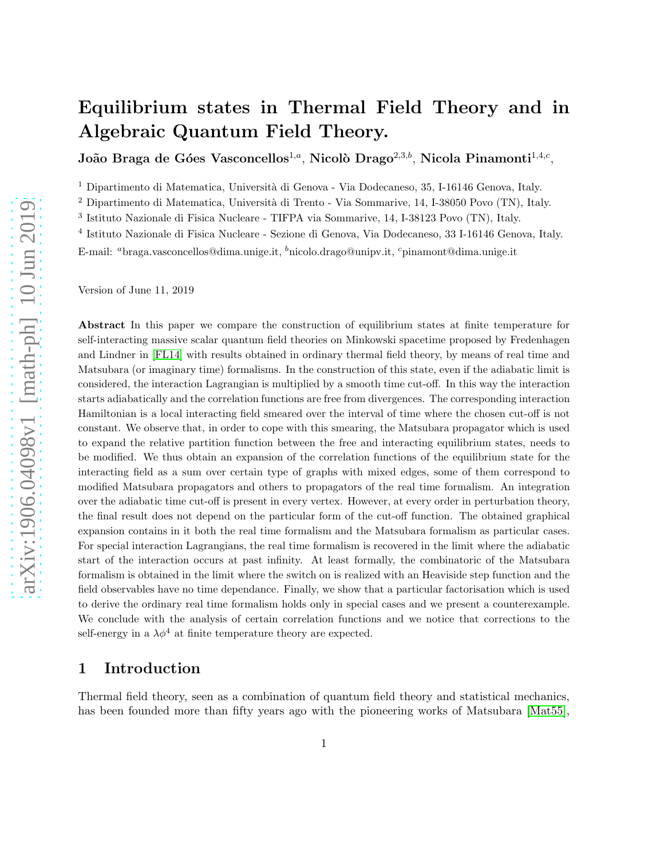# Equilibrium states in Thermal Field Theory and in Algebraic Quantum Field Theory.

João Braga de Góes Vasconcellos $^{1,a}$ , Nicolò Drago $^{2,3,b}$ , Nicola Pinamonti $^{1,4,c},$ 

 $^{\rm 1}$  Dipartimento di Matematica, Università di Genova - Via Dodecaneso, 35, I-16146 Genova, Italy.

<sup>2</sup> Dipartimento di Matematica, Università di Trento - Via Sommarive, 14, I-38050 Povo (TN), Italy.

3 Istituto Nazionale di Fisica Nucleare - TIFPA via Sommarive, 14, I-38123 Povo (TN), Italy.

4 Istituto Nazionale di Fisica Nucleare - Sezione di Genova, Via Dodecaneso, 33 I-16146 Genova, Italy.

E-mail: <sup>a</sup>braga.vasconcellos@dima.unige.it, <sup>b</sup>nicolo.drago@unipv.it, <sup>c</sup>pinamont@dima.unige.it

Version of June 11, 2019

Abstract In this paper we compare the construction of equilibrium states at finite temperature for self-interacting massive scalar quantum field theories on Minkowski spacetime proposed by Fredenhagen and Lindner in [\[FL14\]](#page-38-0) with results obtained in ordinary thermal field theory, by means of real time and Matsubara (or imaginary time) formalisms. In the construction of this state, even if the adiabatic limit is considered, the interaction Lagrangian is multiplied by a smooth time cut-off. In this way the interaction starts adiabatically and the correlation functions are free from divergences. The corresponding interaction Hamiltonian is a local interacting field smeared over the interval of time where the chosen cut-off is not constant. We observe that, in order to cope with this smearing, the Matsubara propagator which is used to expand the relative partition function between the free and interacting equilibrium states, needs to be modified. We thus obtain an expansion of the correlation functions of the equilibrium state for the interacting field as a sum over certain type of graphs with mixed edges, some of them correspond to modified Matsubara propagators and others to propagators of the real time formalism. An integration over the adiabatic time cut-off is present in every vertex. However, at every order in perturbation theory, the final result does not depend on the particular form of the cut-off function. The obtained graphical expansion contains in it both the real time formalism and the Matsubara formalism as particular cases. For special interaction Lagrangians, the real time formalism is recovered in the limit where the adiabatic start of the interaction occurs at past infinity. At least formally, the combinatoric of the Matsubara formalism is obtained in the limit where the switch on is realized with an Heaviside step function and the field observables have no time dependance. Finally, we show that a particular factorisation which is used to derive the ordinary real time formalism holds only in special cases and we present a counterexample. We conclude with the analysis of certain correlation functions and we notice that corrections to the self-energy in a  $\lambda \phi^4$  at finite temperature theory are expected.

# 1 Introduction

Thermal field theory, seen as a combination of quantum field theory and statistical mechanics, has been founded more than fifty years ago with the pioneering works of Matsubara [\[Mat55\]](#page-38-1),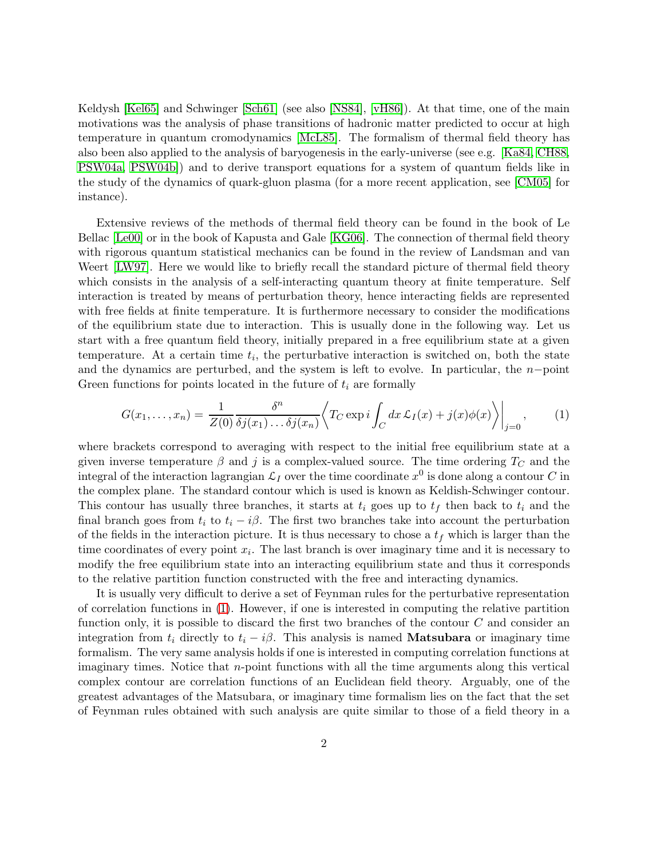Keldysh [\[Kel65\]](#page-38-2) and Schwinger [\[Sch61\]](#page-39-0) (see also [\[NS84\]](#page-39-1), [\[vH86\]](#page-39-2)). At that time, one of the main motivations was the analysis of phase transitions of hadronic matter predicted to occur at high temperature in quantum cromodynamics [\[McL85\]](#page-38-3). The formalism of thermal field theory has also been also applied to the analysis of baryogenesis in the early-universe (see e.g. [\[Ka84,](#page-38-4) [CH88,](#page-37-0) [PSW04a,](#page-39-3) [PSW04b\]](#page-39-4)) and to derive transport equations for a system of quantum fields like in the study of the dynamics of quark-gluon plasma (for a more recent application, see [\[CM05\]](#page-37-1) for instance).

Extensive reviews of the methods of thermal field theory can be found in the book of Le Bellac [\[Le00\]](#page-38-5) or in the book of Kapusta and Gale [\[KG06\]](#page-38-6). The connection of thermal field theory with rigorous quantum statistical mechanics can be found in the review of Landsman and van Weert [\[LW97\]](#page-38-7). Here we would like to briefly recall the standard picture of thermal field theory which consists in the analysis of a self-interacting quantum theory at finite temperature. Self interaction is treated by means of perturbation theory, hence interacting fields are represented with free fields at finite temperature. It is furthermore necessary to consider the modifications of the equilibrium state due to interaction. This is usually done in the following way. Let us start with a free quantum field theory, initially prepared in a free equilibrium state at a given temperature. At a certain time  $t_i$ , the perturbative interaction is switched on, both the state and the dynamics are perturbed, and the system is left to evolve. In particular, the  $n-point$ Green functions for points located in the future of  $t_i$  are formally

<span id="page-1-0"></span>
$$
G(x_1,\ldots,x_n) = \frac{1}{Z(0)}\frac{\delta^n}{\delta j(x_1)\ldots\delta j(x_n)} \left\langle T_C \exp i \int_C dx \, \mathcal{L}_I(x) + j(x)\phi(x) \right\rangle\Big|_{j=0},\tag{1}
$$

where brackets correspond to averaging with respect to the initial free equilibrium state at a given inverse temperature  $\beta$  and j is a complex-valued source. The time ordering  $T_C$  and the integral of the interaction lagrangian  $\mathcal{L}_I$  over the time coordinate  $x^0$  is done along a contour  $C$  in the complex plane. The standard contour which is used is known as Keldish-Schwinger contour. This contour has usually three branches, it starts at  $t_i$  goes up to  $t_f$  then back to  $t_i$  and the final branch goes from  $t_i$  to  $t_i - i\beta$ . The first two branches take into account the perturbation of the fields in the interaction picture. It is thus necessary to chose a  $t_f$  which is larger than the time coordinates of every point  $x_i$ . The last branch is over imaginary time and it is necessary to modify the free equilibrium state into an interacting equilibrium state and thus it corresponds to the relative partition function constructed with the free and interacting dynamics.

It is usually very difficult to derive a set of Feynman rules for the perturbative representation of correlation functions in [\(1\)](#page-1-0). However, if one is interested in computing the relative partition function only, it is possible to discard the first two branches of the contour  $C$  and consider an integration from  $t_i$  directly to  $t_i - i\beta$ . This analysis is named **Matsubara** or imaginary time formalism. The very same analysis holds if one is interested in computing correlation functions at imaginary times. Notice that  $n$ -point functions with all the time arguments along this vertical complex contour are correlation functions of an Euclidean field theory. Arguably, one of the greatest advantages of the Matsubara, or imaginary time formalism lies on the fact that the set of Feynman rules obtained with such analysis are quite similar to those of a field theory in a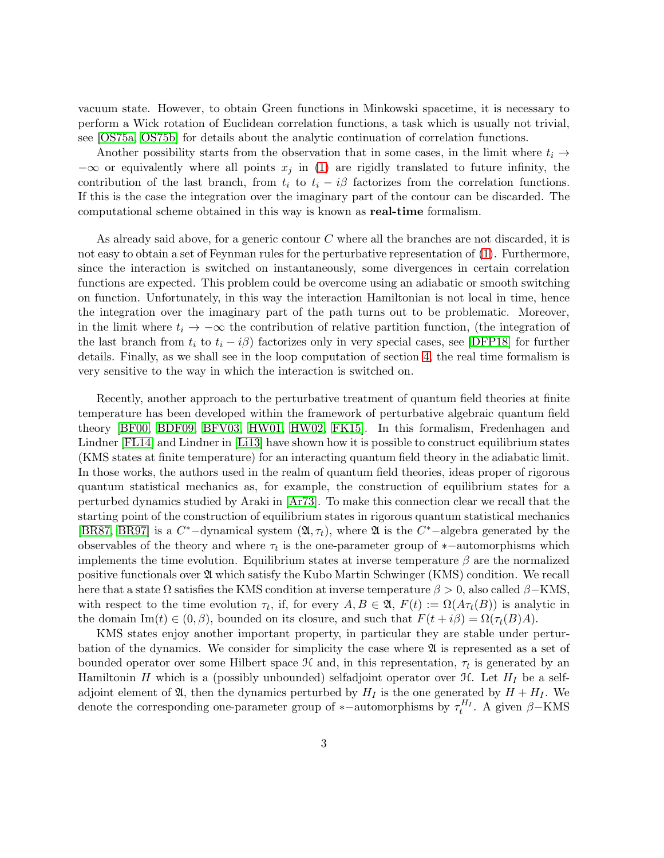vacuum state. However, to obtain Green functions in Minkowski spacetime, it is necessary to perform a Wick rotation of Euclidean correlation functions, a task which is usually not trivial, see [\[OS75a,](#page-39-5) [OS75b\]](#page-39-6) for details about the analytic continuation of correlation functions.

Another possibility starts from the observation that in some cases, in the limit where  $t_i \rightarrow$  $-\infty$  or equivalently where all points  $x_j$  in [\(1\)](#page-1-0) are rigidly translated to future infinity, the contribution of the last branch, from  $t_i$  to  $t_i - i\beta$  factorizes from the correlation functions. If this is the case the integration over the imaginary part of the contour can be discarded. The computational scheme obtained in this way is known as real-time formalism.

As already said above, for a generic contour  $C$  where all the branches are not discarded, it is not easy to obtain a set of Feynman rules for the perturbative representation of [\(1\)](#page-1-0). Furthermore, since the interaction is switched on instantaneously, some divergences in certain correlation functions are expected. This problem could be overcome using an adiabatic or smooth switching on function. Unfortunately, in this way the interaction Hamiltonian is not local in time, hence the integration over the imaginary part of the path turns out to be problematic. Moreover, in the limit where  $t_i \rightarrow -\infty$  the contribution of relative partition function, (the integration of the last branch from  $t_i$  to  $t_i - i\beta$ ) factorizes only in very special cases, see [\[DFP18\]](#page-37-2) for further details. Finally, as we shall see in the loop computation of section [4,](#page-27-0) the real time formalism is very sensitive to the way in which the interaction is switched on.

Recently, another approach to the perturbative treatment of quantum field theories at finite temperature has been developed within the framework of perturbative algebraic quantum field theory [\[BF00,](#page-37-3) [BDF09,](#page-37-4) [BFV03,](#page-37-5) [HW01,](#page-38-8) [HW02,](#page-38-9) [FK15\]](#page-38-10). In this formalism, Fredenhagen and Lindner [\[FL14\]](#page-38-0) and Lindner in [\[Li13\]](#page-38-11) have shown how it is possible to construct equilibrium states (KMS states at finite temperature) for an interacting quantum field theory in the adiabatic limit. In those works, the authors used in the realm of quantum field theories, ideas proper of rigorous quantum statistical mechanics as, for example, the construction of equilibrium states for a perturbed dynamics studied by Araki in [\[Ar73\]](#page-36-0). To make this connection clear we recall that the starting point of the construction of equilibrium states in rigorous quantum statistical mechanics [\[BR87,](#page-36-1) [BR97\]](#page-37-6) is a  $C^*$ -dynamical system  $(\mathfrak{A}, \tau_t)$ , where  $\mathfrak{A}$  is the  $C^*$ -algebra generated by the observables of the theory and where  $\tau_t$  is the one-parameter group of \*-automorphisms which implements the time evolution. Equilibrium states at inverse temperature  $\beta$  are the normalized positive functionals over  $\mathfrak A$  which satisfy the Kubo Martin Schwinger (KMS) condition. We recall here that a state  $\Omega$  satisfies the KMS condition at inverse temperature  $\beta > 0$ , also called  $\beta$ –KMS, with respect to the time evolution  $\tau_t$ , if, for every  $A, B \in \mathfrak{A}, F(t) := \Omega(A \tau_t(B))$  is analytic in the domain  $\text{Im}(t) \in (0, \beta)$ , bounded on its closure, and such that  $F(t + i\beta) = \Omega(\tau_t(B)A)$ .

KMS states enjoy another important property, in particular they are stable under perturbation of the dynamics. We consider for simplicity the case where  $\mathfrak A$  is represented as a set of bounded operator over some Hilbert space  $\mathcal H$  and, in this representation,  $\tau_t$  is generated by an Hamiltonin H which is a (possibly unbounded) selfadjoint operator over  $\mathcal{H}$ . Let  $H_I$  be a selfadjoint element of  $\mathfrak{A}$ , then the dynamics perturbed by  $H_I$  is the one generated by  $H + H_I$ . We denote the corresponding one-parameter group of \*-automorphisms by  $\tau_t^{H_I}$ . A given  $\beta$ -KMS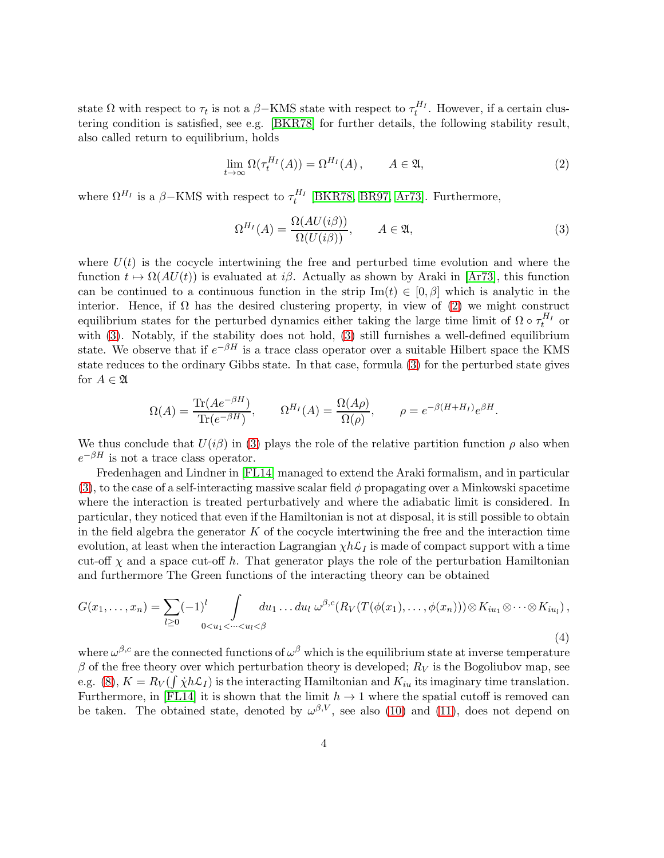state  $\Omega$  with respect to  $\tau_t$  is not a  $\beta$ -KMS state with respect to  $\tau_t^{H_I}$ . However, if a certain clustering condition is satisfied, see e.g. [\[BKR78\]](#page-36-2) for further details, the following stability result, also called return to equilibrium, holds

$$
\lim_{t \to \infty} \Omega(\tau_t^{H_I}(A)) = \Omega^{H_I}(A), \qquad A \in \mathfrak{A}, \tag{2}
$$

where  $\Omega^{H_I}$  is a  $\beta$ -KMS with respect to  $\tau_t^{H_I}$  [\[BKR78,](#page-36-2) [BR97,](#page-37-6) [Ar73\]](#page-36-0). Furthermore,

<span id="page-3-1"></span><span id="page-3-0"></span>
$$
\Omega^{H_I}(A) = \frac{\Omega(AU(i\beta))}{\Omega(U(i\beta))}, \qquad A \in \mathfrak{A}, \tag{3}
$$

where  $U(t)$  is the cocycle intertwining the free and perturbed time evolution and where the function  $t \mapsto \Omega(AU(t))$  is evaluated at i $\beta$ . Actually as shown by Araki in [\[Ar73\]](#page-36-0), this function can be continued to a continuous function in the strip  $\text{Im}(t) \in [0,\beta]$  which is analytic in the interior. Hence, if  $\Omega$  has the desired clustering property, in view of [\(2\)](#page-3-0) we might construct equilibrium states for the perturbed dynamics either taking the large time limit of  $\Omega \circ \tau_t^{H_I}$  or with [\(3\)](#page-3-1). Notably, if the stability does not hold, [\(3\)](#page-3-1) still furnishes a well-defined equilibrium state. We observe that if  $e^{-\beta H}$  is a trace class operator over a suitable Hilbert space the KMS state reduces to the ordinary Gibbs state. In that case, formula [\(3\)](#page-3-1) for the perturbed state gives for  $A \in \mathfrak{A}$ 

$$
\Omega(A) = \frac{\text{Tr}(Ae^{-\beta H})}{\text{Tr}(e^{-\beta H})}, \qquad \Omega^{H_I}(A) = \frac{\Omega(A\rho)}{\Omega(\rho)}, \qquad \rho = e^{-\beta(H + H_I)}e^{\beta H}.
$$

We thus conclude that  $U(i\beta)$  in [\(3\)](#page-3-1) plays the role of the relative partition function  $\rho$  also when  $e^{-\beta H}$  is not a trace class operator.

Fredenhagen and Lindner in [\[FL14\]](#page-38-0) managed to extend the Araki formalism, and in particular [\(3\)](#page-3-1), to the case of a self-interacting massive scalar field  $\phi$  propagating over a Minkowski spacetime where the interaction is treated perturbatively and where the adiabatic limit is considered. In particular, they noticed that even if the Hamiltonian is not at disposal, it is still possible to obtain in the field algebra the generator  $K$  of the cocycle intertwining the free and the interaction time evolution, at least when the interaction Lagrangian  $\chi h \mathcal{L}_I$  is made of compact support with a time cut-off  $\chi$  and a space cut-off h. That generator plays the role of the perturbation Hamiltonian and furthermore The Green functions of the interacting theory can be obtained

<span id="page-3-2"></span>
$$
G(x_1,\ldots,x_n) = \sum_{l\geq 0} (-1)^l \int_{0
$$

where  $\omega^{\beta,c}$  are the connected functions of  $\omega^{\beta}$  which is the equilibrium state at inverse temperature  $\beta$  of the free theory over which perturbation theory is developed;  $R_V$  is the Bogoliubov map, see e.g. [\(8\)](#page-8-0),  $K = R_V(\int \dot{\chi} h \mathcal{L}_I)$  is the interacting Hamiltonian and  $K_{iu}$  its imaginary time translation. Furthermore, in [\[FL14\]](#page-38-0) it is shown that the limit  $h \to 1$  where the spatial cutoff is removed can be taken. The obtained state, denoted by  $\omega^{\beta,V}$ , see also [\(10\)](#page-10-0) and [\(11\)](#page-10-1), does not depend on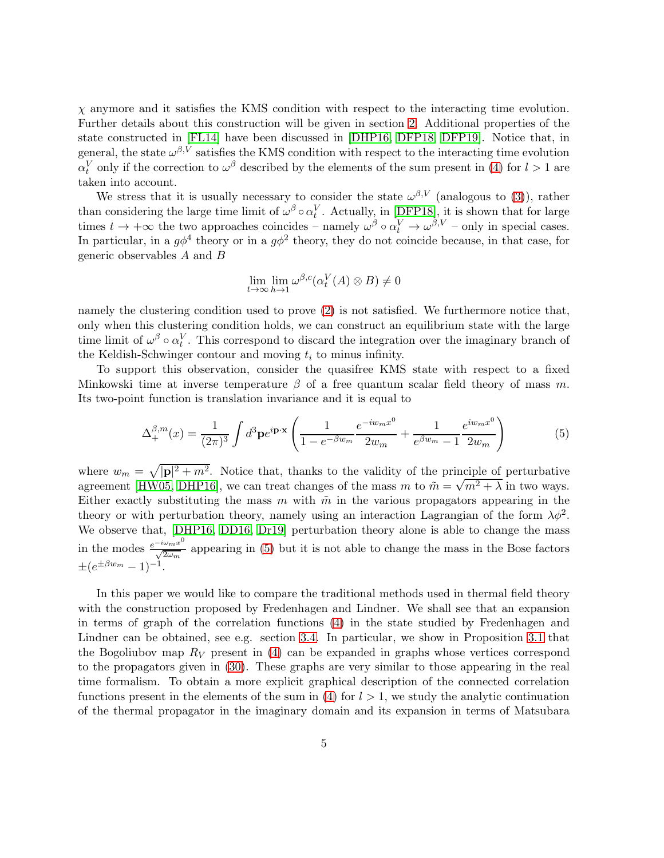$\chi$  anymore and it satisfies the KMS condition with respect to the interacting time evolution. Further details about this construction will be given in section [2.](#page-6-0) Additional properties of the state constructed in [\[FL14\]](#page-38-0) have been discussed in [\[DHP16,](#page-37-7) [DFP18,](#page-37-2) [DFP19\]](#page-37-8). Notice that, in general, the state  $\omega^{\beta,V}$  satisfies the KMS condition with respect to the interacting time evolution  $\alpha_t^V$  only if the correction to  $\omega^\beta$  described by the elements of the sum present in [\(4\)](#page-3-2) for  $l > 1$  are taken into account.

We stress that it is usually necessary to consider the state  $\omega^{\beta,V}$  (analogous to [\(3\)](#page-3-1)), rather than considering the large time limit of  $\omega^{\beta} \circ \alpha_t^V$ . Actually, in [\[DFP18\]](#page-37-2), it is shown that for large times  $t \to +\infty$  the two approaches coincides – namely  $\omega^{\beta} \circ \alpha_t^V \to \omega^{\beta,V}$  – only in special cases. In particular, in a  $g\phi^4$  theory or in a  $g\phi^2$  theory, they do not coincide because, in that case, for generic observables A and B

$$
\lim_{t \to \infty} \lim_{h \to 1} \omega^{\beta,c}(\alpha_t^V(A) \otimes B) \neq 0
$$

namely the clustering condition used to prove [\(2\)](#page-3-0) is not satisfied. We furthermore notice that, only when this clustering condition holds, we can construct an equilibrium state with the large time limit of  $\omega^{\beta} \circ \alpha_t^V$ . This correspond to discard the integration over the imaginary branch of the Keldish-Schwinger contour and moving  $t_i$  to minus infinity.

To support this observation, consider the quasifree KMS state with respect to a fixed Minkowski time at inverse temperature  $\beta$  of a free quantum scalar field theory of mass m. Its two-point function is translation invariance and it is equal to

<span id="page-4-0"></span>
$$
\Delta_{+}^{\beta,m}(x) = \frac{1}{(2\pi)^3} \int d^3 \mathbf{p} e^{i\mathbf{p}\cdot\mathbf{x}} \left( \frac{1}{1 - e^{-\beta w_m}} \frac{e^{-iw_m x^0}}{2w_m} + \frac{1}{e^{\beta w_m} - 1} \frac{e^{iw_m x^0}}{2w_m} \right) \tag{5}
$$

where  $w_m = \sqrt{|\mathbf{p}|^2 + m^2}$ . Notice that, thanks to the validity of the principle of perturbative agreement [\[HW05,](#page-38-12) [DHP16\]](#page-37-7), we can treat changes of the mass m to  $\tilde{m} = \sqrt{m^2 + \lambda}$  in two ways. Either exactly substituting the mass m with  $\tilde{m}$  in the various propagators appearing in the theory or with perturbation theory, namely using an interaction Lagrangian of the form  $\lambda \phi^2$ . We observe that, [\[DHP16,](#page-37-7) [DD16,](#page-37-9) [Dr19\]](#page-37-10) perturbation theory alone is able to change the mass in the modes  $\frac{e^{-i\omega_m x^0}}{\sqrt{2\omega_m}}$  $\frac{2\pi m x}{\sqrt{2\omega_m}}$  appearing in [\(5\)](#page-4-0) but it is not able to change the mass in the Bose factors  $\pm (e^{\pm \beta w_m} - 1)^{-1}.$ 

In this paper we would like to compare the traditional methods used in thermal field theory with the construction proposed by Fredenhagen and Lindner. We shall see that an expansion in terms of graph of the correlation functions [\(4\)](#page-3-2) in the state studied by Fredenhagen and Lindner can be obtained, see e.g. section [3.4.](#page-25-0) In particular, we show in Proposition [3.1](#page-16-0) that the Bogoliubov map  $R_V$  present in [\(4\)](#page-3-2) can be expanded in graphs whose vertices correspond to the propagators given in [\(30\)](#page-15-0). These graphs are very similar to those appearing in the real time formalism. To obtain a more explicit graphical description of the connected correlation functions present in the elements of the sum in  $(4)$  for  $l > 1$ , we study the analytic continuation of the thermal propagator in the imaginary domain and its expansion in terms of Matsubara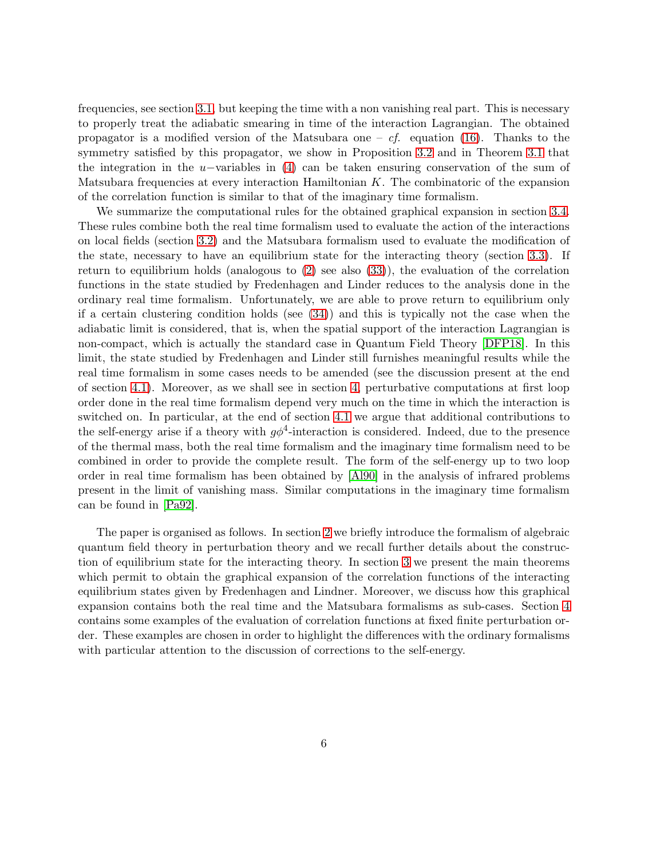frequencies, see section [3.1,](#page-11-0) but keeping the time with a non vanishing real part. This is necessary to properly treat the adiabatic smearing in time of the interaction Lagrangian. The obtained propagator is a modified version of the Matsubara one – cf. equation [\(16\)](#page-12-0). Thanks to the symmetry satisfied by this propagator, we show in Proposition [3.2](#page-18-0) and in Theorem [3.1](#page-19-0) that the integration in the u−variables in [\(4\)](#page-3-2) can be taken ensuring conservation of the sum of Matsubara frequencies at every interaction Hamiltonian  $K$ . The combinatoric of the expansion of the correlation function is similar to that of the imaginary time formalism.

We summarize the computational rules for the obtained graphical expansion in section [3.4.](#page-25-0) These rules combine both the real time formalism used to evaluate the action of the interactions on local fields (section [3.2\)](#page-12-1) and the Matsubara formalism used to evaluate the modification of the state, necessary to have an equilibrium state for the interacting theory (section [3.3\)](#page-17-0). If return to equilibrium holds (analogous to [\(2\)](#page-3-0) see also [\(33\)](#page-17-1)), the evaluation of the correlation functions in the state studied by Fredenhagen and Linder reduces to the analysis done in the ordinary real time formalism. Unfortunately, we are able to prove return to equilibrium only if a certain clustering condition holds (see  $(34)$ ) and this is typically not the case when the adiabatic limit is considered, that is, when the spatial support of the interaction Lagrangian is non-compact, which is actually the standard case in Quantum Field Theory [\[DFP18\]](#page-37-2). In this limit, the state studied by Fredenhagen and Linder still furnishes meaningful results while the real time formalism in some cases needs to be amended (see the discussion present at the end of section [4.1\)](#page-27-1). Moreover, as we shall see in section [4,](#page-27-0) perturbative computations at first loop order done in the real time formalism depend very much on the time in which the interaction is switched on. In particular, at the end of section [4.1](#page-27-1) we argue that additional contributions to the self-energy arise if a theory with  $g\phi^4$ -interaction is considered. Indeed, due to the presence of the thermal mass, both the real time formalism and the imaginary time formalism need to be combined in order to provide the complete result. The form of the self-energy up to two loop order in real time formalism has been obtained by [\[Al90\]](#page-36-3) in the analysis of infrared problems present in the limit of vanishing mass. Similar computations in the imaginary time formalism can be found in [\[Pa92\]](#page-39-7).

The paper is organised as follows. In section [2](#page-6-0) we briefly introduce the formalism of algebraic quantum field theory in perturbation theory and we recall further details about the construction of equilibrium state for the interacting theory. In section [3](#page-11-1) we present the main theorems which permit to obtain the graphical expansion of the correlation functions of the interacting equilibrium states given by Fredenhagen and Lindner. Moreover, we discuss how this graphical expansion contains both the real time and the Matsubara formalisms as sub-cases. Section [4](#page-27-0) contains some examples of the evaluation of correlation functions at fixed finite perturbation order. These examples are chosen in order to highlight the differences with the ordinary formalisms with particular attention to the discussion of corrections to the self-energy.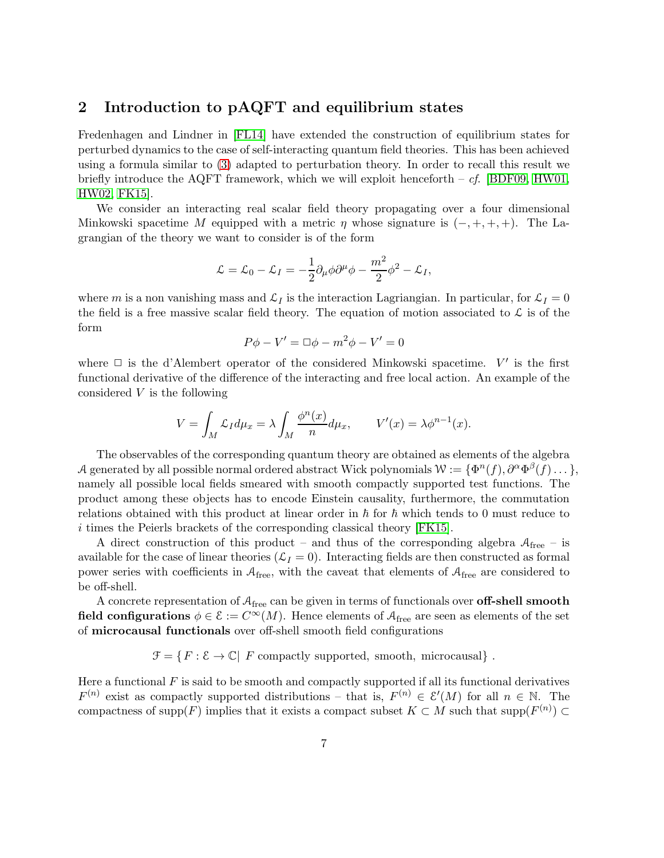### <span id="page-6-0"></span>2 Introduction to pAQFT and equilibrium states

Fredenhagen and Lindner in [\[FL14\]](#page-38-0) have extended the construction of equilibrium states for perturbed dynamics to the case of self-interacting quantum field theories. This has been achieved using a formula similar to [\(3\)](#page-3-1) adapted to perturbation theory. In order to recall this result we briefly introduce the AQFT framework, which we will exploit henceforth –  $cf.$  [\[BDF09,](#page-37-4) [HW01,](#page-38-8) [HW02,](#page-38-9) [FK15\]](#page-38-10).

We consider an interacting real scalar field theory propagating over a four dimensional Minkowski spacetime M equipped with a metric  $\eta$  whose signature is  $(-, +, +, +)$ . The Lagrangian of the theory we want to consider is of the form

$$
\mathcal{L}=\mathcal{L}_0-\mathcal{L}_I=-\frac{1}{2}\partial_\mu\phi\partial^\mu\phi-\frac{m^2}{2}\phi^2-\mathcal{L}_I,
$$

where m is a non vanishing mass and  $\mathcal{L}_I$  is the interaction Lagriangian. In particular, for  $\mathcal{L}_I = 0$ the field is a free massive scalar field theory. The equation of motion associated to  $\mathcal L$  is of the form

$$
P\phi - V' = \Box \phi - m^2 \phi - V' = 0
$$

where  $\Box$  is the d'Alembert operator of the considered Minkowski spacetime.  $V'$  is the first functional derivative of the difference of the interacting and free local action. An example of the considered  $V$  is the following

$$
V = \int_M \mathcal{L}_I d\mu_x = \lambda \int_M \frac{\phi^n(x)}{n} d\mu_x, \qquad V'(x) = \lambda \phi^{n-1}(x).
$$

The observables of the corresponding quantum theory are obtained as elements of the algebra A generated by all possible normal ordered abstract Wick polynomials  $W := {\Phi^n(f), \partial^\alpha \Phi^\beta(f) \dots}$ , namely all possible local fields smeared with smooth compactly supported test functions. The product among these objects has to encode Einstein causality, furthermore, the commutation relations obtained with this product at linear order in  $\hbar$  for  $\hbar$  which tends to 0 must reduce to i times the Peierls brackets of the corresponding classical theory [\[FK15\]](#page-38-10).

A direct construction of this product – and thus of the corresponding algebra  $A_{\text{free}}$  – is available for the case of linear theories  $(\mathcal{L}_I = 0)$ . Interacting fields are then constructed as formal power series with coefficients in  $A_{\text{free}}$ , with the caveat that elements of  $A_{\text{free}}$  are considered to be off-shell.

A concrete representation of  $A_{\text{free}}$  can be given in terms of functionals over **off-shell smooth** field configurations  $\phi \in \mathcal{E} := C^{\infty}(M)$ . Hence elements of  $\mathcal{A}_{\text{free}}$  are seen as elements of the set of microcausal functionals over off-shell smooth field configurations

 $\mathcal{F} = \{F : \mathcal{E} \to \mathbb{C} \mid F \text{ compactly supported, smooth, microcausal}\}.$ 

Here a functional  $F$  is said to be smooth and compactly supported if all its functional derivatives  $F^{(n)}$  exist as compactly supported distributions – that is,  $F^{(n)} \in \mathcal{E}'(M)$  for all  $n \in \mathbb{N}$ . The compactness of supp $(F)$  implies that it exists a compact subset  $K \subset M$  such that supp $(F^{(n)}) \subset$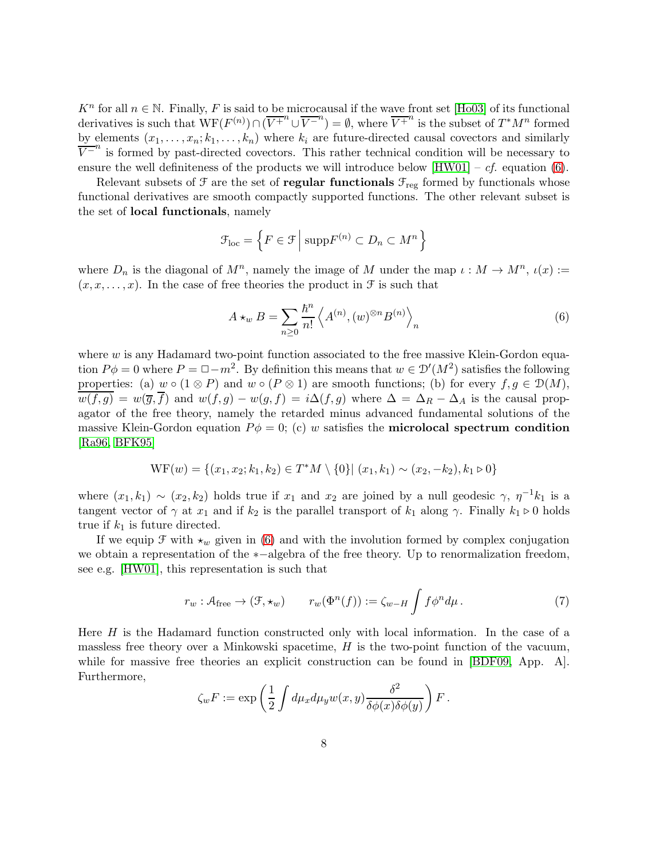$K^n$  for all  $n \in \mathbb{N}$ . Finally, F is said to be microcausal if the wave front set [\[Ho03\]](#page-38-13) of its functional derivatives is such that  $WF(F^{(n)}) \cap (\overline{V^{+}}^{n} \cup \overline{V^{-}}^{n}) = \emptyset$ , where  $\overline{V^{+}}^{n}$  is the subset of  $T^{*}M^{n}$  formed by elements  $(x_1, \ldots, x_n; k_1, \ldots, k_n)$  where  $k_i$  are future-directed causal covectors and similarly  $\overline{V}$ <sup>-n</sup> is formed by past-directed covectors. This rather technical condition will be necessary to ensure the well definiteness of the products we will introduce below  $[HW01] - cf.$  equation [\(6\)](#page-7-0).

Relevant subsets of  $\mathcal F$  are the set of **regular functionals**  $\mathcal F_\text{reg}$  formed by functionals whose functional derivatives are smooth compactly supported functions. The other relevant subset is the set of local functionals, namely

$$
\mathcal{F}_{loc} = \left\{ F \in \mathcal{F} \, \middle| \, \operatorname{supp} F^{(n)} \subset D_n \subset M^n \right\}
$$

where  $D_n$  is the diagonal of  $M^n$ , namely the image of M under the map  $\iota: M \to M^n$ ,  $\iota(x) :=$  $(x, x, \ldots, x)$ . In the case of free theories the product in  $\mathcal F$  is such that

<span id="page-7-0"></span>
$$
A \star_w B = \sum_{n \ge 0} \frac{\hbar^n}{n!} \left\langle A^{(n)}, (w)^{\otimes n} B^{(n)} \right\rangle_n \tag{6}
$$

where  $w$  is any Hadamard two-point function associated to the free massive Klein-Gordon equation  $P\phi = 0$  where  $P = \Box - m^2$ . By definition this means that  $w \in \mathcal{D}'(M^2)$  satisfies the following properties: (a)  $w \circ (1 \otimes P)$  and  $w \circ (P \otimes 1)$  are smooth functions; (b) for every  $f, g \in \mathcal{D}(M)$ ,  $\overline{w(f,g)} = w(\overline{g}, \overline{f})$  and  $w(f,g) - w(g, f) = i \Delta(f,g)$  where  $\Delta = \Delta_R - \Delta_A$  is the causal propagator of the free theory, namely the retarded minus advanced fundamental solutions of the massive Klein-Gordon equation  $P\phi = 0$ ; (c) w satisfies the **microlocal spectrum condition** [\[Ra96,](#page-39-8) [BFK95\]](#page-37-11)

$$
WF(w) = \{(x_1, x_2; k_1, k_2) \in T^*M \setminus \{0\} | (x_1, k_1) \sim (x_2, -k_2), k_1 \triangleright 0\}
$$

where  $(x_1, k_1) \sim (x_2, k_2)$  holds true if  $x_1$  and  $x_2$  are joined by a null geodesic  $\gamma$ ,  $\eta^{-1}k_1$  is a tangent vector of  $\gamma$  at  $x_1$  and if  $k_2$  is the parallel transport of  $k_1$  along  $\gamma$ . Finally  $k_1 \triangleright 0$  holds true if  $k_1$  is future directed.

If we equip  $\mathcal F$  with  $\star_w$  given in [\(6\)](#page-7-0) and with the involution formed by complex conjugation we obtain a representation of the ∗−algebra of the free theory. Up to renormalization freedom, see e.g. [\[HW01\]](#page-38-8), this representation is such that

<span id="page-7-1"></span>
$$
r_w: \mathcal{A}_{\text{free}} \to (\mathcal{F}, \star_w) \qquad r_w(\Phi^n(f)) := \zeta_{w-H} \int f \phi^n d\mu. \tag{7}
$$

Here  $H$  is the Hadamard function constructed only with local information. In the case of a massless free theory over a Minkowski spacetime,  $H$  is the two-point function of the vacuum, while for massive free theories an explicit construction can be found in [\[BDF09,](#page-37-4) App. A]. Furthermore,

$$
\zeta_w F := \exp\left(\frac{1}{2} \int d\mu_x d\mu_y w(x, y) \frac{\delta^2}{\delta \phi(x) \delta \phi(y)}\right) F.
$$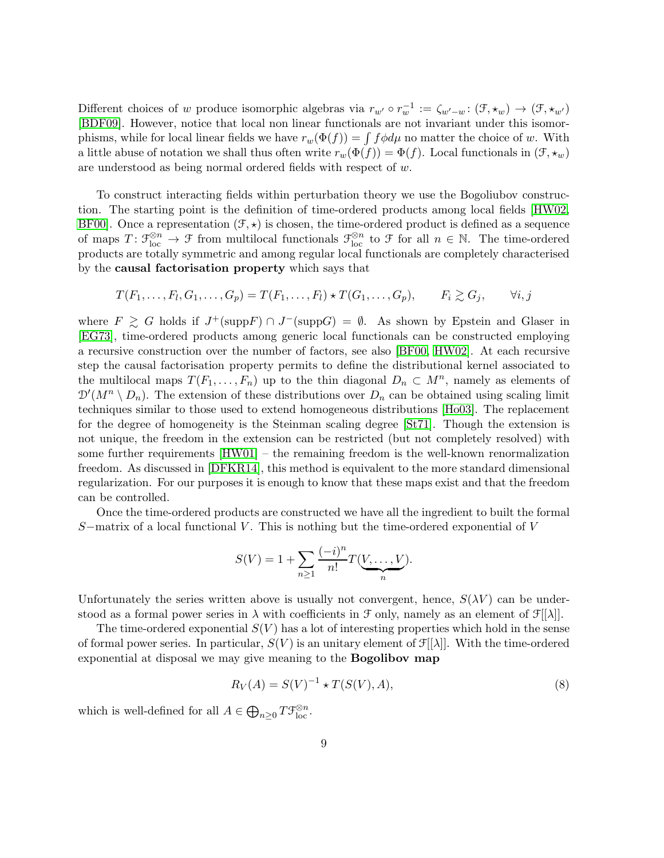Different choices of w produce isomorphic algebras via  $r_{w'} \circ r_w^{-1} := \zeta_{w'-w} : (\mathfrak{F}, \star_w) \to (\mathfrak{F}, \star_{w'})$ [\[BDF09\]](#page-37-4). However, notice that local non linear functionals are not invariant under this isomorphisms, while for local linear fields we have  $r_w(\Phi(f)) = \int f \phi d\mu$  no matter the choice of w. With a little abuse of notation we shall thus often write  $r_w(\Phi(f)) = \Phi(f)$ . Local functionals in  $(\mathcal{F}, \star_w)$ are understood as being normal ordered fields with respect of w.

To construct interacting fields within perturbation theory we use the Bogoliubov construction. The starting point is the definition of time-ordered products among local fields [\[HW02,](#page-38-9) BF00. Once a representation  $(\mathcal{F}, \star)$  is chosen, the time-ordered product is defined as a sequence of maps  $T: \mathcal{F}_{loc}^{\otimes n} \to \mathcal{F}$  from multilocal functionals  $\mathcal{F}_{loc}^{\otimes n}$  to  $\mathcal{F}$  for all  $n \in \mathbb{N}$ . The time-ordered products are totally symmetric and among regular local functionals are completely characterised by the causal factorisation property which says that

$$
T(F_1, \ldots, F_l, G_1, \ldots, G_p) = T(F_1, \ldots, F_l) \star T(G_1, \ldots, G_p), \qquad F_i \gtrsim G_j, \qquad \forall i, j
$$

where  $F \geq G$  holds if  $J^+(\text{supp}F) \cap J^-(\text{supp}G) = \emptyset$ . As shown by Epstein and Glaser in [\[EG73\]](#page-37-12), time-ordered products among generic local functionals can be constructed employing a recursive construction over the number of factors, see also [\[BF00,](#page-37-3) [HW02\]](#page-38-9). At each recursive step the causal factorisation property permits to define the distributional kernel associated to the multilocal maps  $T(F_1, \ldots, F_n)$  up to the thin diagonal  $D_n \subset M^n$ , namely as elements of  $\mathcal{D}'(M^n \setminus D_n)$ . The extension of these distributions over  $D_n$  can be obtained using scaling limit techniques similar to those used to extend homogeneous distributions [\[Ho03\]](#page-38-13). The replacement for the degree of homogeneity is the Steinman scaling degree [\[St71\]](#page-39-9). Though the extension is not unique, the freedom in the extension can be restricted (but not completely resolved) with some further requirements [\[HW01\]](#page-38-8) – the remaining freedom is the well-known renormalization freedom. As discussed in [\[DFKR14\]](#page-37-13), this method is equivalent to the more standard dimensional regularization. For our purposes it is enough to know that these maps exist and that the freedom can be controlled.

Once the time-ordered products are constructed we have all the ingredient to built the formal S–matrix of a local functional V. This is nothing but the time-ordered exponential of V

$$
S(V) = 1 + \sum_{n \geq 1} \frac{(-i)^n}{n!} T(\underbrace{V, \dots, V}_{n}).
$$

Unfortunately the series written above is usually not convergent, hence,  $S(\lambda V)$  can be understood as a formal power series in  $\lambda$  with coefficients in  $\mathcal F$  only, namely as an element of  $\mathcal F[[\lambda]]$ .

The time-ordered exponential  $S(V)$  has a lot of interesting properties which hold in the sense of formal power series. In particular,  $S(V)$  is an unitary element of  $\mathcal{F}[[\lambda]]$ . With the time-ordered exponential at disposal we may give meaning to the Bogolibov map

<span id="page-8-0"></span>
$$
R_V(A) = S(V)^{-1} \star T(S(V), A),
$$
\n(8)

which is well-defined for all  $A \in \bigoplus_{n \geq 0} T\mathcal{F}_{\text{loc}}^{\otimes n}$ .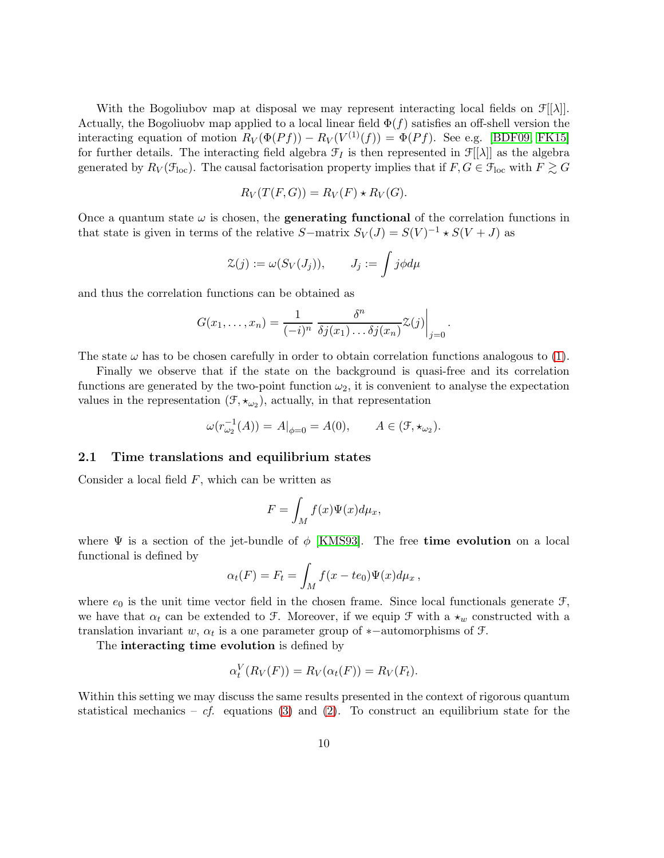With the Bogoliubov map at disposal we may represent interacting local fields on  $\mathcal{F}[[\lambda]]$ . Actually, the Bogoliuobv map applied to a local linear field  $\Phi(f)$  satisfies an off-shell version the interacting equation of motion  $R_V(\Phi(Pf)) - R_V(V^{(1)}(f)) = \Phi(Pf)$ . See e.g. [\[BDF09,](#page-37-4) [FK15\]](#page-38-10) for further details. The interacting field algebra  $\mathcal{F}_I$  is then represented in  $\mathcal{F}[[\lambda]]$  as the algebra generated by  $R_V(\mathcal{F}_{loc})$ . The causal factorisation property implies that if  $F, G \in \mathcal{F}_{loc}$  with  $F \gtrsim G$ 

$$
R_V(T(F, G)) = R_V(F) \star R_V(G).
$$

Once a quantum state  $\omega$  is chosen, the **generating functional** of the correlation functions in that state is given in terms of the relative  $S$ –matrix  $S_V(J) = S(V)^{-1} \star S(V+J)$  as

$$
\mathcal{Z}(j) := \omega(S_V(J_j)), \qquad J_j := \int j \phi d\mu
$$

and thus the correlation functions can be obtained as

$$
G(x_1,\ldots,x_n)=\frac{1}{(-i)^n}\left.\frac{\delta^n}{\delta j(x_1)\ldots\delta j(x_n)}\mathcal{Z}(j)\right|_{j=0}.
$$

The state  $\omega$  has to be chosen carefully in order to obtain correlation functions analogous to [\(1\)](#page-1-0).

Finally we observe that if the state on the background is quasi-free and its correlation functions are generated by the two-point function  $\omega_2$ , it is convenient to analyse the expectation values in the representation  $(\mathcal{F}, \star_{\omega_2})$ , actually, in that representation

$$
\omega(r_{\omega_2}^{-1}(A)) = A|_{\phi=0} = A(0), \qquad A \in (\mathfrak{F}, \star_{\omega_2}).
$$

#### 2.1 Time translations and equilibrium states

Consider a local field  $F$ , which can be written as

$$
F = \int_M f(x)\Psi(x)d\mu_x,
$$

where  $\Psi$  is a section of the jet-bundle of  $\phi$  [\[KMS93\]](#page-38-14). The free time evolution on a local functional is defined by

$$
\alpha_t(F) = F_t = \int_M f(x - te_0) \Psi(x) d\mu_x,
$$

where  $e_0$  is the unit time vector field in the chosen frame. Since local functionals generate  $\mathcal{F}$ , we have that  $\alpha_t$  can be extended to F. Moreover, if we equip F with a  $\star_w$  constructed with a translation invariant w,  $\alpha_t$  is a one parameter group of \*-automorphisms of  $\mathcal{F}$ .

The interacting time evolution is defined by

$$
\alpha_t^V(R_V(F)) = R_V(\alpha_t(F)) = R_V(F_t).
$$

Within this setting we may discuss the same results presented in the context of rigorous quantum statistical mechanics – cf. equations [\(3\)](#page-3-1) and [\(2\)](#page-3-0). To construct an equilibrium state for the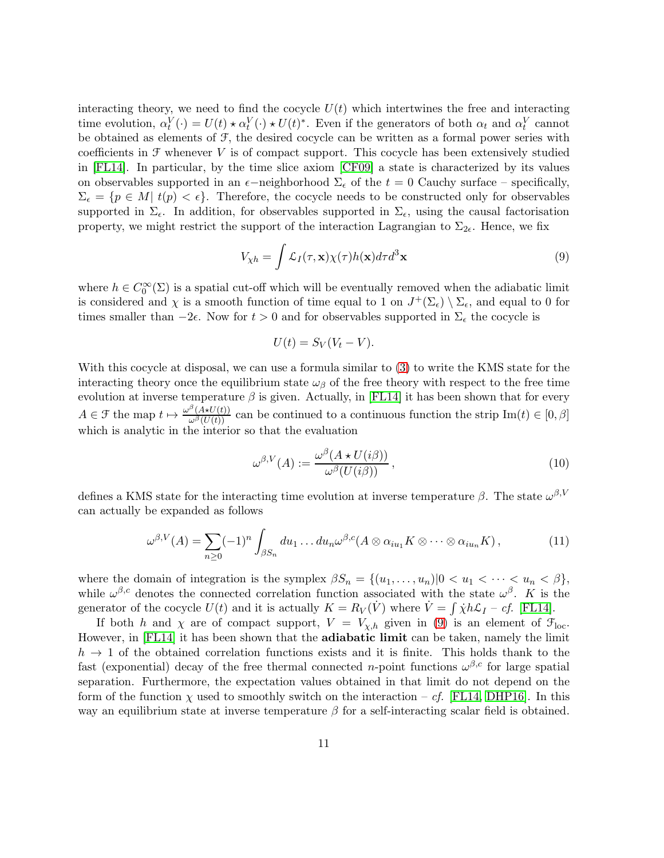interacting theory, we need to find the cocycle  $U(t)$  which intertwines the free and interacting time evolution,  $\alpha_t^V(\cdot) = U(t) \star \alpha_t^V(\cdot) \star U(t)^*$ . Even if the generators of both  $\alpha_t$  and  $\alpha_t^V$  cannot be obtained as elements of F, the desired cocycle can be written as a formal power series with coefficients in  $\mathcal F$  whenever  $V$  is of compact support. This cocycle has been extensively studied in [\[FL14\]](#page-38-0). In particular, by the time slice axiom [\[CF09\]](#page-37-14) a state is characterized by its values on observables supported in an  $\epsilon$ −neighborhood  $\Sigma_{\epsilon}$  of the  $t = 0$  Cauchy surface – specifically,  $\Sigma_{\epsilon} = \{p \in M | t(p) < \epsilon\}.$  Therefore, the cocycle needs to be constructed only for observables supported in  $\Sigma_{\epsilon}$ . In addition, for observables supported in  $\Sigma_{\epsilon}$ , using the causal factorisation property, we might restrict the support of the interaction Lagrangian to  $\Sigma_{2\epsilon}$ . Hence, we fix

<span id="page-10-2"></span>
$$
V_{\chi h} = \int \mathcal{L}_I(\tau, \mathbf{x}) \chi(\tau) h(\mathbf{x}) d\tau d^3 \mathbf{x}
$$
\n(9)

where  $h \in C_0^{\infty}(\Sigma)$  is a spatial cut-off which will be eventually removed when the adiabatic limit is considered and  $\chi$  is a smooth function of time equal to 1 on  $J^+(\Sigma_\epsilon) \setminus \Sigma_\epsilon$ , and equal to 0 for times smaller than  $-2\epsilon$ . Now for  $t > 0$  and for observables supported in  $\Sigma_{\epsilon}$  the cocycle is

$$
U(t) = S_V(V_t - V).
$$

With this cocycle at disposal, we can use a formula similar to [\(3\)](#page-3-1) to write the KMS state for the interacting theory once the equilibrium state  $\omega_{\beta}$  of the free theory with respect to the free time evolution at inverse temperature  $\beta$  is given. Actually, in [\[FL14\]](#page-38-0) it has been shown that for every  $A \in \mathcal{F}$  the map  $t \mapsto \frac{\omega^{\beta}(A \star U(t))}{\omega^{\beta}(U(t))}$  can be continued to a continuous function the strip  $\text{Im}(t) \in [0, \beta]$ which is analytic in the interior so that the evaluation

<span id="page-10-1"></span><span id="page-10-0"></span>
$$
\omega^{\beta,V}(A) := \frac{\omega^{\beta}(A \star U(i\beta))}{\omega^{\beta}(U(i\beta))},
$$
\n(10)

defines a KMS state for the interacting time evolution at inverse temperature  $\beta$ . The state  $\omega^{\beta,V}$ can actually be expanded as follows

$$
\omega^{\beta,V}(A) = \sum_{n\geq 0} (-1)^n \int_{\beta S_n} du_1 \dots du_n \omega^{\beta,c}(A \otimes \alpha_{iu_1} K \otimes \dots \otimes \alpha_{iu_n} K), \qquad (11)
$$

where the domain of integration is the symplex  $\beta S_n = \{(u_1, \ldots, u_n) | 0 < u_1 < \cdots < u_n < \beta\},\$ while  $\omega^{\beta,c}$  denotes the connected correlation function associated with the state  $\omega^{\beta}$ . K is the generator of the cocycle  $U(t)$  and it is actually  $K = R_V(\dot{V})$  where  $\dot{V} = \int \dot{\chi} h \mathcal{L}_I - cf.$  [\[FL14\]](#page-38-0).

If both h and  $\chi$  are of compact support,  $V = V_{\chi,h}$  given in [\(9\)](#page-10-2) is an element of  $\mathcal{F}_{loc}$ . However, in [\[FL14\]](#page-38-0) it has been shown that the adiabatic limit can be taken, namely the limit  $h \to 1$  of the obtained correlation functions exists and it is finite. This holds thank to the fast (exponential) decay of the free thermal connected *n*-point functions  $\omega^{\beta,c}$  for large spatial separation. Furthermore, the expectation values obtained in that limit do not depend on the form of the function  $\chi$  used to smoothly switch on the interaction – cf. [\[FL14,](#page-38-0) [DHP16\]](#page-37-7). In this way an equilibrium state at inverse temperature  $\beta$  for a self-interacting scalar field is obtained.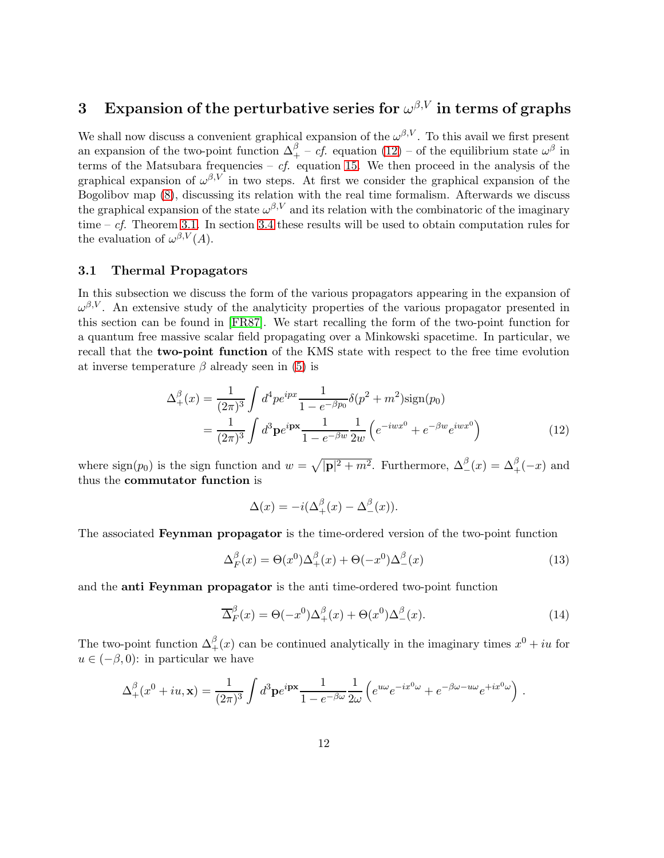# <span id="page-11-1"></span> $3$   $\;$  Expansion of the perturbative series for  $\omega^{\beta,V}$  in terms of graphs

We shall now discuss a convenient graphical expansion of the  $\omega^{\beta,V}$ . To this avail we first present an expansion of the two-point function  $\Delta_+^\beta - cf$  equation  $(12)$  – of the equilibrium state  $\omega^\beta$  in terms of the Matsubara frequencies –  $cf.$  equation [15.](#page-12-2) We then proceed in the analysis of the graphical expansion of  $\omega^{\beta,V}$  in two steps. At first we consider the graphical expansion of the Bogolibov map [\(8\)](#page-8-0), discussing its relation with the real time formalism. Afterwards we discuss the graphical expansion of the state  $\omega^{\beta,V}$  and its relation with the combinatoric of the imaginary time –  $cf.$  Theorem [3.1.](#page-19-0) In section [3.4](#page-25-0) these results will be used to obtain computation rules for the evaluation of  $\omega^{\beta,V}(A)$ .

#### <span id="page-11-0"></span>3.1 Thermal Propagators

In this subsection we discuss the form of the various propagators appearing in the expansion of  $\omega^{\beta,V}$ . An extensive study of the analyticity properties of the various propagator presented in this section can be found in [\[FR87\]](#page-38-15). We start recalling the form of the two-point function for a quantum free massive scalar field propagating over a Minkowski spacetime. In particular, we recall that the two-point function of the KMS state with respect to the free time evolution at inverse temperature  $\beta$  already seen in [\(5\)](#page-4-0) is

$$
\Delta_{+}^{\beta}(x) = \frac{1}{(2\pi)^{3}} \int d^{4}p e^{ipx} \frac{1}{1 - e^{-\beta p_{0}}} \delta(p^{2} + m^{2}) \text{sign}(p_{0})
$$

$$
= \frac{1}{(2\pi)^{3}} \int d^{3}p e^{ipx} \frac{1}{1 - e^{-\beta w}} \frac{1}{2w} \left( e^{-iwx^{0}} + e^{-\beta w} e^{iwx^{0}} \right)
$$
(12)

where  $\text{sign}(p_0)$  is the sign function and  $w = \sqrt{|\mathbf{p}|^2 + m^2}$ . Furthermore,  $\Delta^{\beta}_{-}(x) = \Delta^{\beta}_{+}(-x)$  and thus the commutator function is

<span id="page-11-4"></span><span id="page-11-3"></span><span id="page-11-2"></span>
$$
\Delta(x) = -i(\Delta_+^\beta(x) - \Delta_-^\beta(x)).
$$

The associated Feynman propagator is the time-ordered version of the two-point function

$$
\Delta_F^{\beta}(x) = \Theta(x^0)\Delta_+^{\beta}(x) + \Theta(-x^0)\Delta_-^{\beta}(x)
$$
\n(13)

and the anti Feynman propagator is the anti time-ordered two-point function

$$
\overline{\Delta}_F^{\beta}(x) = \Theta(-x^0)\Delta_+^{\beta}(x) + \Theta(x^0)\Delta_-^{\beta}(x). \tag{14}
$$

The two-point function  $\Delta_+^{\beta}(x)$  can be continued analytically in the imaginary times  $x^0 + iu$  for  $u \in (-\beta, 0)$ : in particular we have

$$
\Delta_+^{\beta}(x^0+iu,\mathbf{x}) = \frac{1}{(2\pi)^3} \int d^3\mathbf{p} e^{i\mathbf{p}\mathbf{x}} \frac{1}{1 - e^{-\beta\omega}} \frac{1}{2\omega} \left( e^{u\omega} e^{-ix^0\omega} + e^{-\beta\omega - u\omega} e^{+ix^0\omega} \right) .
$$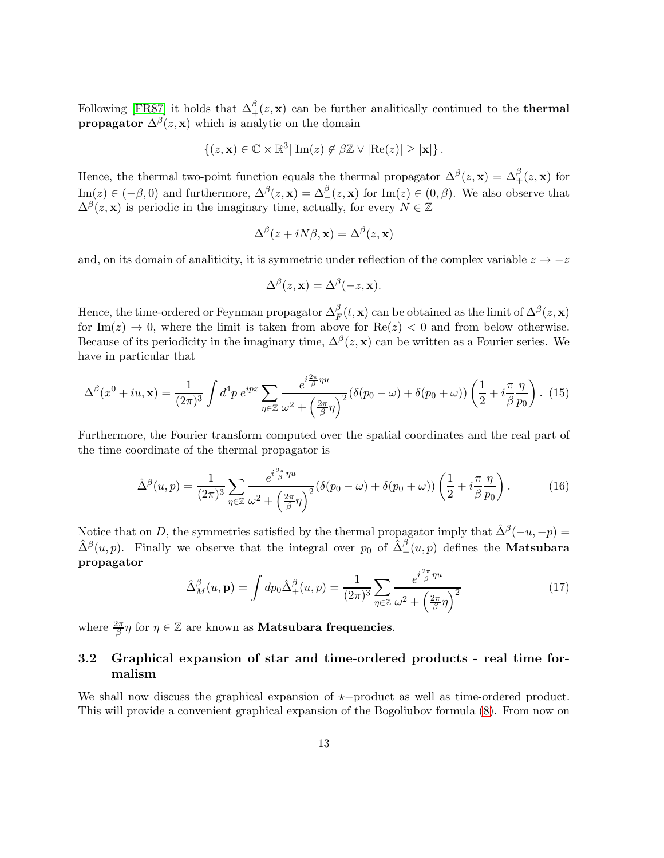Following [\[FR87\]](#page-38-15) it holds that  $\Delta_+^{\beta}(z, \mathbf{x})$  can be further analitically continued to the **thermal propagator**  $\Delta^{\beta}(z, \mathbf{x})$  which is analytic on the domain

$$
\{(z,\mathbf{x})\in\mathbb{C}\times\mathbb{R}^3|\ \mathrm{Im}(z)\not\in\beta\mathbb{Z}\vee|\mathrm{Re}(z)|\geq|\mathbf{x}|\}.
$$

Hence, the thermal two-point function equals the thermal propagator  $\Delta^{\beta}(z, \mathbf{x}) = \Delta^{\beta}_+(z, \mathbf{x})$  for  $\text{Im}(z) \in (-\beta, 0)$  and furthermore,  $\Delta^{\beta}(z, \mathbf{x}) = \Delta^{\beta}(z, \mathbf{x})$  for  $\text{Im}(z) \in (0, \beta)$ . We also observe that  $\Delta^{\beta}(z, \mathbf{x})$  is periodic in the imaginary time, actually, for every  $N \in \mathbb{Z}$ 

$$
\Delta^{\beta}(z+iN\beta,\mathbf{x})=\Delta^{\beta}(z,\mathbf{x})
$$

and, on its domain of analiticity, it is symmetric under reflection of the complex variable  $z \to -z$ 

$$
\Delta^{\beta}(z, \mathbf{x}) = \Delta^{\beta}(-z, \mathbf{x}).
$$

Hence, the time-ordered or Feynman propagator  $\Delta_F^{\beta}(t, \mathbf{x})$  can be obtained as the limit of  $\Delta^{\beta}(z, \mathbf{x})$ for Im(z)  $\rightarrow$  0, where the limit is taken from above for Re(z)  $<$  0 and from below otherwise. Because of its periodicity in the imaginary time,  $\Delta^{\beta}(z, \mathbf{x})$  can be written as a Fourier series. We have in particular that

<span id="page-12-2"></span>
$$
\Delta^{\beta}(x^0+iu,\mathbf{x}) = \frac{1}{(2\pi)^3} \int d^4p \ e^{ipx} \sum_{\eta \in \mathbb{Z}} \frac{e^{i\frac{2\pi}{\beta}\eta u}}{\omega^2 + \left(\frac{2\pi}{\beta}\eta\right)^2} (\delta(p_0-\omega) + \delta(p_0+\omega)) \left(\frac{1}{2} + i\frac{\pi}{\beta}\frac{\eta}{p_0}\right). \tag{15}
$$

Furthermore, the Fourier transform computed over the spatial coordinates and the real part of the time coordinate of the thermal propagator is

<span id="page-12-0"></span>
$$
\hat{\Delta}^{\beta}(u,p) = \frac{1}{(2\pi)^3} \sum_{\eta \in \mathbb{Z}} \frac{e^{i\frac{2\pi}{\beta}\eta u}}{\omega^2 + \left(\frac{2\pi}{\beta}\eta\right)^2} (\delta(p_0 - \omega) + \delta(p_0 + \omega)) \left(\frac{1}{2} + i\frac{\pi}{\beta}\frac{\eta}{p_0}\right). \tag{16}
$$

Notice that on D, the symmetries satisfied by the thermal propagator imply that  $\hat{\Delta}^{\beta}(-u, -p) =$  $\hat{\Delta}^{\beta}(u,p)$ . Finally we observe that the integral over  $p_0$  of  $\hat{\Delta}^{\beta}_+(u,p)$  defines the **Matsubara** propagator

<span id="page-12-3"></span>
$$
\hat{\Delta}_{M}^{\beta}(u,\mathbf{p}) = \int dp_0 \hat{\Delta}_{+}^{\beta}(u,p) = \frac{1}{(2\pi)^3} \sum_{\eta \in \mathbb{Z}} \frac{e^{i\frac{2\pi}{\beta}\eta u}}{\omega^2 + \left(\frac{2\pi}{\beta}\eta\right)^2}
$$
(17)

where  $\frac{2\pi}{\beta}\eta$  for  $\eta \in \mathbb{Z}$  are known as **Matsubara frequencies**.

## <span id="page-12-1"></span>3.2 Graphical expansion of star and time-ordered products - real time formalism

We shall now discuss the graphical expansion of  $\star$ −product as well as time-ordered product. This will provide a convenient graphical expansion of the Bogoliubov formula [\(8\)](#page-8-0). From now on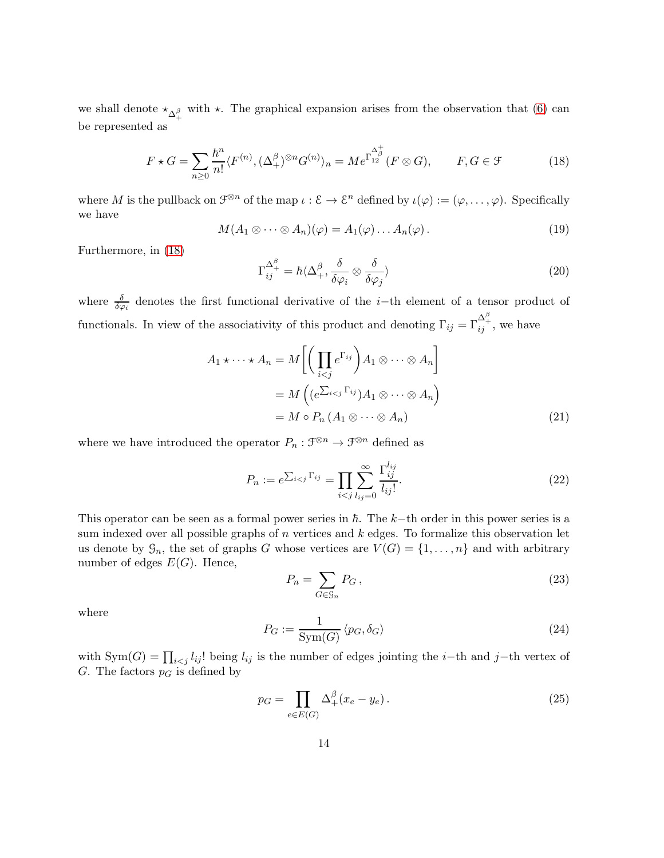we shall denote  $\star_{\Delta^{\beta}_+}$  with  $\star$ . The graphical expansion arises from the observation that [\(6\)](#page-7-0) can be represented as

<span id="page-13-0"></span>
$$
F \star G = \sum_{n\geq 0} \frac{\hbar^n}{n!} \langle F^{(n)}, (\Delta_+^\beta)^{\otimes n} G^{(n)} \rangle_n = M e^{\Gamma_{12}^{\Delta_\beta^+}} (F \otimes G), \qquad F, G \in \mathcal{F}
$$
 (18)

where M is the pullback on  $\mathcal{F}^{\otimes n}$  of the map  $\iota : \mathcal{E} \to \mathcal{E}^n$  defined by  $\iota(\varphi) := (\varphi, \dots, \varphi)$ . Specifically we have

<span id="page-13-4"></span>
$$
M(A_1 \otimes \cdots \otimes A_n)(\varphi) = A_1(\varphi) \dots A_n(\varphi).
$$
 (19)

Furthermore, in [\(18\)](#page-13-0)

<span id="page-13-5"></span>
$$
\Gamma_{ij}^{\Delta_i^{\beta}} = \hbar \langle \Delta_+^{\beta}, \frac{\delta}{\delta \varphi_i} \otimes \frac{\delta}{\delta \varphi_j} \rangle \tag{20}
$$

where  $\frac{\delta}{\delta\varphi_i}$  denotes the first functional derivative of the *i*-th element of a tensor product of functionals. In view of the associativity of this product and denoting  $\Gamma_{ij} = \Gamma_{ij}^{\Delta_i^{\beta}}$ , we have

$$
A_1 \star \cdots \star A_n = M \left[ \left( \prod_{i < j} e^{\Gamma_{ij}} \right) A_1 \otimes \cdots \otimes A_n \right]
$$
\n
$$
= M \left( (e^{\sum_{i < j} \Gamma_{ij}}) A_1 \otimes \cdots \otimes A_n \right)
$$
\n
$$
= M \circ P_n \left( A_1 \otimes \cdots \otimes A_n \right) \tag{21}
$$

where we have introduced the operator  $P_n : \mathcal{F}^{\otimes n} \to \mathcal{F}^{\otimes n}$  defined as

<span id="page-13-6"></span><span id="page-13-2"></span>
$$
P_n := e^{\sum_{i < j} \Gamma_{ij}} = \prod_{i < j} \sum_{l_{ij} = 0}^{\infty} \frac{\Gamma_{ij}^{l_{ij}}}{l_{ij}!}.
$$
\n(22)

This operator can be seen as a formal power series in  $\hbar$ . The k−th order in this power series is a sum indexed over all possible graphs of  $n$  vertices and  $k$  edges. To formalize this observation let us denote by  $\mathcal{G}_n$ , the set of graphs G whose vertices are  $V(G) = \{1, \ldots, n\}$  and with arbitrary number of edges  $E(G)$ . Hence,

<span id="page-13-7"></span>
$$
P_n = \sum_{G \in \mathcal{G}_n} P_G, \qquad (23)
$$

where

<span id="page-13-1"></span>
$$
P_G := \frac{1}{\text{Sym}(G)} \langle p_G, \delta_G \rangle \tag{24}
$$

with Sym $(G) = \prod_{i < j} l_{ij}!$  being  $l_{ij}$  is the number of edges jointing the i–th and j–th vertex of G. The factors  $p<sub>G</sub>$  is defined by

<span id="page-13-3"></span>
$$
p_G = \prod_{e \in E(G)} \Delta_+^\beta (x_e - y_e). \tag{25}
$$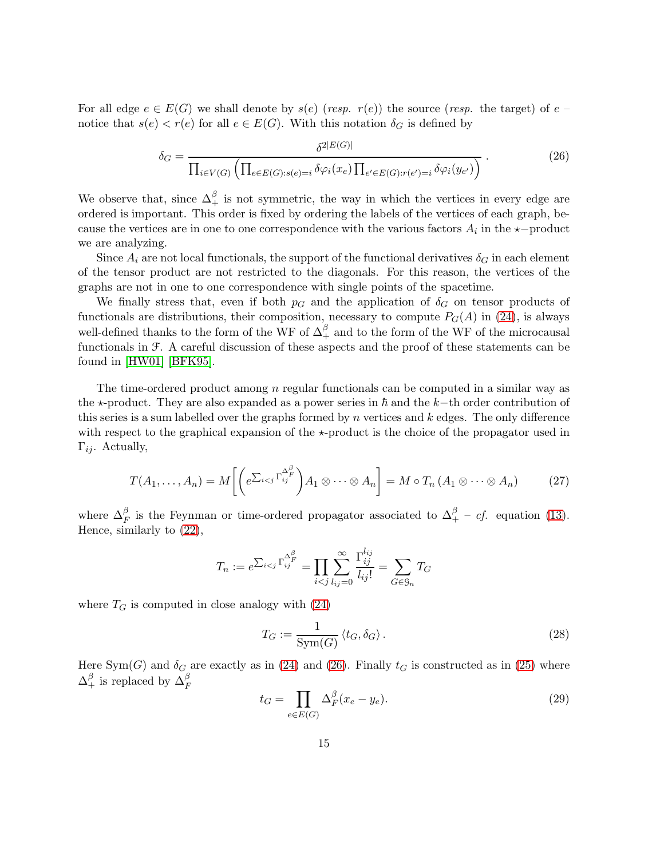For all edge  $e \in E(G)$  we shall denote by  $s(e)$  (resp.  $r(e)$ ) the source (resp. the target) of  $e$ notice that  $s(e) < r(e)$  for all  $e \in E(G)$ . With this notation  $\delta_G$  is defined by

<span id="page-14-0"></span>
$$
\delta_G = \frac{\delta^{2|E(G)|}}{\prod_{i \in V(G)} \left( \prod_{e \in E(G):s(e)=i} \delta \varphi_i(x_e) \prod_{e' \in E(G):r(e')=i} \delta \varphi_i(y_{e'}) \right)}.
$$
\n(26)

We observe that, since  $\Delta_+^\beta$  is not symmetric, the way in which the vertices in every edge are ordered is important. This order is fixed by ordering the labels of the vertices of each graph, because the vertices are in one to one correspondence with the various factors  $A_i$  in the  $\star$ -product we are analyzing.

Since  $A_i$  are not local functionals, the support of the functional derivatives  $\delta_G$  in each element of the tensor product are not restricted to the diagonals. For this reason, the vertices of the graphs are not in one to one correspondence with single points of the spacetime.

We finally stress that, even if both  $p<sub>G</sub>$  and the application of  $\delta<sub>G</sub>$  on tensor products of functionals are distributions, their composition, necessary to compute  $P_G(A)$  in [\(24\)](#page-13-1), is always well-defined thanks to the form of the WF of  $\Delta_+^\beta$  and to the form of the WF of the microcausal functionals in F. A careful discussion of these aspects and the proof of these statements can be found in [\[HW01\]](#page-38-8) [\[BFK95\]](#page-37-11).

The time-ordered product among n regular functionals can be computed in a similar way as the  $\star$ -product. They are also expanded as a power series in  $\hbar$  and the k–th order contribution of this series is a sum labelled over the graphs formed by n vertices and  $k$  edges. The only difference with respect to the graphical expansion of the  $\star$ -product is the choice of the propagator used in  $\Gamma_{ij}$ . Actually,

<span id="page-14-3"></span>
$$
T(A_1, \ldots, A_n) = M\left[ \left( e^{\sum_{i < j} \Gamma_{ij}^{\Delta_F^{\beta}}} \right) A_1 \otimes \cdots \otimes A_n \right] = M \circ T_n \left( A_1 \otimes \cdots \otimes A_n \right) \tag{27}
$$

where  $\Delta_F^{\beta}$  is the Feynman or time-ordered propagator associated to  $\Delta_{+}^{\beta}$  – *cf.* equation [\(13\)](#page-11-3). Hence, similarly to [\(22\)](#page-13-2),

$$
T_n := e^{\sum_{i < j} \Gamma_{ij}^{\Delta_f^{\beta}}} = \prod_{i < j} \sum_{l_{ij} = 0}^{\infty} \frac{\Gamma_{ij}^{l_{ij}}}{l_{ij}!} = \sum_{G \in \mathcal{G}_n} T_G
$$

where  $T_G$  is computed in close analogy with  $(24)$ 

<span id="page-14-1"></span>
$$
T_G := \frac{1}{\text{Sym}(G)} \left\langle t_G, \delta_G \right\rangle. \tag{28}
$$

Here Sym(G) and  $\delta_G$  are exactly as in [\(24\)](#page-13-1) and [\(26\)](#page-14-0). Finally  $t_G$  is constructed as in [\(25\)](#page-13-3) where  $\Delta_+^{\beta}$  is replaced by  $\Delta_F^{\beta}$ 

<span id="page-14-2"></span>
$$
t_G = \prod_{e \in E(G)} \Delta_F^{\beta} (x_e - y_e). \tag{29}
$$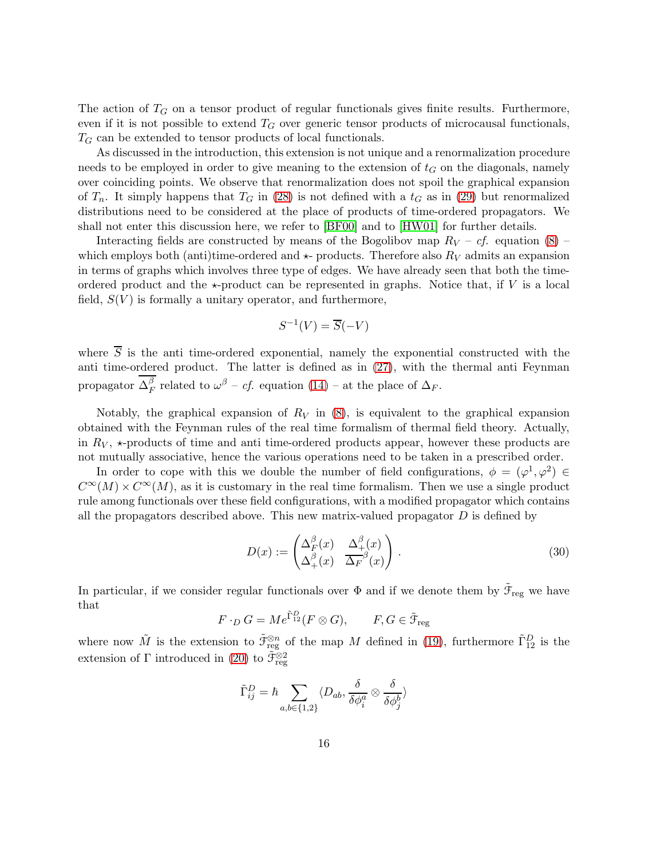The action of  $T_G$  on a tensor product of regular functionals gives finite results. Furthermore, even if it is not possible to extend  $T_G$  over generic tensor products of microcausal functionals,  $T_G$  can be extended to tensor products of local functionals.

As discussed in the introduction, this extension is not unique and a renormalization procedure needs to be employed in order to give meaning to the extension of  $t_G$  on the diagonals, namely over coinciding points. We observe that renormalization does not spoil the graphical expansion of  $T_n$ . It simply happens that  $T_G$  in [\(28\)](#page-14-1) is not defined with a  $t_G$  as in [\(29\)](#page-14-2) but renormalized distributions need to be considered at the place of products of time-ordered propagators. We shall not enter this discussion here, we refer to [\[BF00\]](#page-37-3) and to [\[HW01\]](#page-38-8) for further details.

Interacting fields are constructed by means of the Bogolibov map  $R_V - cf.$  equation [\(8\)](#page-8-0) – which employs both (anti)time-ordered and  $\star$ - products. Therefore also  $R_V$  admits an expansion in terms of graphs which involves three type of edges. We have already seen that both the timeordered product and the  $\star$ -product can be represented in graphs. Notice that, if V is a local field,  $S(V)$  is formally a unitary operator, and furthermore,

$$
S^{-1}(V) = \overline{S}(-V)
$$

where  $\overline{S}$  is the anti-time-ordered exponential, namely the exponential constructed with the anti time-ordered product. The latter is defined as in [\(27\)](#page-14-3), with the thermal anti Feynman propagator  $\Delta^{\beta}_F$  $_{F}^{\beta}$  related to  $\omega^{\beta}$  – *cf.* equation [\(14\)](#page-11-4) – at the place of  $\Delta_{F}$ .

Notably, the graphical expansion of  $R_V$  in [\(8\)](#page-8-0), is equivalent to the graphical expansion obtained with the Feynman rules of the real time formalism of thermal field theory. Actually, in  $R_V$ ,  $\star$ -products of time and anti-time-ordered products appear, however these products are not mutually associative, hence the various operations need to be taken in a prescribed order.

In order to cope with this we double the number of field configurations,  $\phi = (\varphi^1, \varphi^2) \in$  $C^{\infty}(M) \times C^{\infty}(M)$ , as it is customary in the real time formalism. Then we use a single product rule among functionals over these field configurations, with a modified propagator which contains all the propagators described above. This new matrix-valued propagator  $D$  is defined by

<span id="page-15-0"></span>
$$
D(x) := \begin{pmatrix} \Delta_F^{\beta}(x) & \Delta_+(x) \\ \Delta_+(x) & \Delta_F^{\beta}(x) \end{pmatrix} . \tag{30}
$$

In particular, if we consider regular functionals over  $\Phi$  and if we denote them by  $\tilde{\mathcal{F}}_{reg}$  we have that

$$
F \cdot_D G = Me^{\tilde{\Gamma}_{12}^D}(F \otimes G), \qquad F, G \in \tilde{\mathcal{F}}_{reg}
$$

where now  $\tilde{M}$  is the extension to  $\tilde{\mathfrak{F}}_{reg}^{\otimes n}$  of the map M defined in [\(19\)](#page-13-4), furthermore  $\tilde{\Gamma}_{12}^D$  is the extension of  $\Gamma$  introduced in [\(20\)](#page-13-5) to  $\tilde{\mathcal{F}}_{\text{reg}}^{\otimes 2}$ 

$$
\tilde{\Gamma}_{ij}^D = \hbar \sum_{a,b \in \{1,2\}} \langle D_{ab}, \frac{\delta}{\delta \phi_i^a} \otimes \frac{\delta}{\delta \phi_j^b} \rangle
$$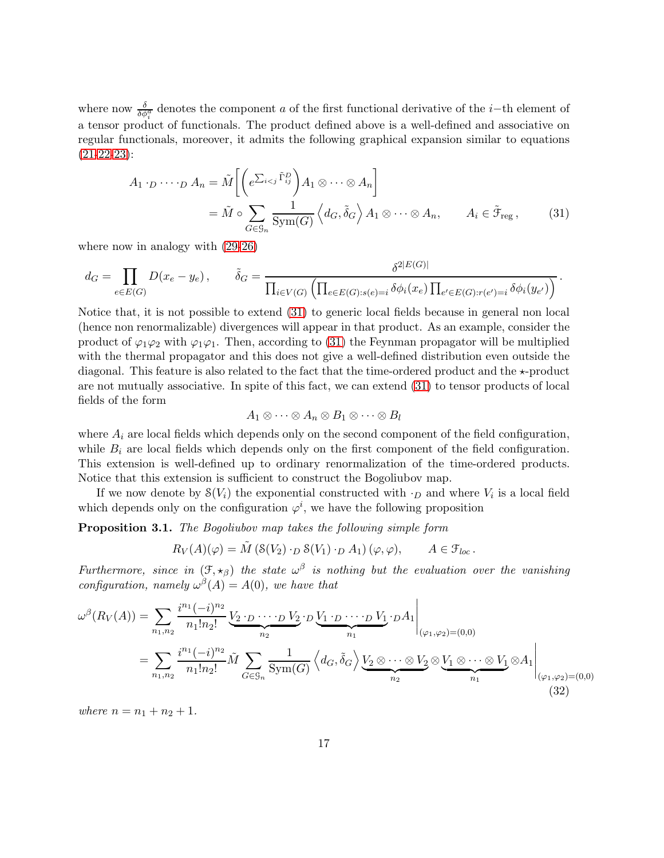where now  $\frac{\delta}{\delta \phi_i^a}$  denotes the component a of the first functional derivative of the *i*−th element of a tensor product of functionals. The product defined above is a well-defined and associative on regular functionals, moreover, it admits the following graphical expansion similar to equations  $(21-22-23)$  $(21-22-23)$  $(21-22-23)$ :

$$
A_1 \cdot D \cdots \cdot D A_n = \tilde{M} \left[ \left( e^{\sum_{i < j} \tilde{\Gamma}_{ij}^D} \right) A_1 \otimes \cdots \otimes A_n \right]
$$
\n
$$
= \tilde{M} \circ \sum_{G \in \mathcal{G}_n} \frac{1}{\text{Sym}(G)} \left\langle d_G, \tilde{\delta}_G \right\rangle A_1 \otimes \cdots \otimes A_n, \qquad A_i \in \tilde{\mathcal{F}}_{\text{reg}} \,, \tag{31}
$$

where now in analogy with [\(29](#page-14-2)[-26\)](#page-14-0)

$$
d_G = \prod_{e \in E(G)} D(x_e - y_e), \qquad \tilde{\delta}_G = \frac{\delta^{2|E(G)|}}{\prod_{i \in V(G)} \left( \prod_{e \in E(G):s(e)=i} \delta \phi_i(x_e) \prod_{e' \in E(G):r(e')=i} \delta \phi_i(y_{e'}) \right)}.
$$

Notice that, it is not possible to extend [\(31\)](#page-16-1) to generic local fields because in general non local (hence non renormalizable) divergences will appear in that product. As an example, consider the product of  $\varphi_1\varphi_2$  with  $\varphi_1\varphi_1$ . Then, according to [\(31\)](#page-16-1) the Feynman propagator will be multiplied with the thermal propagator and this does not give a well-defined distribution even outside the diagonal. This feature is also related to the fact that the time-ordered product and the  $\star$ -product are not mutually associative. In spite of this fact, we can extend [\(31\)](#page-16-1) to tensor products of local fields of the form

<span id="page-16-1"></span>
$$
A_1 \otimes \cdots \otimes A_n \otimes B_1 \otimes \cdots \otimes B_l
$$

where  $A_i$  are local fields which depends only on the second component of the field configuration, while  $B_i$  are local fields which depends only on the first component of the field configuration. This extension is well-defined up to ordinary renormalization of the time-ordered products. Notice that this extension is sufficient to construct the Bogoliubov map.

If we now denote by  $\mathcal{S}(V_i)$  the exponential constructed with  $\cdot_D$  and where  $V_i$  is a local field which depends only on the configuration  $\varphi^i$ , we have the following proposition

<span id="page-16-0"></span>Proposition 3.1. The Bogoliubov map takes the following simple form

<span id="page-16-2"></span>
$$
R_V(A)(\varphi) = \tilde{M} \left( \mathcal{S}(V_2) \cdot_D \mathcal{S}(V_1) \cdot_D A_1 \right) (\varphi, \varphi), \qquad A \in \mathcal{F}_{loc}.
$$

Furthermore, since in  $(\mathfrak{F}, \star_{\beta})$  the state  $\omega^{\beta}$  is nothing but the evaluation over the vanishing configuration, namely  $\omega^{\beta}(A) = A(0)$ , we have that

$$
\omega^{\beta}(R_V(A)) = \sum_{n_1, n_2} \frac{i^{n_1}(-i)^{n_2}}{n_1! n_2!} \underbrace{V_2 \cdot D \cdots \cdot D}_{n_2} \underbrace{V_2 \cdot D \cdots \cdot D}_{n_2} \underbrace{V_1 \cdot D \cdots \cdot D}_{n_1} \underbrace{V_1 \cdot D \cdots \cdot D}_{n_1} \underbrace{V_1 \cdot D \cdot \cdot D \cdot D}_{n_2} \underbrace{V_1 \otimes \cdots \otimes V_1}_{n_2} \otimes \underbrace{V_1 \otimes \cdots \otimes V_1}_{n_1} \otimes A_1 \bigg|_{(\varphi_1, \varphi_2) = (0, 0)}
$$
\n
$$
= \sum_{n_1, n_2} \frac{i^{n_1}(-i)^{n_2}}{n_1! n_2!} \tilde{M} \sum_{G \in \mathcal{G}_n} \frac{1}{\text{Sym}(G)} \left\langle d_G, \tilde{\delta}_G \right\rangle \underbrace{V_2 \otimes \cdots \otimes V_2}_{n_2} \otimes \underbrace{V_1 \otimes \cdots \otimes V_1}_{n_1} \otimes A_1 \bigg|_{(\varphi_1, \varphi_2) = (0, 0)}
$$
\n(32)

where  $n = n_1 + n_2 + 1$ .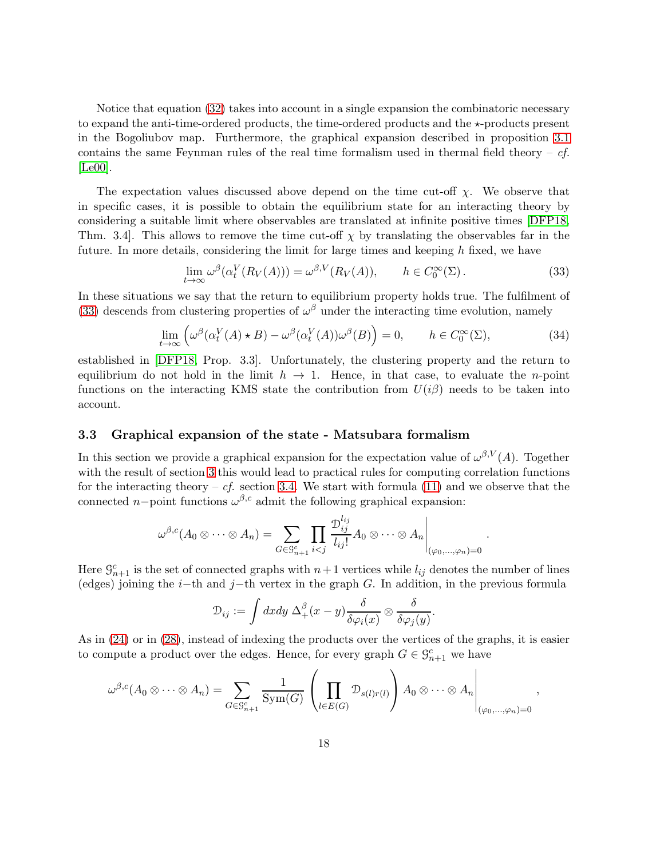Notice that equation [\(32\)](#page-16-2) takes into account in a single expansion the combinatoric necessary to expand the anti-time-ordered products, the time-ordered products and the  $\star$ -products present in the Bogoliubov map. Furthermore, the graphical expansion described in proposition [3.1](#page-16-0) contains the same Feynman rules of the real time formalism used in thermal field theory –  $cf.$ [\[Le00\]](#page-38-5).

The expectation values discussed above depend on the time cut-off  $\chi$ . We observe that in specific cases, it is possible to obtain the equilibrium state for an interacting theory by considering a suitable limit where observables are translated at infinite positive times [\[DFP18,](#page-37-2) Thm. 3.4. This allows to remove the time cut-off  $\chi$  by translating the observables far in the future. In more details, considering the limit for large times and keeping h fixed, we have

<span id="page-17-1"></span>
$$
\lim_{t \to \infty} \omega^{\beta}(\alpha_t^V(R_V(A))) = \omega^{\beta, V}(R_V(A)), \qquad h \in C_0^{\infty}(\Sigma). \tag{33}
$$

In these situations we say that the return to equilibrium property holds true. The fulfilment of [\(33\)](#page-17-1) descends from clustering properties of  $\omega^{\beta}$  under the interacting time evolution, namely

<span id="page-17-2"></span>
$$
\lim_{t \to \infty} \left( \omega^{\beta} (\alpha_t^V(A) \star B) - \omega^{\beta} (\alpha_t^V(A)) \omega^{\beta}(B) \right) = 0, \qquad h \in C_0^{\infty}(\Sigma), \tag{34}
$$

established in [\[DFP18,](#page-37-2) Prop. 3.3]. Unfortunately, the clustering property and the return to equilibrium do not hold in the limit  $h \to 1$ . Hence, in that case, to evaluate the *n*-point functions on the interacting KMS state the contribution from  $U(i\beta)$  needs to be taken into account.

#### <span id="page-17-0"></span>3.3 Graphical expansion of the state - Matsubara formalism

In this section we provide a graphical expansion for the expectation value of  $\omega^{\beta,V}(A)$ . Together with the result of section [3](#page-11-1) this would lead to practical rules for computing correlation functions for the interacting theory – cf. section [3.4.](#page-25-0) We start with formula [\(11\)](#page-10-1) and we observe that the connected  $n$ -point functions  $\omega^{\beta,c}$  admit the following graphical expansion:

$$
\omega^{\beta,c}(A_0\otimes\cdots\otimes A_n)=\sum_{G\in\mathcal{G}_{n+1}^c}\prod_{i
$$

Here  $\mathcal{G}_{n+1}^c$  is the set of connected graphs with  $n+1$  vertices while  $l_{ij}$  denotes the number of lines (edges) joining the i−th and j−th vertex in the graph G. In addition, in the previous formula

$$
\mathcal{D}_{ij} := \int dx dy \, \Delta_+^{\beta} (x - y) \frac{\delta}{\delta \varphi_i(x)} \otimes \frac{\delta}{\delta \varphi_j(y)}.
$$

As in [\(24\)](#page-13-1) or in [\(28\)](#page-14-1), instead of indexing the products over the vertices of the graphs, it is easier to compute a product over the edges. Hence, for every graph  $G \in \mathcal{G}_{n+1}^c$  we have

$$
\omega^{\beta,c}(A_0 \otimes \cdots \otimes A_n) = \sum_{G \in \mathcal{G}_{n+1}^c} \frac{1}{\text{Sym}(G)} \left( \prod_{l \in E(G)} \mathcal{D}_{s(l)r(l)} \right) A_0 \otimes \cdots \otimes A_n \Bigg|_{(\varphi_0, \ldots, \varphi_n) = 0}
$$

,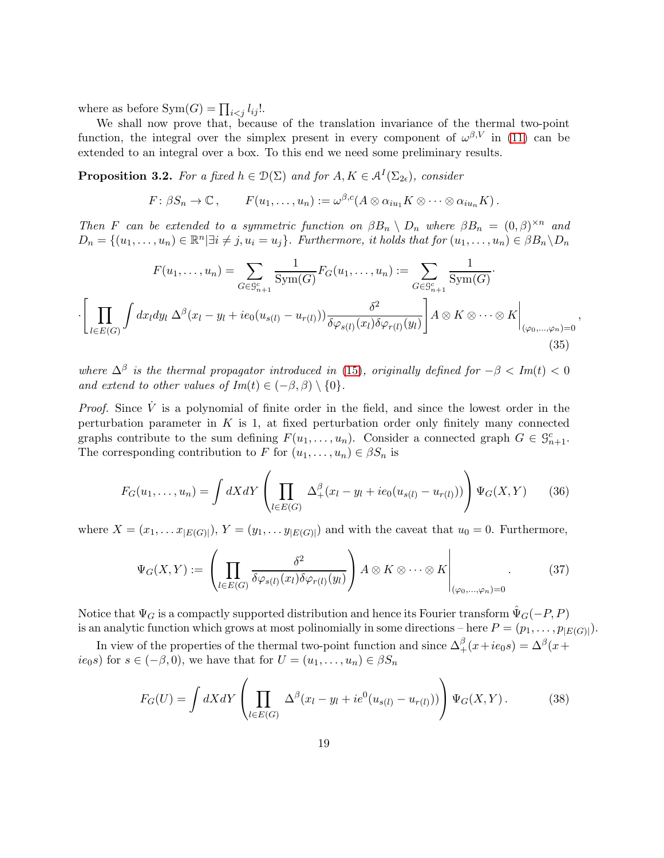where as before  $\text{Sym}(G) = \prod_{i < j} l_{ij}!$ .

·

We shall now prove that, because of the translation invariance of the thermal two-point function, the integral over the simplex present in every component of  $\omega^{\beta,V}$  in [\(11\)](#page-10-1) can be extended to an integral over a box. To this end we need some preliminary results.

<span id="page-18-0"></span>**Proposition 3.2.** For a fixed  $h \in \mathcal{D}(\Sigma)$  and for  $A, K \in \mathcal{A}^I(\Sigma_{2\epsilon})$ , consider

$$
F\colon\beta S_n\to\mathbb{C}\,,\qquad F(u_1,\ldots,u_n):=\omega^{\beta,c}(A\otimes\alpha_{iu_1}K\otimes\cdots\otimes\alpha_{iu_n}K)\,.
$$

Then F can be extended to a symmetric function on  $\beta B_n \setminus D_n$  where  $\beta B_n = (0, \beta)^{\times n}$  and  $D_n = \{(u_1, \ldots, u_n) \in \mathbb{R}^n | \exists i \neq j, u_i = u_j\}.$  Furthermore, it holds that for  $(u_1, \ldots, u_n) \in \beta B_n \backslash D_n$ 

$$
F(u_1, \dots, u_n) = \sum_{G \in \mathcal{G}_{n+1}^c} \frac{1}{\text{Sym}(G)} F_G(u_1, \dots, u_n) := \sum_{G \in \mathcal{G}_{n+1}^c} \frac{1}{\text{Sym}(G)}.
$$

$$
\left[ \prod_{l \in E(G)} \int dx_l dy_l \Delta^\beta(x_l - y_l + ie_0(u_{s(l)} - u_{r(l)})) \frac{\delta^2}{\delta \varphi_{s(l)}(x_l) \delta \varphi_{r(l)}(y_l)} \right] A \otimes K \otimes \dots \otimes K \Big|_{(\varphi_0, \dots, \varphi_n) = 0}
$$
(35)

<span id="page-18-1"></span>,

where  $\Delta^{\beta}$  is the thermal propagator introduced in [\(15\)](#page-12-2), originally defined for  $-\beta < Im(t) < 0$ and extend to other values of  $Im(t) \in (-\beta, \beta) \setminus \{0\}.$ 

*Proof.* Since  $\dot{V}$  is a polynomial of finite order in the field, and since the lowest order in the perturbation parameter in  $K$  is 1, at fixed perturbation order only finitely many connected graphs contribute to the sum defining  $F(u_1, \ldots, u_n)$ . Consider a connected graph  $G \in \mathcal{G}_{n+1}^c$ . The corresponding contribution to F for  $(u_1, \ldots, u_n) \in \beta S_n$  is

<span id="page-18-4"></span>
$$
F_G(u_1, ..., u_n) = \int dX dY \left( \prod_{l \in E(G)} \Delta^{\beta}_+(x_l - y_l + ie_0(u_{s(l)} - u_{r(l)})) \right) \Psi_G(X, Y) \tag{36}
$$

where  $X = (x_1, \ldots x_{|E(G)|}), Y = (y_1, \ldots y_{|E(G)|})$  and with the caveat that  $u_0 = 0$ . Furthermore,

<span id="page-18-3"></span>
$$
\Psi_G(X,Y) := \left( \prod_{l \in E(G)} \frac{\delta^2}{\delta \varphi_{s(l)}(x_l) \delta \varphi_{r(l)}(y_l)} \right) A \otimes K \otimes \cdots \otimes K \Bigg|_{(\varphi_0,\ldots,\varphi_n)=0} . \tag{37}
$$

Notice that  $\Psi_G$  is a compactly supported distribution and hence its Fourier transform  $\Psi_G(-P, P)$ is an analytic function which grows at most polinomially in some directions  $-\text{here } P = (p_1, \ldots, p_{|E(G)|}).$ 

In view of the properties of the thermal two-point function and since  $\Delta_+^\beta(x+ie_0s) = \Delta^\beta(x+ie_0s)$  $ie_0s$  for  $s \in (-\beta, 0)$ , we have that for  $U = (u_1, \ldots, u_n) \in \beta S_n$ 

<span id="page-18-2"></span>
$$
F_G(U) = \int dX dY \left( \prod_{l \in E(G)} \Delta^{\beta} (x_l - y_l + ie^0(u_{s(l)} - u_{r(l)})) \right) \Psi_G(X, Y). \tag{38}
$$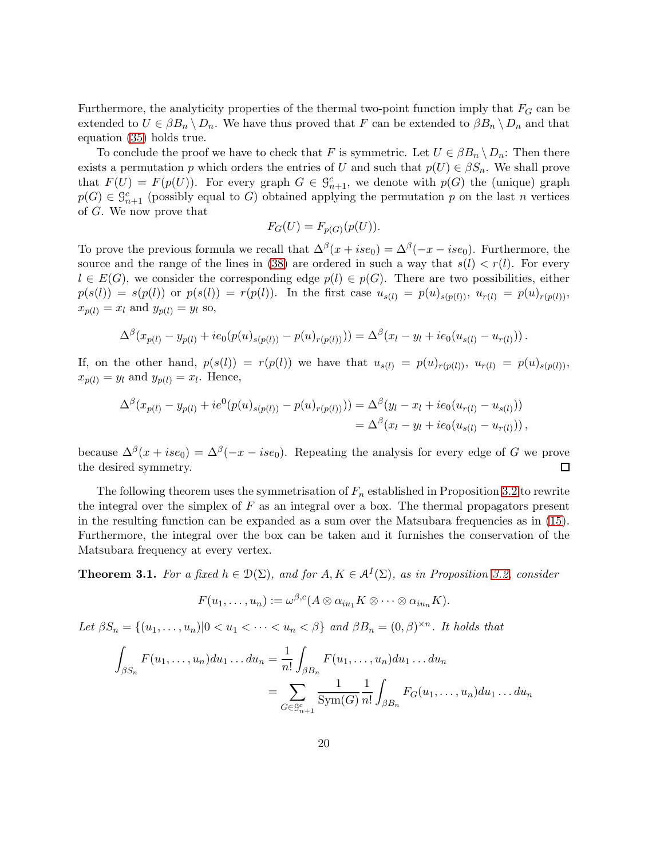Furthermore, the analyticity properties of the thermal two-point function imply that  $F_G$  can be extended to  $U \in \beta B_n \setminus D_n$ . We have thus proved that F can be extended to  $\beta B_n \setminus D_n$  and that equation [\(35\)](#page-18-1) holds true.

To conclude the proof we have to check that F is symmetric. Let  $U \in \beta B_n \setminus D_n$ : Then there exists a permutation p which orders the entries of U and such that  $p(U) \in \beta S_n$ . We shall prove that  $F(U) = F(p(U))$ . For every graph  $G \in \mathcal{G}_{n+1}^c$ , we denote with  $p(G)$  the (unique) graph  $p(G) \in \mathcal{G}_{n+1}^c$  (possibly equal to G) obtained applying the permutation p on the last n vertices of G. We now prove that

$$
F_G(U) = F_{p(G)}(p(U)).
$$

To prove the previous formula we recall that  $\Delta^{\beta}(x + ise_0) = \Delta^{\beta}(-x - ise_0)$ . Furthermore, the source and the range of the lines in [\(38\)](#page-18-2) are ordered in such a way that  $s(l) < r(l)$ . For every  $l \in E(G)$ , we consider the corresponding edge  $p(l) \in p(G)$ . There are two possibilities, either  $p(s(l)) = s(p(l))$  or  $p(s(l)) = r(p(l))$ . In the first case  $u_{s(l)} = p(u)_{s(p(l))}, u_{r(l)} = p(u)_{r(p(l))},$  $x_{p(l)} = x_l$  and  $y_{p(l)} = y_l$  so,

$$
\Delta^{\beta}(x_{p(l)} - y_{p(l)} + ie_0(p(u)_{s(p(l))} - p(u)_{r(p(l))})) = \Delta^{\beta}(x_l - y_l + ie_0(u_{s(l)} - u_{r(l)})).
$$

If, on the other hand,  $p(s(l)) = r(p(l))$  we have that  $u_{s(l)} = p(u)_{r(p(l))}$ ,  $u_{r(l)} = p(u)_{s(p(l))}$ ,  $x_{p(l)} = y_l$  and  $y_{p(l)} = x_l$ . Hence,

$$
\Delta^{\beta}(x_{p(l)} - y_{p(l)} + ie^{0}(p(u)_{s(p(l))} - p(u)_{r(p(l))})) = \Delta^{\beta}(y_{l} - x_{l} + ie_{0}(u_{r(l)} - u_{s(l)}))
$$
  
=  $\Delta^{\beta}(x_{l} - y_{l} + ie_{0}(u_{s(l)} - u_{r(l)})),$ 

because  $\Delta^{\beta}(x + ise_0) = \Delta^{\beta}(-x - ise_0)$ . Repeating the analysis for every edge of G we prove the desired symmetry.

The following theorem uses the symmetrisation of  $F_n$  established in Proposition [3.2](#page-18-0) to rewrite the integral over the simplex of  $F$  as an integral over a box. The thermal propagators present in the resulting function can be expanded as a sum over the Matsubara frequencies as in [\(15\)](#page-12-2). Furthermore, the integral over the box can be taken and it furnishes the conservation of the Matsubara frequency at every vertex.

<span id="page-19-0"></span>**Theorem 3.1.** For a fixed  $h \in \mathcal{D}(\Sigma)$ , and for  $A, K \in \mathcal{A}^I(\Sigma)$ , as in Proposition [3.2,](#page-18-0) consider

$$
F(u_1,\ldots,u_n):=\omega^{\beta,c}(A\otimes \alpha_{iu_1}K\otimes \cdots\otimes \alpha_{iu_n}K).
$$

Let  $\beta S_n = \{(u_1, \ldots, u_n) | 0 < u_1 < \cdots < u_n < \beta\}$  and  $\beta B_n = (0, \beta)^{\times n}$ . It holds that

$$
\int_{\beta S_n} F(u_1, \dots, u_n) du_1 \dots du_n = \frac{1}{n!} \int_{\beta B_n} F(u_1, \dots, u_n) du_1 \dots du_n
$$

$$
= \sum_{G \in \mathcal{G}_{n+1}^c} \frac{1}{\text{Sym}(G)} \frac{1}{n!} \int_{\beta B_n} F_G(u_1, \dots, u_n) du_1 \dots du_n
$$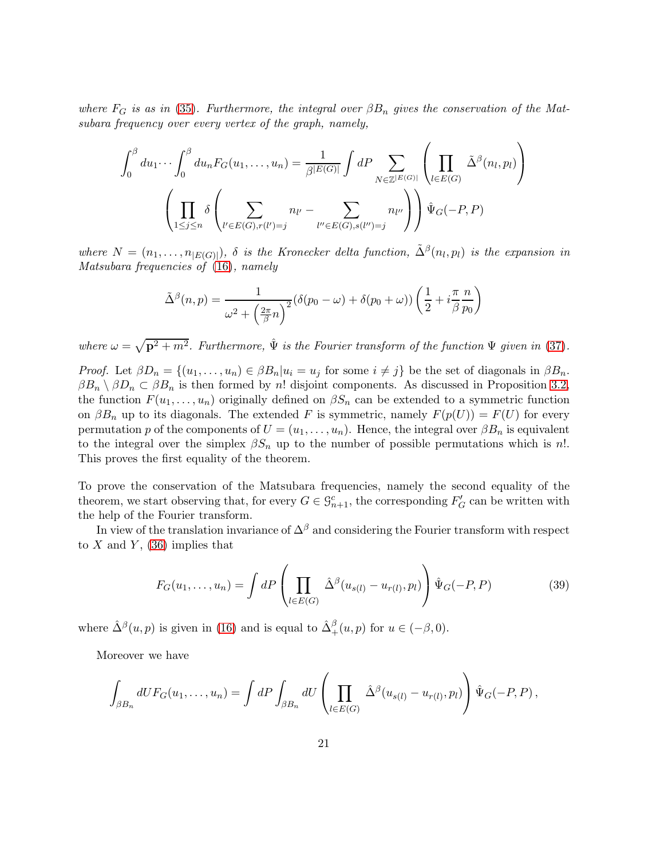where  $F_G$  is as in [\(35\)](#page-18-1). Furthermore, the integral over  $\beta B_n$  gives the conservation of the Matsubara frequency over every vertex of the graph, namely,

$$
\int_0^\beta du_1 \cdots \int_0^\beta du_n F_G(u_1, \ldots, u_n) = \frac{1}{\beta^{|E(G)|}} \int dP \sum_{N \in \mathbb{Z}^{|E(G)|}} \left( \prod_{l \in E(G)} \tilde{\Delta}^{\beta}(n_l, p_l) \right)
$$

$$
\left( \prod_{1 \le j \le n} \delta \left( \sum_{l' \in E(G), r(l') = j} n_{l'} - \sum_{l'' \in E(G), s(l'') = j} n_{l''} \right) \right) \hat{\Psi}_G(-P, P)
$$

where  $N = (n_1, \ldots, n_{|E(G)|})$ ,  $\delta$  is the Kronecker delta function,  $\tilde{\Delta}^{\beta}(n_l, p_l)$  is the expansion in Matsubara frequencies of [\(16\)](#page-12-0), namely

$$
\tilde{\Delta}^{\beta}(n, p) = \frac{1}{\omega^2 + \left(\frac{2\pi}{\beta}n\right)^2} (\delta(p_0 - \omega) + \delta(p_0 + \omega)) \left(\frac{1}{2} + i\frac{\pi}{\beta} \frac{n}{p_0}\right)
$$

where  $\omega = \sqrt{\mathbf{p}^2 + m^2}$ . Furthermore,  $\hat{\Psi}$  is the Fourier transform of the function  $\Psi$  given in [\(37\)](#page-18-3).

*Proof.* Let  $\beta D_n = \{(u_1, \ldots, u_n) \in \beta B_n | u_i = u_j \text{ for some } i \neq j\}$  be the set of diagonals in  $\beta B_n$ .  $\beta B_n \setminus \beta D_n \subset \beta B_n$  is then formed by n! disjoint components. As discussed in Proposition [3.2,](#page-18-0) the function  $F(u_1, \ldots, u_n)$  originally defined on  $\beta S_n$  can be extended to a symmetric function on  $\beta B_n$  up to its diagonals. The extended F is symmetric, namely  $F(p(U)) = F(U)$  for every permutation p of the components of  $U = (u_1, \ldots, u_n)$ . Hence, the integral over  $\beta B_n$  is equivalent to the integral over the simplex  $\beta S_n$  up to the number of possible permutations which is n!. This proves the first equality of the theorem.

To prove the conservation of the Matsubara frequencies, namely the second equality of the theorem, we start observing that, for every  $G \in \mathcal{G}_{n+1}^c$ , the corresponding  $F'_G$  can be written with the help of the Fourier transform.

In view of the translation invariance of  $\Delta^{\beta}$  and considering the Fourier transform with respect to X and Y,  $(36)$  implies that

$$
F_G(u_1,\ldots,u_n) = \int dP \left(\prod_{l \in E(G)} \hat{\Delta}^{\beta}(u_{s(l)} - u_{r(l)}, p_l)\right) \hat{\Psi}_G(-P, P) \tag{39}
$$

where  $\hat{\Delta}^{\beta}(u, p)$  is given in [\(16\)](#page-12-0) and is equal to  $\hat{\Delta}^{\beta}_{+}(u, p)$  for  $u \in (-\beta, 0)$ .

Moreover we have

$$
\int_{\beta B_n} dU F_G(u_1,\ldots,u_n) = \int dP \int_{\beta B_n} dU \left( \prod_{l \in E(G)} \hat{\Delta}^{\beta} (u_{s(l)} - u_{r(l)}, p_l) \right) \hat{\Psi}_G(-P,P),
$$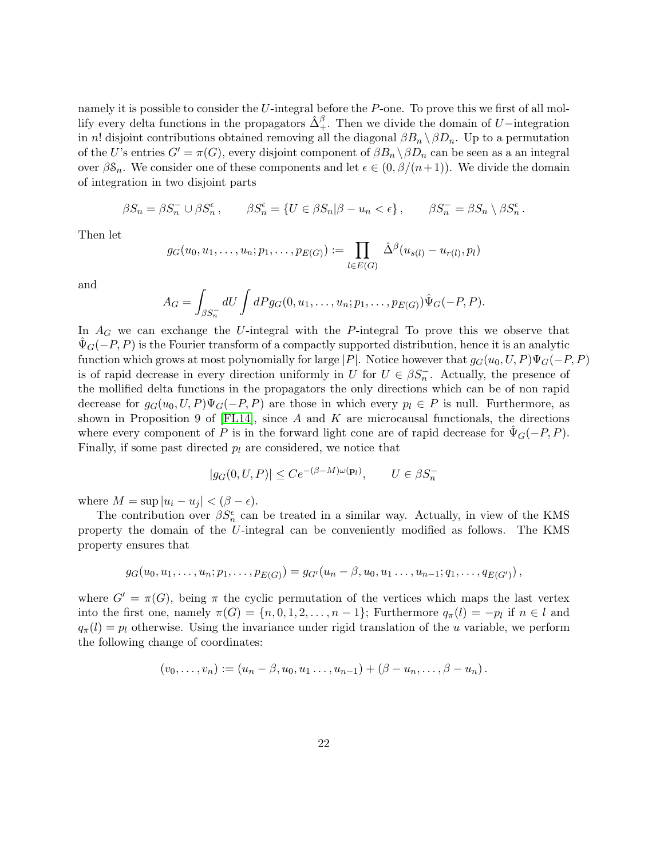namely it is possible to consider the U-integral before the P-one. To prove this we first of all mollify every delta functions in the propagators  $\hat{\Delta}^{\beta}_+$ . Then we divide the domain of U−integration in n! disjoint contributions obtained removing all the diagonal  $\beta B_n \setminus \beta D_n$ . Up to a permutation of the U's entries  $G' = \pi(G)$ , every disjoint component of  $\beta B_n \setminus \beta D_n$  can be seen as a an integral over  $\beta \mathcal{S}_n$ . We consider one of these components and let  $\epsilon \in (0, \beta/(n+1))$ . We divide the domain of integration in two disjoint parts

$$
\beta S_n = \beta S_n^- \cup \beta S_n^{\epsilon} , \qquad \beta S_n^{\epsilon} = \{ U \in \beta S_n | \beta - u_n < \epsilon \}, \qquad \beta S_n^- = \beta S_n \setminus \beta S_n^{\epsilon} .
$$

Then let

$$
g_G(u_0, u_1, \ldots, u_n; p_1, \ldots, p_{E(G)}) := \prod_{l \in E(G)} \hat{\Delta}^{\beta}(u_{s(l)} - u_{r(l)}, p_l)
$$

and

$$
A_G = \int_{\beta S_n^-} dU \int dP g_G(0, u_1, \dots, u_n; p_1, \dots, p_{E(G)}) \hat{\Psi}_G(-P, P).
$$

In  $A_G$  we can exchange the U-integral with the P-integral To prove this we observe that  $\Psi_G(-P, P)$  is the Fourier transform of a compactly supported distribution, hence it is an analytic function which grows at most polynomially for large |P|. Notice however that  $g_G(u_0, U, P)\Psi_G(-P, P)$ is of rapid decrease in every direction uniformly in U for  $U \in \beta S_n^-$ . Actually, the presence of the mollified delta functions in the propagators the only directions which can be of non rapid decrease for  $g_G(u_0, U, P)\Psi_G(-P, P)$  are those in which every  $p_l \in P$  is null. Furthermore, as shown in Proposition 9 of  $[FL14]$ , since A and K are microcausal functionals, the directions where every component of P is in the forward light cone are of rapid decrease for  $\Psi_G(-P, P)$ . Finally, if some past directed  $p_l$  are considered, we notice that

$$
|g_G(0, U, P)| \le Ce^{-(\beta - M)\omega(\mathbf{p}_l)}, \qquad U \in \beta S_n^-
$$

where  $M = \sup |u_i - u_j| < (\beta - \epsilon)$ .

The contribution over  $\beta S_n^{\epsilon}$  can be treated in a similar way. Actually, in view of the KMS property the domain of the U-integral can be conveniently modified as follows. The KMS property ensures that

$$
g_G(u_0, u_1, \ldots, u_n; p_1, \ldots, p_{E(G)}) = g_{G'}(u_n - \beta, u_0, u_1, \ldots, u_{n-1}; q_1, \ldots, q_{E(G')})
$$

where  $G' = \pi(G)$ , being  $\pi$  the cyclic permutation of the vertices which maps the last vertex into the first one, namely  $\pi(G) = \{n, 0, 1, 2, \ldots, n-1\}$ ; Furthermore  $q_{\pi}(l) = -p_l$  if  $n \in l$  and  $q_{\pi}(l) = p_l$  otherwise. Using the invariance under rigid translation of the u variable, we perform the following change of coordinates:

$$
(v_0, \ldots, v_n) := (u_n - \beta, u_0, u_1 \ldots, u_{n-1}) + (\beta - u_n, \ldots, \beta - u_n).
$$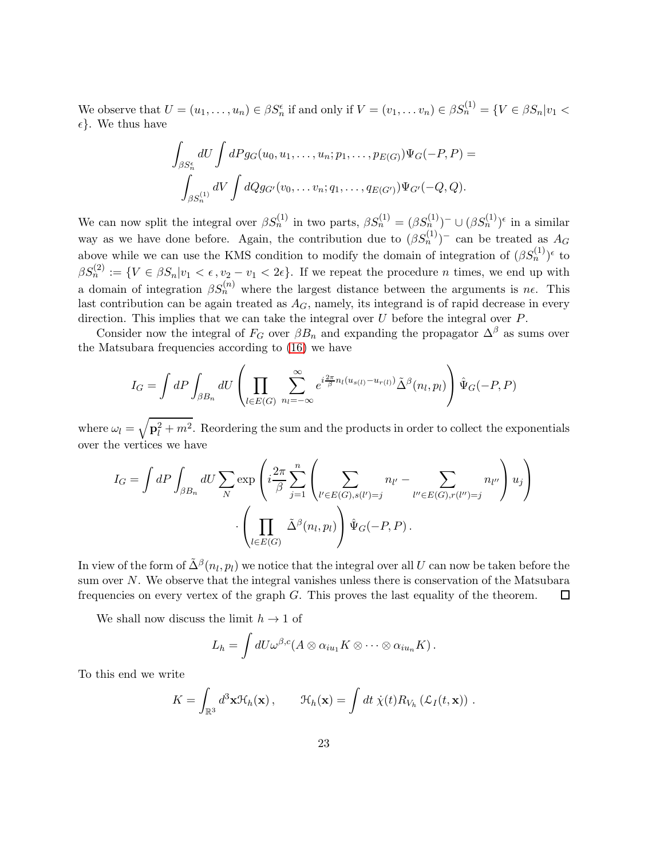We observe that  $U = (u_1, \ldots, u_n) \in \beta S_n^{\epsilon}$  if and only if  $V = (v_1, \ldots v_n) \in \beta S_n^{(1)} = \{ V \in \beta S_n | v_1 <$  $\epsilon$ . We thus have

$$
\int_{\beta S_n^{\epsilon}} dU \int dP g_G(u_0, u_1, \dots, u_n; p_1, \dots, p_{E(G)}) \Psi_G(-P, P) =
$$
  

$$
\int_{\beta S_n^{(1)}} dV \int dQ g_{G'}(v_0, \dots v_n; q_1, \dots, q_{E(G')}) \Psi_{G'}(-Q, Q).
$$

We can now split the integral over  $\beta S_n^{(1)}$  in two parts,  $\beta S_n^{(1)} = (\beta S_n^{(1)})^- \cup (\beta S_n^{(1)})^{\epsilon}$  in a similar way as we have done before. Again, the contribution due to  $(\beta S_n^{(1)})$  can be treated as  $A_G$ above while we can use the KMS condition to modify the domain of integration of  $(\beta S_n^{(1)})^{\epsilon}$  to  $\beta S_n^{(2)} := \{ V \in \beta S_n | v_1 < \epsilon, v_2 - v_1 < 2\epsilon \}.$  If we repeat the procedure *n* times, we end up with a domain of integration  $\beta S_n^{(n)}$  where the largest distance between the arguments is  $n\epsilon$ . This last contribution can be again treated as  $A_G$ , namely, its integrand is of rapid decrease in every direction. This implies that we can take the integral over  $U$  before the integral over  $P$ .

Consider now the integral of  $F_G$  over  $\beta B_n$  and expanding the propagator  $\Delta^{\beta}$  as sums over the Matsubara frequencies according to [\(16\)](#page-12-0) we have

$$
I_G = \int dP \int_{\beta B_n} dU \left( \prod_{l \in E(G)} \sum_{n_l = -\infty}^{\infty} e^{i\frac{2\pi}{\beta} n_l (u_{s(l)} - u_{r(l)})} \tilde{\Delta}^{\beta}(n_l, p_l) \right) \hat{\Psi}_G(-P, P)
$$

where  $\omega_l = \sqrt{\mathbf{p}_l^2 + m^2}$ . Reordering the sum and the products in order to collect the exponentials over the vertices we have

$$
I_G = \int dP \int_{\beta B_n} dU \sum_N \exp\left(i\frac{2\pi}{\beta} \sum_{j=1}^n \left(\sum_{l' \in E(G), s(l')=j} n_{l'} - \sum_{l'' \in E(G), r(l'')=j} n_{l''}\right) u_j\right)
$$

$$
\cdot \left(\prod_{l \in E(G)} \tilde{\Delta}^{\beta}(n_l, p_l)\right) \hat{\Psi}_G(-P, P).
$$

In view of the form of  $\tilde{\Delta}^{\beta}(n_l,p_l)$  we notice that the integral over all  $U$  can now be taken before the sum over N. We observe that the integral vanishes unless there is conservation of the Matsubara frequencies on every vertex of the graph  $G$ . This proves the last equality of the theorem.  $\square$ 

We shall now discuss the limit  $h \to 1$  of

$$
L_h = \int dU \omega^{\beta,c}(A \otimes \alpha_{iu_1} K \otimes \cdots \otimes \alpha_{iu_n} K).
$$

To this end we write

$$
K = \int_{\mathbb{R}^3} d^3 \mathbf{x} \mathcal{H}_h(\mathbf{x}), \qquad \mathcal{H}_h(\mathbf{x}) = \int dt \; \dot{\chi}(t) R_{V_h} \left( \mathcal{L}_I(t, \mathbf{x}) \right) .
$$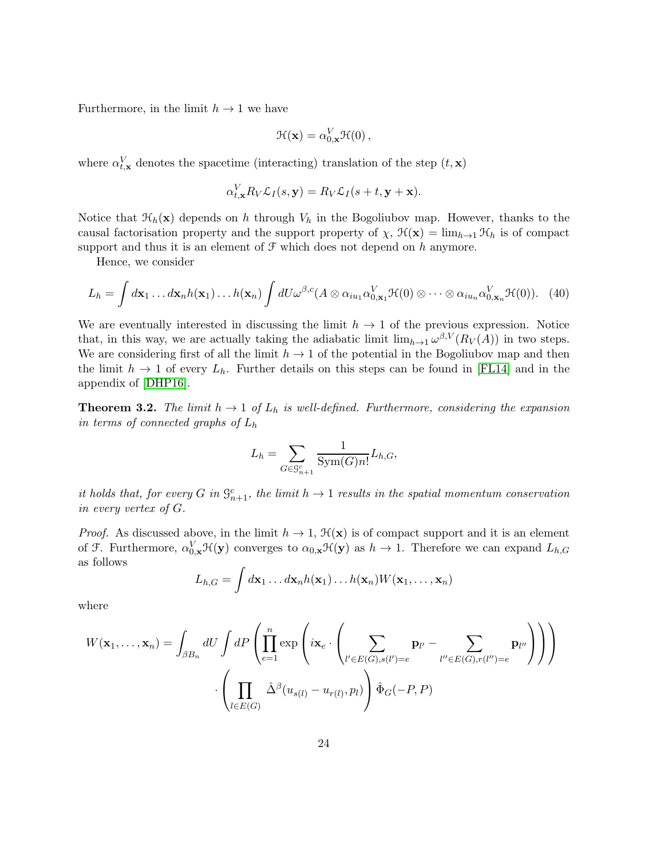Furthermore, in the limit  $h \to 1$  we have

$$
\mathcal{H}(\mathbf{x}) = \alpha_{0,\mathbf{x}}^V \mathcal{H}(0),
$$

where  $\alpha_{t,\mathbf{x}}^V$  denotes the spacetime (interacting) translation of the step  $(t,\mathbf{x})$ 

$$
\alpha_{t,\mathbf{x}}^V R_V \mathcal{L}_I(s,\mathbf{y}) = R_V \mathcal{L}_I(s+t,\mathbf{y}+\mathbf{x}).
$$

Notice that  $\mathcal{H}_h(\mathbf{x})$  depends on h through  $V_h$  in the Bogoliubov map. However, thanks to the causal factorisation property and the support property of  $\chi$ ,  $\mathcal{H}(\mathbf{x}) = \lim_{h \to 1} \mathcal{H}_h$  is of compact support and thus it is an element of  $\mathcal F$  which does not depend on h anymore.

Hence, we consider

<span id="page-23-1"></span>
$$
L_h = \int d\mathbf{x}_1 \dots d\mathbf{x}_n h(\mathbf{x}_1) \dots h(\mathbf{x}_n) \int dU \omega^{\beta,c} (A \otimes \alpha_{iu_1} \alpha_{0,\mathbf{x}_1}^V \mathcal{H}(0) \otimes \dots \otimes \alpha_{iu_n} \alpha_{0,\mathbf{x}_n}^V \mathcal{H}(0)). \tag{40}
$$

We are eventually interested in discussing the limit  $h \to 1$  of the previous expression. Notice that, in this way, we are actually taking the adiabatic limit  $\lim_{h\to 1} \omega^{\beta,V}(R_V(A))$  in two steps. We are considering first of all the limit  $h \to 1$  of the potential in the Bogoliubov map and then the limit  $h \to 1$  of every  $L_h$ . Further details on this steps can be found in [\[FL14\]](#page-38-0) and in the appendix of [\[DHP16\]](#page-37-7).

<span id="page-23-0"></span>**Theorem 3.2.** The limit  $h \to 1$  of  $L_h$  is well-defined. Furthermore, considering the expansion in terms of connected graphs of  $L_h$ 

$$
L_h = \sum_{G \in \mathcal{G}_{n+1}^c} \frac{1}{\text{Sym}(G)n!} L_{h,G},
$$

it holds that, for every G in  $\mathcal{G}_{n+1}^c$ , the limit  $h \to 1$  results in the spatial momentum conservation in every vertex of G.

*Proof.* As discussed above, in the limit  $h \to 1$ ,  $\mathcal{H}(\mathbf{x})$  is of compact support and it is an element of F. Furthermore,  $\alpha_{0,\mathbf{x}}^V \mathcal{H}(\mathbf{y})$  converges to  $\alpha_{0,\mathbf{x}} \mathcal{H}(\mathbf{y})$  as  $h \to 1$ . Therefore we can expand  $L_{h,G}$ as follows

$$
L_{h,G} = \int d\mathbf{x}_1 \dots d\mathbf{x}_n h(\mathbf{x}_1) \dots h(\mathbf{x}_n) W(\mathbf{x}_1, \dots, \mathbf{x}_n)
$$

where

$$
W(\mathbf{x}_1, ..., \mathbf{x}_n) = \int_{\beta B_n} dU \int dP \left( \prod_{e=1}^n \exp \left( i \mathbf{x}_e \cdot \left( \sum_{l' \in E(G), s(l')=e} \mathbf{p}_{l'} - \sum_{l' \in E(G), r(l'')=e} \mathbf{p}_{l''} \right) \right) \right)
$$

$$
\cdot \left( \prod_{l \in E(G)} \hat{\Delta}^{\beta} (u_{s(l)} - u_{r(l)}, p_l) \right) \hat{\Phi}_G(-P, P)
$$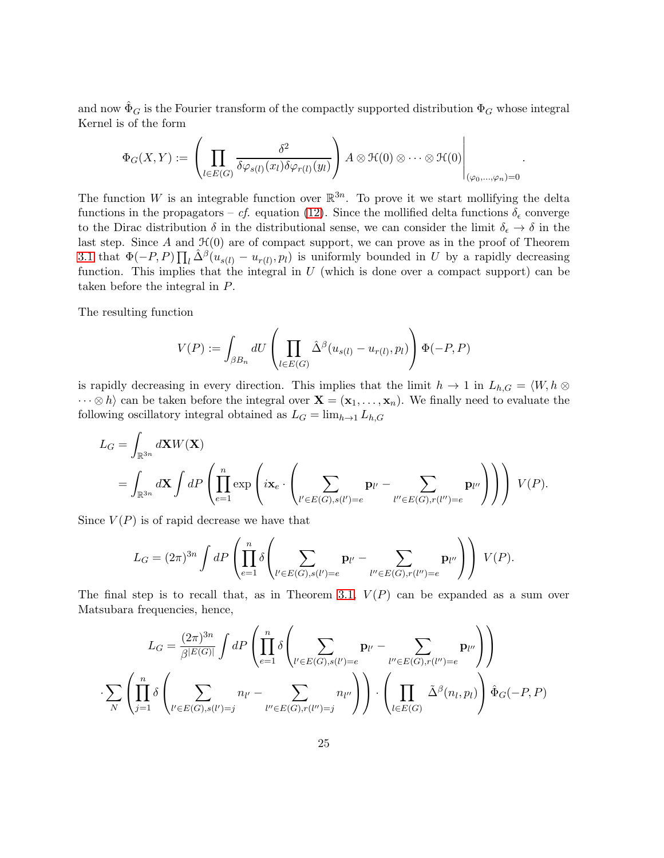and now  $\hat{\Phi}_G$  is the Fourier transform of the compactly supported distribution  $\Phi_G$  whose integral Kernel is of the form

$$
\Phi_G(X,Y) := \left( \prod_{l \in E(G)} \frac{\delta^2}{\delta \varphi_{s(l)}(x_l) \delta \varphi_{r(l)}(y_l)} \right) A \otimes \mathcal{H}(0) \otimes \cdots \otimes \mathcal{H}(0) \Bigg|_{(\varphi_0,\ldots,\varphi_n)=0}
$$

.

The function W is an integrable function over  $\mathbb{R}^{3n}$ . To prove it we start mollifying the delta functions in the propagators – cf. equation [\(12\)](#page-11-2). Since the mollified delta functions  $\delta_{\epsilon}$  converge to the Dirac distribution  $\delta$  in the distributional sense, we can consider the limit  $\delta_{\epsilon} \to \delta$  in the last step. Since  $A$  and  $\mathcal{H}(0)$  are of compact support, we can prove as in the proof of Theorem [3.1](#page-19-0) that  $\Phi(-P, P) \prod_l \hat{\Delta}^{\beta}(u_{s(l)} - u_{r(l)}, p_l)$  is uniformly bounded in U by a rapidly decreasing function. This implies that the integral in  $U$  (which is done over a compact support) can be taken before the integral in P.

The resulting function

$$
V(P) := \int_{\beta B_n} dU \left( \prod_{l \in E(G)} \hat{\Delta}^{\beta} (u_{s(l)} - u_{r(l)}, p_l) \right) \Phi(-P, P)
$$

is rapidly decreasing in every direction. This implies that the limit  $h \to 1$  in  $L_{h,G} = \langle W, h \otimes$  $\cdots \otimes h$  can be taken before the integral over  $\mathbf{X} = (\mathbf{x}_1, \ldots, \mathbf{x}_n)$ . We finally need to evaluate the following oscillatory integral obtained as  $L_G = \lim_{h \to 1} L_{h,G}$ 

$$
L_G = \int_{\mathbb{R}^{3n}} d\mathbf{X} W(\mathbf{X})
$$
  
= 
$$
\int_{\mathbb{R}^{3n}} d\mathbf{X} \int dP \left( \prod_{e=1}^n \exp \left( i\mathbf{x}_e \cdot \left( \sum_{l' \in E(G), s(l')=e} \mathbf{p}_{l'} - \sum_{l'' \in E(G), r(l'')=e} \mathbf{p}_{l''} \right) \right) \right) V(P).
$$

Since  $V(P)$  is of rapid decrease we have that

$$
L_G = (2\pi)^{3n} \int dP \left( \prod_{e=1}^n \delta \left( \sum_{l' \in E(G), s(l')=e} \mathbf{p}_{l'} - \sum_{l'' \in E(G), r(l'')=e} \mathbf{p}_{l''} \right) \right) V(P).
$$

The final step is to recall that, as in Theorem [3.1,](#page-19-0)  $V(P)$  can be expanded as a sum over Matsubara frequencies, hence,

$$
L_G = \frac{(2\pi)^{3n}}{\beta^{|E(G)|}} \int dP \left( \prod_{e=1}^n \delta \left( \sum_{l' \in E(G), s(l')=e} \mathbf{p}_{l'} - \sum_{l'' \in E(G), r(l'')=e} \mathbf{p}_{l''} \right) \right)
$$

$$
\cdot \sum_{N} \left( \prod_{j=1}^n \delta \left( \sum_{l' \in E(G), s(l')=j} n_{l'} - \sum_{l'' \in E(G), r(l'')=j} n_{l''} \right) \right) \cdot \left( \prod_{l \in E(G)} \tilde{\Delta}^{\beta}(n_l, p_l) \right) \hat{\Phi}_G(-P, P)
$$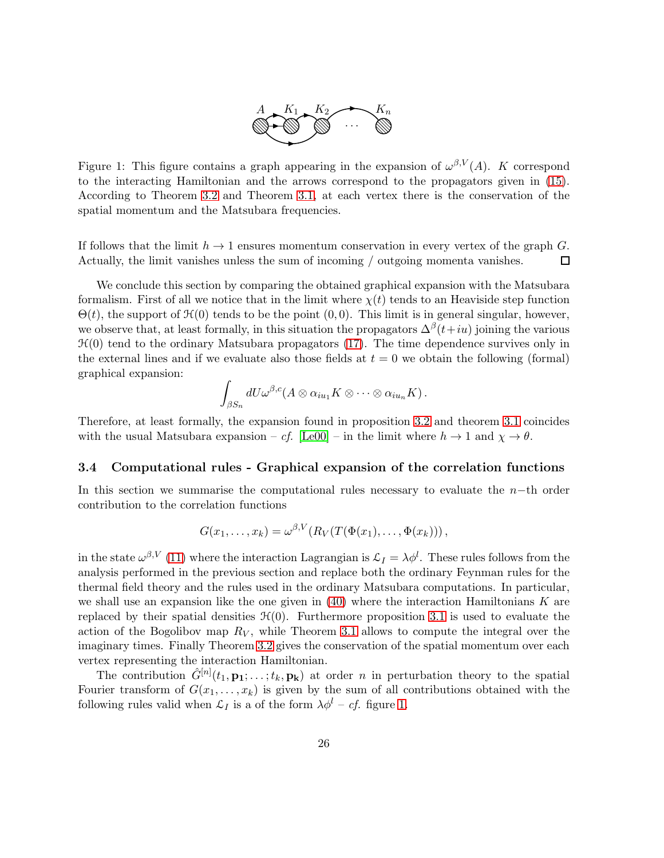

<span id="page-25-1"></span>Figure 1: This figure contains a graph appearing in the expansion of  $\omega^{\beta,V}(A)$ . K correspond to the interacting Hamiltonian and the arrows correspond to the propagators given in [\(15\)](#page-12-2). According to Theorem [3.2](#page-23-0) and Theorem [3.1,](#page-19-0) at each vertex there is the conservation of the spatial momentum and the Matsubara frequencies.

If follows that the limit  $h \to 1$  ensures momentum conservation in every vertex of the graph G.<br>Actually, the limit vanishes unless the sum of incoming / outgoing momenta vanishes. Actually, the limit vanishes unless the sum of incoming / outgoing momenta vanishes.

We conclude this section by comparing the obtained graphical expansion with the Matsubara formalism. First of all we notice that in the limit where  $\chi(t)$  tends to an Heaviside step function  $\Theta(t)$ , the support of  $\mathcal{H}(0)$  tends to be the point  $(0, 0)$ . This limit is in general singular, however, we observe that, at least formally, in this situation the propagators  $\Delta^{\beta}(t+iu)$  joining the various  $\mathcal{H}(0)$  tend to the ordinary Matsubara propagators [\(17\)](#page-12-3). The time dependence survives only in the external lines and if we evaluate also those fields at  $t = 0$  we obtain the following (formal) graphical expansion:

$$
\int_{\beta S_n} dU \omega^{\beta,c}(A \otimes \alpha_{iu_1} K \otimes \cdots \otimes \alpha_{iu_n} K).
$$

Therefore, at least formally, the expansion found in proposition [3.2](#page-18-0) and theorem [3.1](#page-19-0) coincides with the usual Matsubara expansion – cf. [\[Le00\]](#page-38-5) – in the limit where  $h \to 1$  and  $\chi \to \theta$ .

#### <span id="page-25-0"></span>3.4 Computational rules - Graphical expansion of the correlation functions

In this section we summarise the computational rules necessary to evaluate the  $n-$ th order contribution to the correlation functions

$$
G(x_1,\ldots,x_k)=\omega^{\beta,V}(R_V(T(\Phi(x_1),\ldots,\Phi(x_k)))\,,
$$

in the state  $\omega^{\beta,V}$  [\(11\)](#page-10-1) where the interaction Lagrangian is  $\mathcal{L}_I = \lambda \phi^l$ . These rules follows from the analysis performed in the previous section and replace both the ordinary Feynman rules for the thermal field theory and the rules used in the ordinary Matsubara computations. In particular, we shall use an expansion like the one given in  $(40)$  where the interaction Hamiltonians K are replaced by their spatial densities  $\mathcal{H}(0)$ . Furthermore proposition [3.1](#page-16-0) is used to evaluate the action of the Bogolibov map  $R_V$ , while Theorem [3.1](#page-19-0) allows to compute the integral over the imaginary times. Finally Theorem [3.2](#page-23-0) gives the conservation of the spatial momentum over each vertex representing the interaction Hamiltonian.

The contribution  $\hat{G}^{[n]}(t_1, \mathbf{p_1}; \ldots; t_k, \mathbf{p_k})$  at order *n* in perturbation theory to the spatial Fourier transform of  $G(x_1, \ldots, x_k)$  is given by the sum of all contributions obtained with the following rules valid when  $\mathcal{L}_I$  is a of the form  $\lambda \phi^l - cf$ . figure [1.](#page-25-1)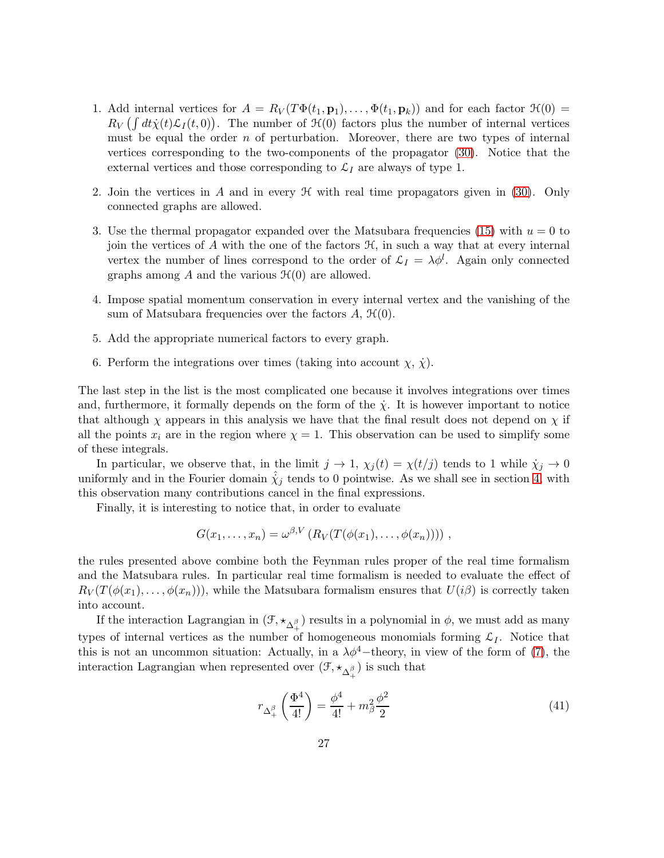- 1. Add internal vertices for  $A = R_V(T\Phi(t_1, \mathbf{p}_1), \dots, \Phi(t_1, \mathbf{p}_k))$  and for each factor  $\mathcal{H}(0) =$  $R_V \left( \int dt \dot{\chi}(t) \mathcal{L}_I(t,0) \right)$ . The number of  $\mathcal{H}(0)$  factors plus the number of internal vertices must be equal the order  $n$  of perturbation. Moreover, there are two types of internal vertices corresponding to the two-components of the propagator [\(30\)](#page-15-0). Notice that the external vertices and those corresponding to  $\mathcal{L}_I$  are always of type 1.
- 2. Join the vertices in A and in every  $\mathcal H$  with real time propagators given in [\(30\)](#page-15-0). Only connected graphs are allowed.
- 3. Use the thermal propagator expanded over the Matsubara frequencies [\(15\)](#page-12-2) with  $u = 0$  to join the vertices of A with the one of the factors  $\mathcal{H}$ , in such a way that at every internal vertex the number of lines correspond to the order of  $\mathcal{L}_I = \lambda \phi^l$ . Again only connected graphs among A and the various  $\mathcal{H}(0)$  are allowed.
- 4. Impose spatial momentum conservation in every internal vertex and the vanishing of the sum of Matsubara frequencies over the factors  $A, \mathcal{H}(0)$ .
- 5. Add the appropriate numerical factors to every graph.
- 6. Perform the integrations over times (taking into account  $\chi, \dot{\chi}$ ).

The last step in the list is the most complicated one because it involves integrations over times and, furthermore, it formally depends on the form of the  $\dot{\chi}$ . It is however important to notice that although  $\chi$  appears in this analysis we have that the final result does not depend on  $\chi$  if all the points  $x_i$  are in the region where  $\chi = 1$ . This observation can be used to simplify some of these integrals.

In particular, we observe that, in the limit  $j \to 1$ ,  $\chi_j(t) = \chi(t/j)$  tends to 1 while  $\dot{\chi}_j \to 0$ uniformly and in the Fourier domain  $\dot{\chi}_j$  tends to 0 pointwise. As we shall see in section [4,](#page-27-0) with this observation many contributions cancel in the final expressions.

Finally, it is interesting to notice that, in order to evaluate

$$
G(x_1,\ldots,x_n)=\omega^{\beta,V}\left(R_V(T(\phi(x_1),\ldots,\phi(x_n)))\right)\,,
$$

the rules presented above combine both the Feynman rules proper of the real time formalism and the Matsubara rules. In particular real time formalism is needed to evaluate the effect of  $R_V(T(\phi(x_1),\ldots,\phi(x_n)))$ , while the Matsubara formalism ensures that  $U(i\beta)$  is correctly taken into account.

If the interaction Lagrangian in  $(\mathcal{F}, \star_{\Delta_+^{\beta}})$  results in a polynomial in  $\phi$ , we must add as many types of internal vertices as the number of homogeneous monomials forming  $\mathcal{L}_I$ . Notice that this is not an uncommon situation: Actually, in a  $\lambda \phi^4$ -theory, in view of the form of [\(7\)](#page-7-1), the interaction Lagrangian when represented over  $(\mathcal{F}, \star_{\Delta_+^\beta})$  is such that

<span id="page-26-0"></span>
$$
r_{\Delta^{\beta}_{+}}\left(\frac{\Phi^{4}}{4!}\right) = \frac{\phi^{4}}{4!} + m_{\beta}^{2} \frac{\phi^{2}}{2}
$$
\n(41)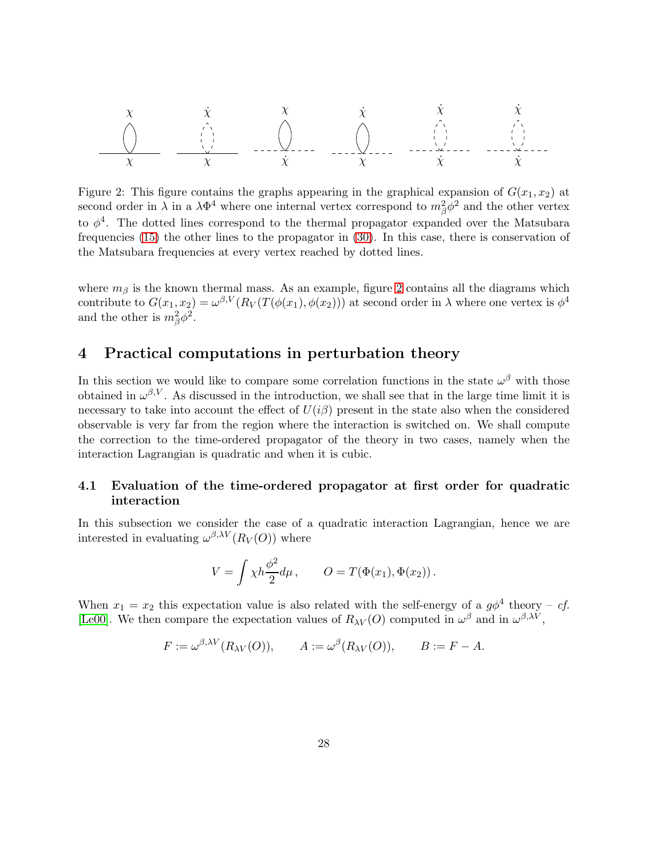

<span id="page-27-2"></span>Figure 2: This figure contains the graphs appearing in the graphical expansion of  $G(x_1, x_2)$  at second order in  $\lambda$  in a  $\lambda \Phi^4$  where one internal vertex correspond to  $m_\beta^2 \phi^2$  and the other vertex to  $\phi^4$ . The dotted lines correspond to the thermal propagator expanded over the Matsubara frequencies [\(15\)](#page-12-2) the other lines to the propagator in [\(30\)](#page-15-0). In this case, there is conservation of the Matsubara frequencies at every vertex reached by dotted lines.

where  $m<sub>β</sub>$  is the known thermal mass. As an example, figure [2](#page-27-2) contains all the diagrams which contribute to  $G(x_1, x_2) = \omega^{\beta, V}(R_V(T(\phi(x_1), \phi(x_2)))$  at second order in  $\lambda$  where one vertex is  $\phi^4$ and the other is  $m_{\beta}^2 \phi^2$ .

# <span id="page-27-0"></span>4 Practical computations in perturbation theory

In this section we would like to compare some correlation functions in the state  $\omega^{\beta}$  with those obtained in  $\omega^{\beta,V}$ . As discussed in the introduction, we shall see that in the large time limit it is necessary to take into account the effect of  $U(i\beta)$  present in the state also when the considered observable is very far from the region where the interaction is switched on. We shall compute the correction to the time-ordered propagator of the theory in two cases, namely when the interaction Lagrangian is quadratic and when it is cubic.

#### <span id="page-27-1"></span>4.1 Evaluation of the time-ordered propagator at first order for quadratic interaction

In this subsection we consider the case of a quadratic interaction Lagrangian, hence we are interested in evaluating  $\omega^{\beta,\lambda V}(R_V(O))$  where

$$
V = \int \chi h \frac{\phi^2}{2} d\mu, \qquad O = T(\Phi(x_1), \Phi(x_2)).
$$

When  $x_1 = x_2$  this expectation value is also related with the self-energy of a  $g\phi^4$  theory - cf. [\[Le00\]](#page-38-5). We then compare the expectation values of  $R_{\lambda V}(O)$  computed in  $\omega^{\beta}$  and in  $\omega^{\beta,\lambda V}$ ,

$$
F := \omega^{\beta,\lambda V}(R_{\lambda V}(O)), \qquad A := \omega^{\beta}(R_{\lambda V}(O)), \qquad B := F - A.
$$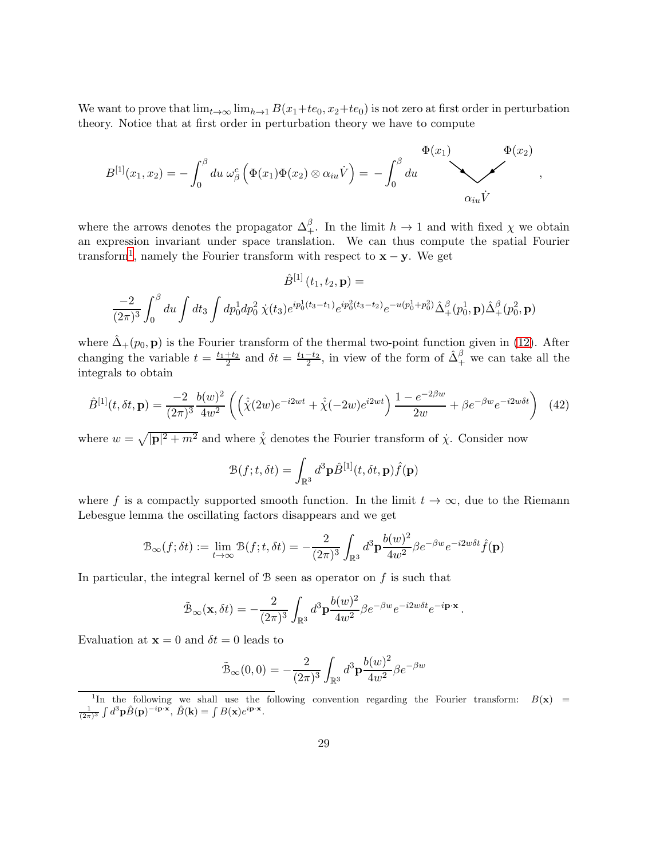We want to prove that  $\lim_{t\to\infty} \lim_{h\to 1} B(x_1+te_0, x_2+te_0)$  is not zero at first order in perturbation theory. Notice that at first order in perturbation theory we have to compute

$$
B^{[1]}(x_1,x_2) = -\int_0^\beta du \,\omega_\beta^c \left(\Phi(x_1)\Phi(x_2)\otimes \alpha_{iu}\dot{V}\right) = -\int_0^\beta du \,\omega_{iu}\dot{V}
$$

<span id="page-28-1"></span>,

where the arrows denotes the propagator  $\Delta_+^{\beta}$ . In the limit  $h \to 1$  and with fixed  $\chi$  we obtain an expression invariant under space translation. We can thus compute the spatial Fourier transform<sup>[1](#page-28-0)</sup>, namely the Fourier transform with respect to  $\mathbf{x} - \mathbf{y}$ . We get

$$
\hat{B}^{[1]}(t_1, t_2, \mathbf{p}) =
$$
  

$$
\frac{-2}{(2\pi)^3} \int_0^\beta du \int dt_3 \int dp_0^1 dp_0^2 \dot{\chi}(t_3) e^{ip_0^1(t_3 - t_1)} e^{ip_0^2(t_3 - t_2)} e^{-u(p_0^1 + p_0^2)} \hat{\Delta}_+^\beta(p_0^1, \mathbf{p}) \hat{\Delta}_+^\beta(p_0^2, \mathbf{p})
$$

where  $\tilde{\Delta}_{+}(p_0, \mathbf{p})$  is the Fourier transform of the thermal two-point function given in [\(12\)](#page-11-2). After changing the variable  $t = \frac{t_1+t_2}{2}$  and  $\delta t = \frac{t_1-t_2}{2}$ , in view of the form of  $\hat{\Delta}^{\beta}_+$  we can take all the integrals to obtain

$$
\hat{B}^{[1]}(t,\delta t,\mathbf{p}) = \frac{-2}{(2\pi)^3} \frac{b(w)^2}{4w^2} \left( \left( \hat{\chi}(2w) e^{-i2wt} + \hat{\chi}(-2w) e^{i2wt} \right) \frac{1 - e^{-2\beta w}}{2w} + \beta e^{-\beta w} e^{-i2w\delta t} \right) \tag{42}
$$

where  $w = \sqrt{|\mathbf{p}|^2 + m^2}$  and where  $\hat{\chi}$  denotes the Fourier transform of  $\hat{\chi}$ . Consider now

$$
\mathcal{B}(f; t, \delta t) = \int_{\mathbb{R}^3} d^3 \mathbf{p} \hat{B}^{[1]}(t, \delta t, \mathbf{p}) \hat{f}(\mathbf{p})
$$

where f is a compactly supported smooth function. In the limit  $t \to \infty$ , due to the Riemann Lebesgue lemma the oscillating factors disappears and we get

$$
\mathcal{B}_{\infty}(f; \delta t) := \lim_{t \to \infty} \mathcal{B}(f; t, \delta t) = -\frac{2}{(2\pi)^3} \int_{\mathbb{R}^3} d^3 \mathbf{p} \frac{b(w)^2}{4w^2} \beta e^{-\beta w} e^{-i2w\delta t} \hat{f}(\mathbf{p})
$$

In particular, the integral kernel of  $\beta$  seen as operator on f is such that

$$
\tilde{\mathcal{B}}_{\infty}(\mathbf{x}, \delta t) = -\frac{2}{(2\pi)^3} \int_{\mathbb{R}^3} d^3 \mathbf{p} \frac{b(w)^2}{4w^2} \beta e^{-\beta w} e^{-i2w\delta t} e^{-i\mathbf{p}\cdot\mathbf{x}}.
$$

Evaluation at  $\mathbf{x} = 0$  and  $\delta t = 0$  leads to

$$
\tilde{\mathcal{B}}_{\infty}(0,0) = -\frac{2}{(2\pi)^3} \int_{\mathbb{R}^3} d^3 \mathbf{p} \frac{b(w)^2}{4w^2} \beta e^{-\beta w}
$$

<span id="page-28-0"></span><sup>&</sup>lt;sup>1</sup>In the following we shall use the following convention regarding the Fourier transform:  $B(x)$  =  $\frac{1}{(2\pi)^3} \int d^3 \mathbf{p} \hat{B}(\mathbf{p})^{-i\mathbf{p}\cdot\mathbf{x}}, \ \hat{B}(\mathbf{k}) = \int B(\mathbf{x}) e^{i\mathbf{p}\cdot\mathbf{x}}.$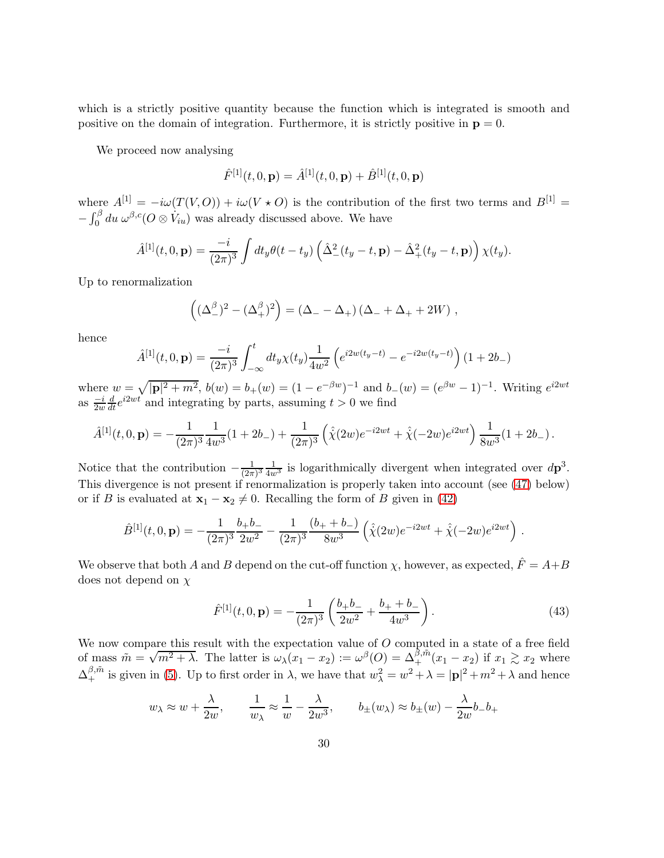which is a strictly positive quantity because the function which is integrated is smooth and positive on the domain of integration. Furthermore, it is strictly positive in  $\mathbf{p} = 0$ .

We proceed now analysing

$$
\hat{F}^{[1]}(t,0,\mathbf{p}) = \hat{A}^{[1]}(t,0,\mathbf{p}) + \hat{B}^{[1]}(t,0,\mathbf{p})
$$

where  $A^{[1]} = -i\omega(T(V, O)) + i\omega(V \star O)$  is the contribution of the first two terms and  $B^{[1]} =$  $-\int_0^\beta du \,\omega^{\beta,c}(O\otimes \dot V_{iu})$  was already discussed above. We have

$$
\hat{A}^{[1]}(t,0,\mathbf{p}) = \frac{-i}{(2\pi)^3} \int dt_y \theta(t-t_y) \left( \hat{\Delta}^2_{-}(t_y-t,\mathbf{p}) - \hat{\Delta}^2_{+}(t_y-t,\mathbf{p}) \right) \chi(t_y).
$$

Up to renormalization

$$
((\Delta^{\beta}_{-})^{2} - (\Delta^{\beta}_{+})^{2}) = (\Delta_{-} - \Delta_{+}) (\Delta_{-} + \Delta_{+} + 2W) ,
$$

hence

$$
\hat{A}^{[1]}(t,0,\mathbf{p}) = \frac{-i}{(2\pi)^3} \int_{-\infty}^t dt_y \chi(t_y) \frac{1}{4w^2} \left( e^{i2w(t_y-t)} - e^{-i2w(t_y-t)} \right) (1+2b_-)
$$

where  $w = \sqrt{|\mathbf{p}|^2 + m^2}$ ,  $b(w) = b_+(w) = (1 - e^{-\beta w})^{-1}$  and  $b_-(w) = (e^{\beta w} - 1)^{-1}$ . Writing  $e^{i2wt}$ as  $\frac{-i}{2w}$  $\frac{d}{dt}e^{i2wt}$  and integrating by parts, assuming  $t > 0$  we find

$$
\hat{A}^{[1]}(t,0,\mathbf{p}) = -\frac{1}{(2\pi)^3} \frac{1}{4w^3} (1+2b_-) + \frac{1}{(2\pi)^3} \left( \hat{\chi}(2w) e^{-i2wt} + \hat{\chi}(-2w) e^{i2wt} \right) \frac{1}{8w^3} (1+2b_-).
$$

Notice that the contribution  $-\frac{1}{(2\pi)}$  $\frac{1}{(2\pi)^3} \frac{1}{4w^3}$  is logarithmically divergent when integrated over  $d\mathbf{p}^3$ . This divergence is not present if renormalization is properly taken into account (see [\(47\)](#page-33-0) below) or if B is evaluated at  $\mathbf{x}_1 - \mathbf{x}_2 \neq 0$ . Recalling the form of B given in [\(42\)](#page-28-1)

$$
\hat{B}^{[1]}(t,0,\mathbf{p}) = -\frac{1}{(2\pi)^3} \frac{b_+ b_-}{2w^2} - \frac{1}{(2\pi)^3} \frac{(b_+ + b_-)}{8w^3} \left( \hat{\chi}(2w) e^{-i2wt} + \hat{\chi}(-2w) e^{i2wt} \right).
$$

We observe that both A and B depend on the cut-off function  $\chi$ , however, as expected,  $\hat{F} = A + B$ does not depend on χ

<span id="page-29-0"></span>
$$
\hat{F}^{[1]}(t,0,\mathbf{p}) = -\frac{1}{(2\pi)^3} \left( \frac{b_+ b_-}{2w^2} + \frac{b_+ + b_-}{4w^3} \right). \tag{43}
$$

We now compare this result with the expectation value of  $O$  computed in a state of a free field of mass  $\tilde{m} = \sqrt{m^2 + \lambda}$ . The latter is  $\omega_{\lambda}(x_1 - x_2) := \omega^{\beta}(0) = \Delta_+^{\beta, \tilde{m}}(x_1 - x_2)$  if  $x_1 \gtrsim x_2$  where  $\Delta_+^{\beta,\tilde{m}}$  is given in [\(5\)](#page-4-0). Up to first order in  $\lambda$ , we have that  $w_\lambda^2 = w^2 + \lambda = |\mathbf{p}|^2 + m^2 + \lambda$  and hence

$$
w_{\lambda} \approx w + \frac{\lambda}{2w},
$$
  $\frac{1}{w_{\lambda}} \approx \frac{1}{w} - \frac{\lambda}{2w^{3}},$   $b_{\pm}(w_{\lambda}) \approx b_{\pm}(w) - \frac{\lambda}{2w}b_{-}b_{+}$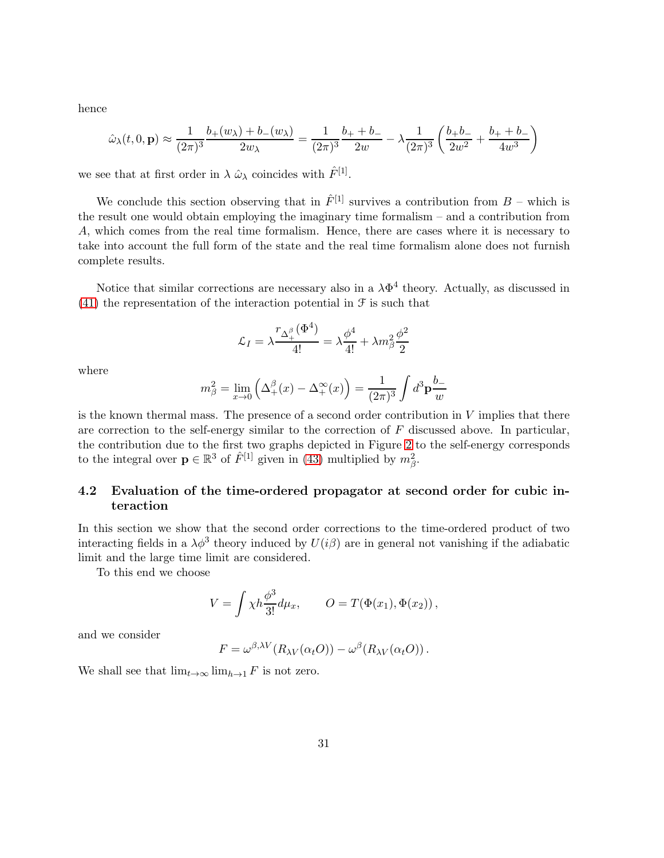hence

$$
\hat{\omega}_{\lambda}(t,0,\mathbf{p}) \approx \frac{1}{(2\pi)^3} \frac{b_+(w_{\lambda}) + b_-(w_{\lambda})}{2w_{\lambda}} = \frac{1}{(2\pi)^3} \frac{b_+ + b_-}{2w} - \lambda \frac{1}{(2\pi)^3} \left(\frac{b_+b_-}{2w^2} + \frac{b_+ + b_-}{4w^3}\right)
$$

we see that at first order in  $\lambda \hat{\omega}_{\lambda}$  coincides with  $\hat{F}^{[1]}$ .

We conclude this section observing that in  $\hat{F}^{[1]}$  survives a contribution from  $B$  – which is the result one would obtain employing the imaginary time formalism – and a contribution from A, which comes from the real time formalism. Hence, there are cases where it is necessary to take into account the full form of the state and the real time formalism alone does not furnish complete results.

Notice that similar corrections are necessary also in a  $\lambda \Phi^4$  theory. Actually, as discussed in  $(41)$  the representation of the interaction potential in  $\mathcal F$  is such that

$$
\mathcal{L}_I = \lambda \frac{ \mathit{r}_{\Delta_+^\beta}(\Phi^4)}{4!} = \lambda \frac{\phi^4}{4!} + \lambda m_\beta^2 \frac{\phi^2}{2}
$$

where

$$
m_{\beta}^{2} = \lim_{x \to 0} \left( \Delta_{+}^{\beta}(x) - \Delta_{+}^{\infty}(x) \right) = \frac{1}{(2\pi)^{3}} \int d^{3} \mathbf{p} \frac{b_{-}}{w}
$$

is the known thermal mass. The presence of a second order contribution in V implies that there are correction to the self-energy similar to the correction of  $F$  discussed above. In particular, the contribution due to the first two graphs depicted in Figure [2](#page-27-2) to the self-energy corresponds to the integral over  $\mathbf{p} \in \mathbb{R}^3$  of  $\hat{F}^{[1]}$  given in [\(43\)](#page-29-0) multiplied by  $m_\beta^2$ .

### 4.2 Evaluation of the time-ordered propagator at second order for cubic interaction

In this section we show that the second order corrections to the time-ordered product of two interacting fields in a  $\lambda \phi^3$  theory induced by  $U(i\beta)$  are in general not vanishing if the adiabatic limit and the large time limit are considered.

To this end we choose

$$
V = \int \chi h \frac{\phi^3}{3!} d\mu_x, \qquad O = T(\Phi(x_1), \Phi(x_2)),
$$

and we consider

$$
F = \omega^{\beta,\lambda V}(R_{\lambda V}(\alpha_t O)) - \omega^{\beta}(R_{\lambda V}(\alpha_t O)).
$$

We shall see that  $\lim_{t\to\infty} \lim_{h\to 1} F$  is not zero.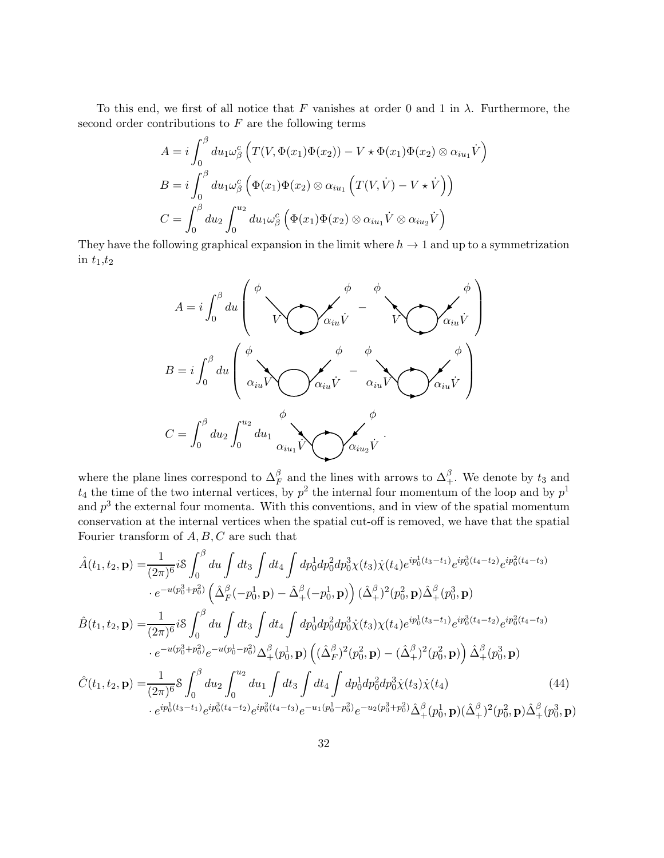To this end, we first of all notice that F vanishes at order 0 and 1 in  $\lambda$ . Furthermore, the second order contributions to  $F$  are the following terms

$$
A = i \int_0^\beta du_1 \omega_\beta^\mathcal{C} \left( T(V, \Phi(x_1) \Phi(x_2)) - V \star \Phi(x_1) \Phi(x_2) \otimes \alpha_{iu_1} \dot{V} \right)
$$
  
\n
$$
B = i \int_0^\beta du_1 \omega_\beta^\mathcal{C} \left( \Phi(x_1) \Phi(x_2) \otimes \alpha_{iu_1} \left( T(V, \dot{V}) - V \star \dot{V} \right) \right)
$$
  
\n
$$
C = \int_0^\beta du_2 \int_0^{u_2} du_1 \omega_\beta^\mathcal{C} \left( \Phi(x_1) \Phi(x_2) \otimes \alpha_{iu_1} \dot{V} \otimes \alpha_{iu_2} \dot{V} \right)
$$

They have the following graphical expansion in the limit where  $h \to 1$  and up to a symmetrization in  $t_1,t_2$ 



where the plane lines correspond to  $\Delta_F^{\beta}$  and the lines with arrows to  $\Delta_{+}^{\beta}$ . We denote by  $t_3$  and  $t_4$  the time of the two internal vertices, by  $p^2$  the internal four momentum of the loop and by  $p^1$ and  $p<sup>3</sup>$  the external four momenta. With this conventions, and in view of the spatial momentum conservation at the internal vertices when the spatial cut-off is removed, we have that the spatial Fourier transform of  $A, B, C$  are such that

<span id="page-31-0"></span>
$$
\hat{A}(t_{1},t_{2},\mathbf{p}) = \frac{1}{(2\pi)^{6}} i \int_{0}^{\beta} du \int dt_{3} \int dt_{4} \int dp_{0}^{1} dp_{0}^{2} dp_{0}^{3} \chi(t_{3}) \dot{\chi}(t_{4}) e^{ip_{0}^{1}(t_{3}-t_{1})} e^{ip_{0}^{3}(t_{4}-t_{2})} e^{ip_{0}^{2}(t_{4}-t_{3})}
$$
\n
$$
\cdot e^{-u(p_{0}^{3}+p_{0}^{2})} \left(\hat{\Delta}_{F}^{\beta}(-p_{0}^{1},\mathbf{p}) - \hat{\Delta}_{+}^{\beta}(-p_{0}^{1},\mathbf{p})\right) (\hat{\Delta}_{+}^{\beta})^{2}(p_{0}^{2},\mathbf{p}) \hat{\Delta}_{+}^{\beta}(p_{0}^{3},\mathbf{p})
$$
\n
$$
\hat{B}(t_{1},t_{2},\mathbf{p}) = \frac{1}{(2\pi)^{6}} i \int_{0}^{\beta} du \int dt_{3} \int dt_{4} \int dp_{0}^{1} dp_{0}^{2} dp_{0}^{3} \dot{\chi}(t_{3}) \chi(t_{4}) e^{ip_{0}^{1}(t_{3}-t_{1})} e^{ip_{0}^{3}(t_{4}-t_{2})} e^{ip_{0}^{2}(t_{4}-t_{3})}
$$
\n
$$
\cdot e^{-u(p_{0}^{3}+p_{0}^{2})} e^{-u(p_{0}^{1}-p_{0}^{2})} \Delta_{+}^{\beta}(p_{0}^{1},\mathbf{p}) \left((\hat{\Delta}_{F}^{\beta})^{2}(p_{0}^{2},\mathbf{p}) - (\hat{\Delta}_{+}^{\beta})^{2}(p_{0}^{2},\mathbf{p})\right) \hat{\Delta}_{+}^{\beta}(p_{0}^{3},\mathbf{p})
$$
\n
$$
\hat{C}(t_{1},t_{2},\mathbf{p}) = \frac{1}{(2\pi)^{6}} \int_{0}^{\beta} du_{2} \int_{0}^{u_{2}} du_{1} \int dt_{3} \int dt_{4} \int dp_{0}^{1} dp_{0}^{2} dp_{0}^{3} \dot{\chi}(t_{3}) \dot{\chi}(t_{4}) \qquad (44)
$$
\n
$$
\cdot e^{ip_{0}^{1}(t_{3}-t_{1})} e^{ip_{0}^{3
$$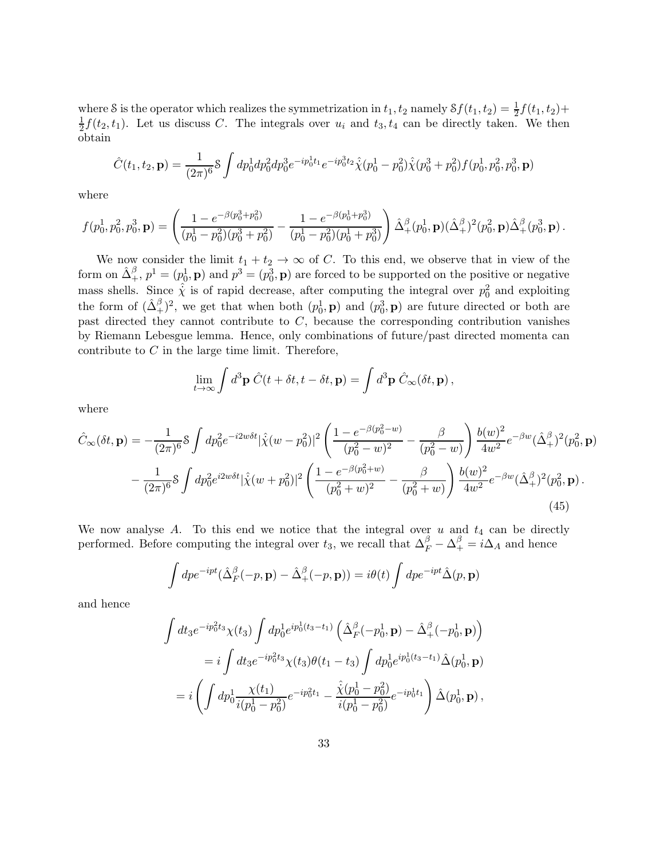where S is the operator which realizes the symmetrization in  $t_1, t_2$  namely  $Sf(t_1, t_2) = \frac{1}{2}f(t_1, t_2) +$ 1  $\frac{1}{2}f(t_2,t_1)$ . Let us discuss C. The integrals over  $u_i$  and  $t_3, t_4$  can be directly taken. We then obtain

$$
\hat{C}(t_1, t_2, \mathbf{p}) = \frac{1}{(2\pi)^6} \mathcal{S} \int dp_0^1 dp_0^2 dp_0^3 e^{-ip_0^1 t_1} e^{-ip_0^3 t_2} \hat{\chi}(p_0^1 - p_0^2) \hat{\chi}(p_0^3 + p_0^2) f(p_0^1, p_0^2, p_0^3, \mathbf{p})
$$

where

$$
f(p_0^1, p_0^2, p_0^3, \mathbf{p}) = \left(\frac{1 - e^{-\beta(p_0^3 + p_0^2)}}{(p_0^1 - p_0^2)(p_0^3 + p_0^2)} - \frac{1 - e^{-\beta(p_0^1 + p_0^3)}}{(p_0^1 - p_0^2)(p_0^1 + p_0^3)}\right) \hat{\Delta}_+^{\beta}(p_0^1, \mathbf{p}) (\hat{\Delta}_+^{\beta})^2(p_0^2, \mathbf{p}) \hat{\Delta}_+^{\beta}(p_0^3, \mathbf{p}) .
$$

We now consider the limit  $t_1 + t_2 \rightarrow \infty$  of C. To this end, we observe that in view of the form on  $\hat{\Delta}^{\beta}_+, p^1 = (p_0^1, \mathbf{p})$  and  $p^3 = (p_0^3, \mathbf{p})$  are forced to be supported on the positive or negative mass shells. Since  $\hat{\chi}$  is of rapid decrease, after computing the integral over  $p_0^2$  and exploiting the form of  $(\hat{\Delta}^{\beta}_+)^2$ , we get that when both  $(p_0^1, \mathbf{p})$  and  $(p_0^3, \mathbf{p})$  are future directed or both are past directed they cannot contribute to  $C$ , because the corresponding contribution vanishes by Riemann Lebesgue lemma. Hence, only combinations of future/past directed momenta can contribute to  $C$  in the large time limit. Therefore,

<span id="page-32-0"></span>
$$
\lim_{t \to \infty} \int d^3 \mathbf{p} \; \hat{C}(t + \delta t, t - \delta t, \mathbf{p}) = \int d^3 \mathbf{p} \; \hat{C}_{\infty}(\delta t, \mathbf{p}),
$$

where

$$
\hat{C}_{\infty}(\delta t, \mathbf{p}) = -\frac{1}{(2\pi)^6} \mathcal{S} \int dp_0^2 e^{-i2w\delta t} |\hat{\chi}(w - p_0^2)|^2 \left( \frac{1 - e^{-\beta(p_0^2 - w)}}{(p_0^2 - w)^2} - \frac{\beta}{(p_0^2 - w)} \right) \frac{b(w)^2}{4w^2} e^{-\beta w} (\hat{\Delta}_{+}^{\beta})^2 (p_0^2, \mathbf{p})
$$

$$
- \frac{1}{(2\pi)^6} \mathcal{S} \int dp_0^2 e^{i2w\delta t} |\hat{\chi}(w + p_0^2)|^2 \left( \frac{1 - e^{-\beta(p_0^2 + w)}}{(p_0^2 + w)^2} - \frac{\beta}{(p_0^2 + w)} \right) \frac{b(w)^2}{4w^2} e^{-\beta w} (\hat{\Delta}_{+}^{\beta})^2 (p_0^2, \mathbf{p}). \tag{45}
$$

We now analyse A. To this end we notice that the integral over  $u$  and  $t_4$  can be directly performed. Before computing the integral over  $t_3$ , we recall that  $\Delta_F^{\beta} - \Delta_+^{\beta} = i \Delta_A$  and hence

$$
\int dp e^{-ipt} (\hat{\Delta}_F^{\beta}(-p, \mathbf{p}) - \hat{\Delta}_+^{\beta}(-p, \mathbf{p})) = i\theta(t) \int dp e^{-ipt} \hat{\Delta}(p, \mathbf{p})
$$

and hence

$$
\int dt_3 e^{-ip_0^2 t_3} \chi(t_3) \int dp_0^1 e^{ip_0^1(t_3 - t_1)} \left( \hat{\Delta}_F^{\beta}(-p_0^1, \mathbf{p}) - \hat{\Delta}_+^{\beta}(-p_0^1, \mathbf{p}) \right)
$$
  
=  $i \int dt_3 e^{-ip_0^2 t_3} \chi(t_3) \theta(t_1 - t_3) \int dp_0^1 e^{ip_0^1(t_3 - t_1)} \hat{\Delta}(p_0^1, \mathbf{p})$   
=  $i \left( \int dp_0^1 \frac{\chi(t_1)}{i(p_0^1 - p_0^2)} e^{-ip_0^2 t_1} - \frac{\hat{\chi}(p_0^1 - p_0^2)}{i(p_0^1 - p_0^2)} e^{-ip_0^1 t_1} \right) \hat{\Delta}(p_0^1, \mathbf{p}),$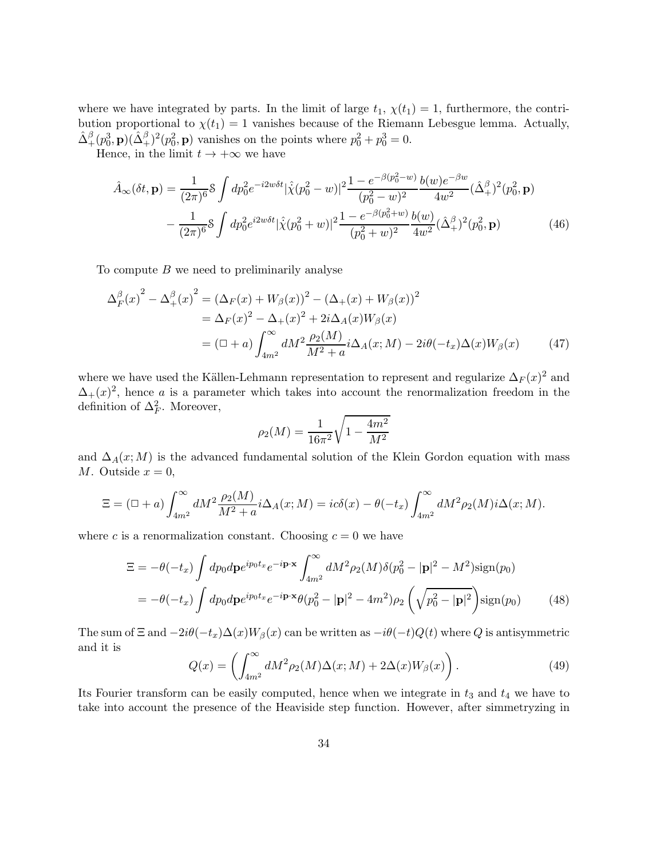where we have integrated by parts. In the limit of large  $t_1$ ,  $\chi(t_1) = 1$ , furthermore, the contribution proportional to  $\chi(t_1) = 1$  vanishes because of the Riemann Lebesgue lemma. Actually,  $\hat{\Delta}^{\beta}_+(p_0^3, \mathbf{p})(\hat{\Delta}^{\beta}_+)^2(p_0^2, \mathbf{p})$  vanishes on the points where  $p_0^2 + p_0^3 = 0$ .

Hence, in the limit  $t \to +\infty$  we have

$$
\hat{A}_{\infty}(\delta t, \mathbf{p}) = \frac{1}{(2\pi)^6} \mathcal{S} \int dp_0^2 e^{-i2w\delta t} |\hat{\chi}(p_0^2 - w)|^2 \frac{1 - e^{-\beta(p_0^2 - w)}}{(p_0^2 - w)^2} \frac{b(w)e^{-\beta w}}{4w^2} (\hat{\Delta}_{+}^{\beta})^2 (p_0^2, \mathbf{p}) \n- \frac{1}{(2\pi)^6} \mathcal{S} \int dp_0^2 e^{i2w\delta t} |\hat{\chi}(p_0^2 + w)|^2 \frac{1 - e^{-\beta(p_0^2 + w)}}{(p_0^2 + w)^2} \frac{b(w)}{4w^2} (\hat{\Delta}_{+}^{\beta})^2 (p_0^2, \mathbf{p})
$$
\n(46)

To compute  $B$  we need to preliminarily analyse

$$
\Delta_F^{\beta}(x)^2 - \Delta_+^{\beta}(x)^2 = (\Delta_F(x) + W_{\beta}(x))^2 - (\Delta_+(x) + W_{\beta}(x))^2
$$
  
=  $\Delta_F(x)^2 - \Delta_+(x)^2 + 2i\Delta_A(x)W_{\beta}(x)$   
=  $(\Box + a) \int_{4m^2}^{\infty} dM^2 \frac{\rho_2(M)}{M^2 + a} i\Delta_A(x; M) - 2i\theta(-t_x)\Delta(x)W_{\beta}(x)$  (47)

where we have used the Källen-Lehmann representation to represent and regularize  $\Delta_F(x)^2$  and  $\Delta_{+}(x)^{2}$ , hence a is a parameter which takes into account the renormalization freedom in the definition of  $\Delta_F^2$ . Moreover,

<span id="page-33-3"></span><span id="page-33-1"></span><span id="page-33-0"></span>
$$
\rho_2(M) = \frac{1}{16\pi^2} \sqrt{1 - \frac{4m^2}{M^2}}
$$

and  $\Delta_A(x; M)$  is the advanced fundamental solution of the Klein Gordon equation with mass M. Outside  $x=0$ ,

$$
\Xi = (\Box + a) \int_{4m^2}^{\infty} dM^2 \frac{\rho_2(M)}{M^2 + a} i \Delta_A(x; M) = i c \delta(x) - \theta(-t_x) \int_{4m^2}^{\infty} dM^2 \rho_2(M) i \Delta(x; M).
$$

where c is a renormalization constant. Choosing  $c = 0$  we have

$$
\Xi = -\theta(-t_x) \int dp_0 d\mathbf{p} e^{ip_0 t_x} e^{-i\mathbf{p} \cdot \mathbf{x}} \int_{4m^2}^{\infty} dM^2 \rho_2(M) \delta(p_0^2 - |\mathbf{p}|^2 - M^2) \text{sign}(p_0)
$$
  
= 
$$
-\theta(-t_x) \int dp_0 d\mathbf{p} e^{ip_0 t_x} e^{-i\mathbf{p} \cdot \mathbf{x}} \theta(p_0^2 - |\mathbf{p}|^2 - 4m^2) \rho_2 \left(\sqrt{p_0^2 - |\mathbf{p}|^2}\right) \text{sign}(p_0)
$$
(48)

The sum of  $\Xi$  and  $-2i\theta(-t_x)\Delta(x)W_\beta(x)$  can be written as  $-i\theta(-t)Q(t)$  where Q is antisymmetric and it is

<span id="page-33-2"></span>
$$
Q(x) = \left(\int_{4m^2}^{\infty} dM^2 \rho_2(M) \Delta(x; M) + 2\Delta(x) W_{\beta}(x)\right).
$$
 (49)

Its Fourier transform can be easily computed, hence when we integrate in  $t_3$  and  $t_4$  we have to take into account the presence of the Heaviside step function. However, after simmetryzing in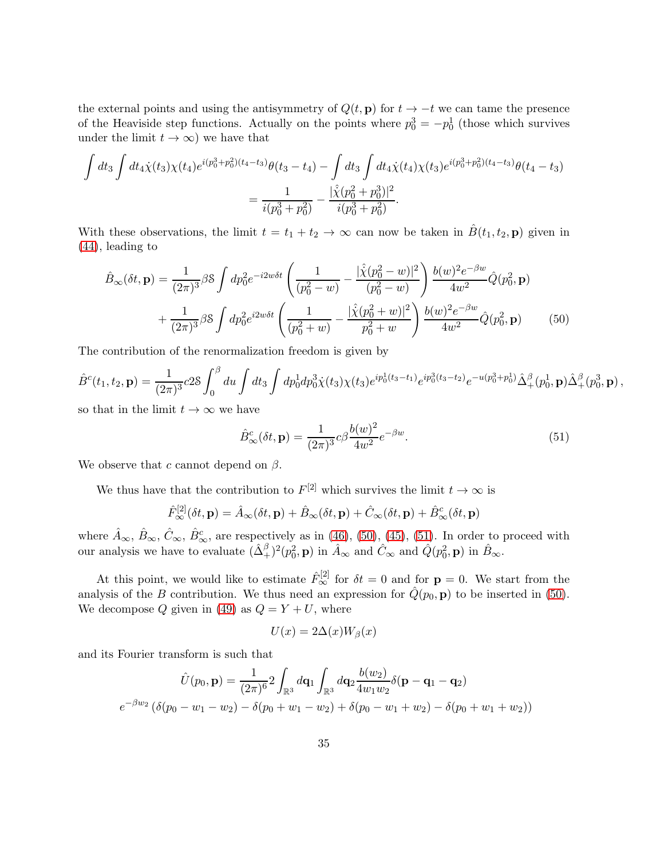the external points and using the antisymmetry of  $Q(t, \mathbf{p})$  for  $t \to -t$  we can tame the presence of the Heaviside step functions. Actually on the points where  $p_0^3 = -p_0^1$  (those which survives under the limit  $t \to \infty$ ) we have that

$$
\int dt_3 \int dt_4 \dot{\chi}(t_3) \chi(t_4) e^{i(p_0^3 + p_0^2)(t_4 - t_3)} \theta(t_3 - t_4) - \int dt_3 \int dt_4 \dot{\chi}(t_4) \chi(t_3) e^{i(p_0^3 + p_0^2)(t_4 - t_3)} \theta(t_4 - t_3)
$$

$$
= \frac{1}{i(p_0^3 + p_0^2)} - \frac{|\hat{\chi}(p_0^2 + p_0^3)|^2}{i(p_0^3 + p_0^2)}.
$$

With these observations, the limit  $t = t_1 + t_2 \rightarrow \infty$  can now be taken in  $\hat{B}(t_1, t_2, \mathbf{p})$  given in [\(44\)](#page-31-0), leading to

$$
\hat{B}_{\infty}(\delta t, \mathbf{p}) = \frac{1}{(2\pi)^3} \beta \mathbf{S} \int dp_0^2 e^{-i2w\delta t} \left( \frac{1}{(p_0^2 - w)} - \frac{|\hat{\chi}(p_0^2 - w)|^2}{(p_0^2 - w)} \right) \frac{b(w)^2 e^{-\beta w}}{4w^2} \hat{Q}(p_0^2, \mathbf{p}) \n+ \frac{1}{(2\pi)^3} \beta \mathbf{S} \int dp_0^2 e^{i2w\delta t} \left( \frac{1}{(p_0^2 + w)} - \frac{|\hat{\chi}(p_0^2 + w)|^2}{p_0^2 + w} \right) \frac{b(w)^2 e^{-\beta w}}{4w^2} \hat{Q}(p_0^2, \mathbf{p})
$$
\n(50)

The contribution of the renormalization freedom is given by

$$
\hat{B}^c(t_1, t_2, \mathbf{p}) = \frac{1}{(2\pi)^3} 28 \int_0^\beta du \int dt_3 \int dp_0^1 dp_0^3 \dot{\chi}(t_3) \chi(t_3) e^{ip_0^1(t_3 - t_1)} e^{ip_0^3(t_3 - t_2)} e^{-u(p_0^3 + p_0^1)} \hat{\Delta}_+^\beta(p_0^1, \mathbf{p}) \hat{\Delta}_+^\beta(p_0^3, \mathbf{p}),
$$

so that in the limit  $t\to\infty$  we have

<span id="page-34-1"></span><span id="page-34-0"></span>
$$
\hat{B}_{\infty}^{c}(\delta t, \mathbf{p}) = \frac{1}{(2\pi)^{3}} c\beta \frac{b(w)^{2}}{4w^{2}} e^{-\beta w}.
$$
\n(51)

We observe that c cannot depend on  $\beta$ .

We thus have that the contribution to  $F^{[2]}$  which survives the limit  $t \to \infty$  is

$$
\hat{F}_{\infty}^{[2]}(\delta t, \mathbf{p}) = \hat{A}_{\infty}(\delta t, \mathbf{p}) + \hat{B}_{\infty}(\delta t, \mathbf{p}) + \hat{C}_{\infty}(\delta t, \mathbf{p}) + \hat{B}_{\infty}^{c}(\delta t, \mathbf{p})
$$

where  $\hat{A}_{\infty}$ ,  $\hat{B}_{\infty}$ ,  $\hat{C}_{\infty}$ ,  $\hat{B}_{\infty}^c$ , are respectively as in [\(46\)](#page-33-1), [\(50\)](#page-34-0), [\(45\)](#page-32-0), [\(51\)](#page-34-1). In order to proceed with our analysis we have to evaluate  $(\hat{\Delta}^{\beta}_+)^2(p_0^2, \mathbf{p})$  in  $\hat{A}_{\infty}$  and  $\hat{C}_{\infty}$  and  $\hat{Q}(p_0^2, \mathbf{p})$  in  $\hat{B}_{\infty}$ .

At this point, we would like to estimate  $\hat{F}_{\infty}^{[2]}$  for  $\delta t = 0$  and for  $p = 0$ . We start from the analysis of the B contribution. We thus need an expression for  $\hat{Q}(p_0, \mathbf{p})$  to be inserted in [\(50\)](#page-34-0). We decompose Q given in [\(49\)](#page-33-2) as  $Q = Y + U$ , where

$$
U(x) = 2\Delta(x)W_{\beta}(x)
$$

and its Fourier transform is such that

$$
\hat{U}(p_0, \mathbf{p}) = \frac{1}{(2\pi)^6} 2 \int_{\mathbb{R}^3} d\mathbf{q}_1 \int_{\mathbb{R}^3} d\mathbf{q}_2 \frac{b(w_2)}{4w_1w_2} \delta(\mathbf{p} - \mathbf{q}_1 - \mathbf{q}_2)
$$

$$
e^{-\beta w_2} (\delta(p_0 - w_1 - w_2) - \delta(p_0 + w_1 - w_2) + \delta(p_0 - w_1 + w_2) - \delta(p_0 + w_1 + w_2))
$$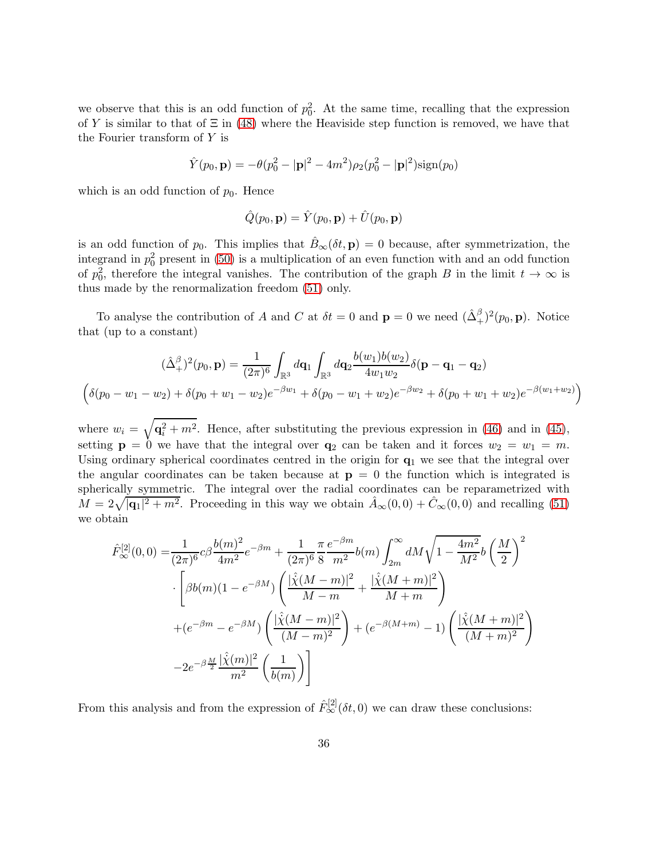we observe that this is an odd function of  $p_0^2$ . At the same time, recalling that the expression of Y is similar to that of  $\Xi$  in [\(48\)](#page-33-3) where the Heaviside step function is removed, we have that the Fourier transform of Y is

$$
\hat{Y}(p_0, \mathbf{p}) = -\theta(p_0^2 - |\mathbf{p}|^2 - 4m^2)\rho_2(p_0^2 - |\mathbf{p}|^2)\text{sign}(p_0)
$$

which is an odd function of  $p_0$ . Hence

$$
\hat{Q}(p_0, \mathbf{p}) = \hat{Y}(p_0, \mathbf{p}) + \hat{U}(p_0, \mathbf{p})
$$

is an odd function of  $p_0$ . This implies that  $\hat{B}_{\infty}(\delta t, \mathbf{p}) = 0$  because, after symmetrization, the integrand in  $p_0^2$  present in [\(50\)](#page-34-0) is a multiplication of an even function with and an odd function of  $p_0^2$ , therefore the integral vanishes. The contribution of the graph B in the limit  $t \to \infty$  is thus made by the renormalization freedom [\(51\)](#page-34-1) only.

To analyse the contribution of A and C at  $\delta t = 0$  and  $\mathbf{p} = 0$  we need  $(\hat{\Delta}^{\beta}_+)^2(p_0, \mathbf{p})$ . Notice that (up to a constant)

$$
(\hat{\Delta}^{\beta}_{+})^{2}(p_{0}, \mathbf{p}) = \frac{1}{(2\pi)^{6}} \int_{\mathbb{R}^{3}} d\mathbf{q}_{1} \int_{\mathbb{R}^{3}} d\mathbf{q}_{2} \frac{b(w_{1})b(w_{2})}{4w_{1}w_{2}} \delta(\mathbf{p} - \mathbf{q}_{1} - \mathbf{q}_{2})
$$

$$
\left(\delta(p_{0} - w_{1} - w_{2}) + \delta(p_{0} + w_{1} - w_{2})e^{-\beta w_{1}} + \delta(p_{0} - w_{1} + w_{2})e^{-\beta w_{2}} + \delta(p_{0} + w_{1} + w_{2})e^{-\beta(w_{1} + w_{2})}\right)
$$

where  $w_i = \sqrt{\mathbf{q}_i^2 + m^2}$ . Hence, after substituting the previous expression in [\(46\)](#page-33-1) and in [\(45\)](#page-32-0), setting  $p = 0$  we have that the integral over  $q_2$  can be taken and it forces  $w_2 = w_1 = m$ . Using ordinary spherical coordinates centred in the origin for  $q_1$  we see that the integral over the angular coordinates can be taken because at  $p = 0$  the function which is integrated is spherically symmetric. The integral over the radial coordinates can be reparametrized with  $M = 2\sqrt{|\mathbf{q}_1|^2 + m^2}$ . Proceeding in this way we obtain  $\hat{A}_{\infty}(0,0) + \hat{C}_{\infty}(0,0)$  and recalling [\(51\)](#page-34-1) we obtain

$$
\hat{F}_{\infty}^{[2]}(0,0) = \frac{1}{(2\pi)^6} c\beta \frac{b(m)^2}{4m^2} e^{-\beta m} + \frac{1}{(2\pi)^6} \frac{\pi}{8} \frac{e^{-\beta m}}{m^2} b(m) \int_{2m}^{\infty} dM \sqrt{1 - \frac{4m^2}{M^2}} b\left(\frac{M}{2}\right)^2
$$
\n
$$
\cdot \left[\beta b(m)(1 - e^{-\beta M}) \left(\frac{|\hat{\chi}(M-m)|^2}{M-m} + \frac{|\hat{\chi}(M+m)|^2}{M+m}\right) + (e^{-\beta m} - e^{-\beta M}) \left(\frac{|\hat{\chi}(M-m)|^2}{(M-m)^2}\right) + (e^{-\beta (M+m)} - 1) \left(\frac{|\hat{\chi}(M+m)|^2}{(M+m)^2}\right) - 2e^{-\beta \frac{M}{2}} \frac{|\hat{\chi}(m)|^2}{m^2} \left(\frac{1}{b(m)}\right)\right]
$$

From this analysis and from the expression of  $\hat{F}_{\infty}^{[2]}(\delta t, 0)$  we can draw these conclusions: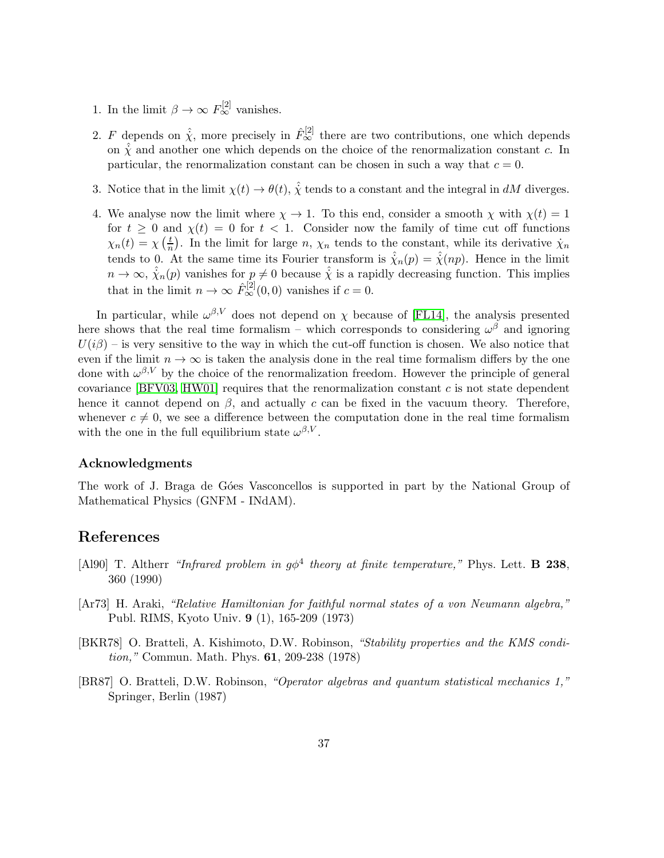- 1. In the limit  $\beta \to \infty$   $F_{\infty}^{[2]}$  vanishes.
- 2. F depends on  $\hat{\chi}$ , more precisely in  $\hat{F}_{\infty}^{[2]}$  there are two contributions, one which depends on  $\hat{\chi}$  and another one which depends on the choice of the renormalization constant c. In particular, the renormalization constant can be chosen in such a way that  $c = 0$ .
- 3. Notice that in the limit  $\chi(t) \to \theta(t)$ ,  $\hat{\chi}$  tends to a constant and the integral in dM diverges.
- 4. We analyse now the limit where  $\chi \to 1$ . To this end, consider a smooth  $\chi$  with  $\chi(t) = 1$ for  $t \geq 0$  and  $\chi(t) = 0$  for  $t < 1$ . Consider now the family of time cut off functions  $\chi_n(t) = \chi\left(\frac{t}{n}\right)$  $\frac{t}{n}$ ). In the limit for large n,  $\chi_n$  tends to the constant, while its derivative  $\dot{\chi}_n$ tends to 0. At the same time its Fourier transform is  $\hat{\chi}_n(p) = \hat{\chi}(np)$ . Hence in the limit  $n \to \infty$ ,  $\hat{\chi}_n(p)$  vanishes for  $p \neq 0$  because  $\hat{\chi}$  is a rapidly decreasing function. This implies that in the limit  $n \to \infty$   $\hat{F}_{\infty}^{[2]}(0,0)$  vanishes if  $c = 0$ .

In particular, while  $\omega^{\beta,V}$  does not depend on  $\chi$  because of [\[FL14\]](#page-38-0), the analysis presented here shows that the real time formalism – which corresponds to considering  $\omega^{\beta}$  and ignoring  $U(i\beta)$  – is very sensitive to the way in which the cut-off function is chosen. We also notice that even if the limit  $n \to \infty$  is taken the analysis done in the real time formalism differs by the one done with  $\omega^{\beta,V}$  by the choice of the renormalization freedom. However the principle of general covariance [\[BFV03,](#page-37-5) [HW01\]](#page-38-8) requires that the renormalization constant  $c$  is not state dependent hence it cannot depend on  $\beta$ , and actually c can be fixed in the vacuum theory. Therefore, whenever  $c \neq 0$ , we see a difference between the computation done in the real time formalism with the one in the full equilibrium state  $\omega^{\beta,V}$ .

#### Acknowledgments

The work of J. Braga de Góes Vasconcellos is supported in part by the National Group of Mathematical Physics (GNFM - INdAM).

# References

- <span id="page-36-3"></span>[Al90] T. Altherr "Infrared problem in  $g\phi^4$  theory at finite temperature," Phys. Lett. **B** 238, 360 (1990)
- <span id="page-36-0"></span>[Ar73] H. Araki, "Relative Hamiltonian for faithful normal states of a von Neumann algebra," Publ. RIMS, Kyoto Univ. 9 (1), 165-209 (1973)
- <span id="page-36-2"></span>[BKR78] O. Bratteli, A. Kishimoto, D.W. Robinson, "Stability properties and the KMS condition," Commun. Math. Phys. 61, 209-238 (1978)
- <span id="page-36-1"></span>[BR87] O. Bratteli, D.W. Robinson, "Operator algebras and quantum statistical mechanics 1," Springer, Berlin (1987)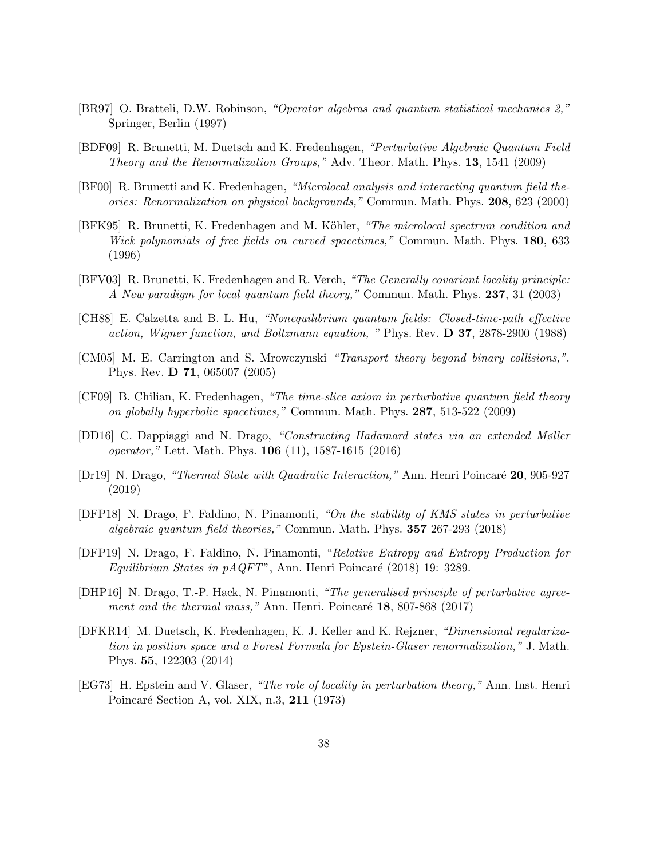- <span id="page-37-6"></span>[BR97] O. Bratteli, D.W. Robinson, "Operator algebras and quantum statistical mechanics 2," Springer, Berlin (1997)
- <span id="page-37-4"></span>[BDF09] R. Brunetti, M. Duetsch and K. Fredenhagen, "Perturbative Algebraic Quantum Field Theory and the Renormalization Groups," Adv. Theor. Math. Phys. 13, 1541 (2009)
- <span id="page-37-3"></span>[BF00] R. Brunetti and K. Fredenhagen, "Microlocal analysis and interacting quantum field theories: Renormalization on physical backgrounds," Commun. Math. Phys. 208, 623 (2000)
- <span id="page-37-11"></span>[BFK95] R. Brunetti, K. Fredenhagen and M. Köhler, "The microlocal spectrum condition and Wick polynomials of free fields on curved spacetimes," Commun. Math. Phys. 180, 633 (1996)
- <span id="page-37-5"></span>[BFV03] R. Brunetti, K. Fredenhagen and R. Verch, "The Generally covariant locality principle: A New paradigm for local quantum field theory," Commun. Math. Phys. 237, 31 (2003)
- <span id="page-37-0"></span>[CH88] E. Calzetta and B. L. Hu, "Nonequilibrium quantum fields: Closed-time-path effective action, Wigner function, and Boltzmann equation, " Phys. Rev. D 37, 2878-2900 (1988)
- <span id="page-37-1"></span>[CM05] M. E. Carrington and S. Mrowczynski "Transport theory beyond binary collisions,". Phys. Rev. D 71, 065007 (2005)
- <span id="page-37-14"></span>[CF09] B. Chilian, K. Fredenhagen, "The time-slice axiom in perturbative quantum field theory on globally hyperbolic spacetimes," Commun. Math. Phys. 287, 513-522 (2009)
- <span id="page-37-9"></span>[DD16] C. Dappiaggi and N. Drago, "Constructing Hadamard states via an extended Møller operator," Lett. Math. Phys. 106 (11), 1587-1615 (2016)
- <span id="page-37-10"></span>[Dr19] N. Drago, "Thermal State with Quadratic Interaction," Ann. Henri Poincaré 20, 905-927 (2019)
- <span id="page-37-2"></span>[DFP18] N. Drago, F. Faldino, N. Pinamonti, "On the stability of KMS states in perturbative algebraic quantum field theories," Commun. Math. Phys. 357 267-293 (2018)
- <span id="page-37-8"></span>[DFP19] N. Drago, F. Faldino, N. Pinamonti, "Relative Entropy and Entropy Production for Equilibrium States in  $pAQFT$ ", Ann. Henri Poincaré (2018) 19: 3289.
- <span id="page-37-7"></span>[DHP16] N. Drago, T.-P. Hack, N. Pinamonti, "The generalised principle of perturbative agreement and the thermal mass," Ann. Henri. Poincaré  $18$ , 807-868 (2017)
- <span id="page-37-13"></span>[DFKR14] M. Duetsch, K. Fredenhagen, K. J. Keller and K. Rejzner, "Dimensional regularization in position space and a Forest Formula for Epstein-Glaser renormalization," J. Math. Phys. 55, 122303 (2014)
- <span id="page-37-12"></span>[EG73] H. Epstein and V. Glaser, "The role of locality in perturbation theory," Ann. Inst. Henri Poincaré Section A, vol. XIX, n.3, 211 (1973)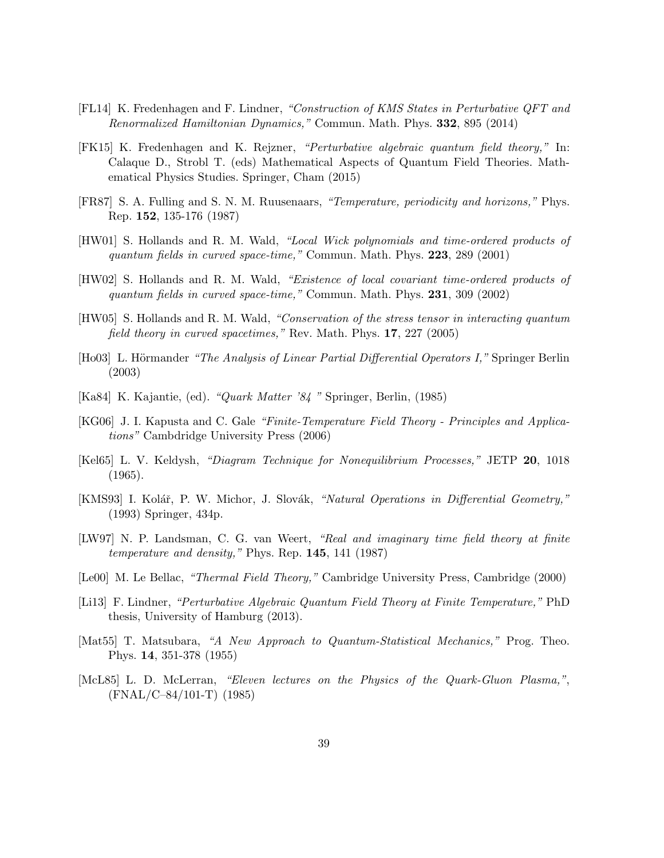- <span id="page-38-0"></span>[FL14] K. Fredenhagen and F. Lindner, "Construction of KMS States in Perturbative QFT and Renormalized Hamiltonian Dynamics," Commun. Math. Phys. 332, 895 (2014)
- <span id="page-38-10"></span>[FK15] K. Fredenhagen and K. Rejzner, "Perturbative algebraic quantum field theory," In: Calaque D., Strobl T. (eds) Mathematical Aspects of Quantum Field Theories. Mathematical Physics Studies. Springer, Cham (2015)
- <span id="page-38-15"></span>[FR87] S. A. Fulling and S. N. M. Ruusenaars, "Temperature, periodicity and horizons," Phys. Rep. 152, 135-176 (1987)
- <span id="page-38-8"></span>[HW01] S. Hollands and R. M. Wald, "Local Wick polynomials and time-ordered products of quantum fields in curved space-time," Commun. Math. Phys. 223, 289 (2001)
- <span id="page-38-9"></span>[HW02] S. Hollands and R. M. Wald, "Existence of local covariant time-ordered products of quantum fields in curved space-time," Commun. Math. Phys. 231, 309 (2002)
- <span id="page-38-12"></span>[HW05] S. Hollands and R. M. Wald, "Conservation of the stress tensor in interacting quantum field theory in curved spacetimes," Rev. Math. Phys. 17, 227 (2005)
- <span id="page-38-13"></span>[Ho03] L. Hörmander "The Analysis of Linear Partial Differential Operators I," Springer Berlin (2003)
- <span id="page-38-4"></span>[Ka84] K. Kajantie, (ed). "Quark Matter '84 " Springer, Berlin, (1985)
- <span id="page-38-6"></span>[KG06] J. I. Kapusta and C. Gale "Finite-Temperature Field Theory - Principles and Applications" Cambdridge University Press (2006)
- <span id="page-38-2"></span>[Kel65] L. V. Keldysh, "Diagram Technique for Nonequilibrium Processes," JETP 20, 1018 (1965).
- <span id="page-38-14"></span>[KMS93] I. Kolář, P. W. Michor, J. Slovák, "Natural Operations in Differential Geometry," (1993) Springer, 434p.
- <span id="page-38-7"></span>[LW97] N. P. Landsman, C. G. van Weert, "Real and imaginary time field theory at finite temperature and density," Phys. Rep.  $145$ ,  $141$   $(1987)$
- <span id="page-38-5"></span>[Le00] M. Le Bellac, "Thermal Field Theory," Cambridge University Press, Cambridge (2000)
- <span id="page-38-11"></span>[Li13] F. Lindner, "Perturbative Algebraic Quantum Field Theory at Finite Temperature," PhD thesis, University of Hamburg (2013).
- <span id="page-38-1"></span>[Mat55] T. Matsubara, "A New Approach to Quantum-Statistical Mechanics," Prog. Theo. Phys. 14, 351-378 (1955)
- <span id="page-38-3"></span>[McL85] L. D. McLerran, "Eleven lectures on the Physics of the Quark-Gluon Plasma,", (FNAL/C–84/101-T) (1985)